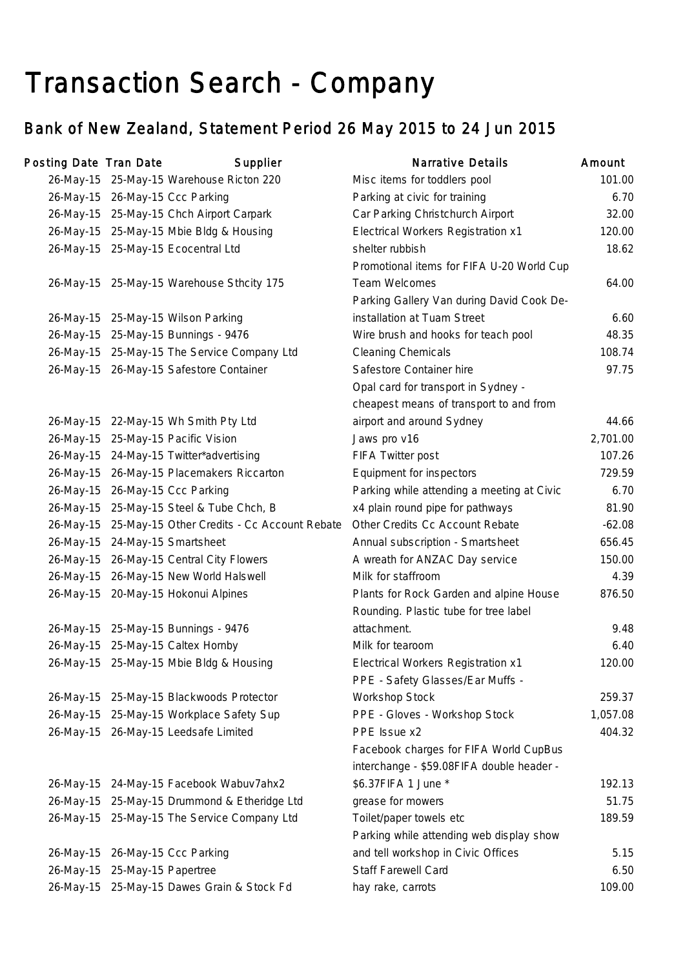## Transaction Search - Company

## Bank of New Zealand, Statement Period 26 May 2015 to 24 Jun 2015

| Posting Date Tran Date |                               | Supplier                                     | <b>Narrative Details</b>                   | Amount   |
|------------------------|-------------------------------|----------------------------------------------|--------------------------------------------|----------|
|                        |                               | 26-May-15 25-May-15 Warehouse Ricton 220     | Misc items for toddlers pool               | 101.00   |
|                        |                               | 26-May-15 26-May-15 Ccc Parking              | Parking at civic for training              | 6.70     |
|                        |                               | 26-May-15 25-May-15 Chch Airport Carpark     | Car Parking Christchurch Airport           | 32.00    |
|                        |                               | 26-May-15 25-May-15 Mbie Bldg & Housing      | Electrical Workers Registration x1         | 120.00   |
|                        |                               | 26-May-15 25-May-15 Ecocentral Ltd           | shelter rubbish                            | 18.62    |
|                        |                               |                                              | Promotional items for FIFA U-20 World Cup  |          |
|                        |                               | 26-May-15 25-May-15 Warehouse Sthcity 175    | Team Welcomes                              | 64.00    |
|                        |                               |                                              | Parking Gallery Van during David Cook De-  |          |
|                        |                               | 26-May-15 25-May-15 Wilson Parking           | installation at Tuam Street                | 6.60     |
|                        |                               | 26-May-15 25-May-15 Bunnings - 9476          | Wire brush and hooks for teach pool        | 48.35    |
|                        |                               | 26-May-15 25-May-15 The Service Company Ltd  | <b>Cleaning Chemicals</b>                  | 108.74   |
|                        |                               | 26-May-15 26-May-15 Safestore Container      | Safestore Container hire                   | 97.75    |
|                        |                               |                                              | Opal card for transport in Sydney -        |          |
|                        |                               |                                              | cheapest means of transport to and from    |          |
|                        |                               | 26-May-15 22-May-15 Wh Smith Pty Ltd         | airport and around Sydney                  | 44.66    |
|                        |                               | 26-May-15 25-May-15 Pacific Vision           | Jaws pro v16                               | 2,701.00 |
|                        |                               | 26-May-15 24-May-15 Twitter*advertising      | FIFA Twitter post                          | 107.26   |
|                        |                               | 26-May-15 26-May-15 Placemakers Riccarton    | Equipment for inspectors                   | 729.59   |
|                        |                               | 26-May-15 26-May-15 Ccc Parking              | Parking while attending a meeting at Civic | 6.70     |
|                        |                               | 26-May-15 25-May-15 Steel & Tube Chch, B     | x4 plain round pipe for pathways           | 81.90    |
| 26-May-15              |                               | 25-May-15 Other Credits - Cc Account Rebate  | Other Credits Cc Account Rebate            | $-62.08$ |
|                        |                               | 26-May-15 24-May-15 Smartsheet               | Annual subscription - Smartsheet           | 656.45   |
| 26-May-15              |                               | 26-May-15 Central City Flowers               | A wreath for ANZAC Day service             | 150.00   |
|                        |                               | 26-May-15 26-May-15 New World Halswell       | Milk for staffroom                         | 4.39     |
|                        |                               | 26-May-15 20-May-15 Hokonui Alpines          | Plants for Rock Garden and alpine House    | 876.50   |
|                        |                               |                                              | Rounding. Plastic tube for tree label      |          |
|                        |                               | 26-May-15 25-May-15 Bunnings - 9476          | attachment.                                | 9.48     |
|                        |                               | 26-May-15 25-May-15 Caltex Hornby            | Milk for tearoom                           | 6.40     |
|                        |                               | 26-May-15 25-May-15 Mbie Bldg & Housing      | <b>Electrical Workers Registration x1</b>  | 120.00   |
|                        |                               |                                              | PPE - Safety Glasses/Ear Muffs -           |          |
|                        |                               | 26-May-15 25-May-15 Blackwoods Protector     | Workshop Stock                             | 259.37   |
|                        |                               | 26-May-15 25-May-15 Workplace Safety Sup     | PPE - Gloves - Workshop Stock              | 1,057.08 |
|                        |                               | 26-May-15 26-May-15 Leedsafe Limited         | PPE Issue x2                               | 404.32   |
|                        |                               |                                              | Facebook charges for FIFA World CupBus     |          |
|                        |                               |                                              | interchange - \$59.08FIFA double header -  |          |
|                        |                               | 26-May-15 24-May-15 Facebook Wabuv7ahx2      | \$6.37FIFA 1 June *                        | 192.13   |
|                        |                               | 26-May-15 25-May-15 Drummond & Etheridge Ltd | grease for mowers                          | 51.75    |
|                        |                               | 26-May-15 25-May-15 The Service Company Ltd  | Toilet/paper towels etc                    | 189.59   |
|                        |                               |                                              | Parking while attending web display show   |          |
|                        |                               | 26-May-15 26-May-15 Ccc Parking              | and tell workshop in Civic Offices         | 5.15     |
|                        | 26-May-15 25-May-15 Papertree |                                              | Staff Farewell Card                        | 6.50     |
|                        |                               | 26-May-15 25-May-15 Dawes Grain & Stock Fd   | hay rake, carrots                          | 109.00   |
|                        |                               |                                              |                                            |          |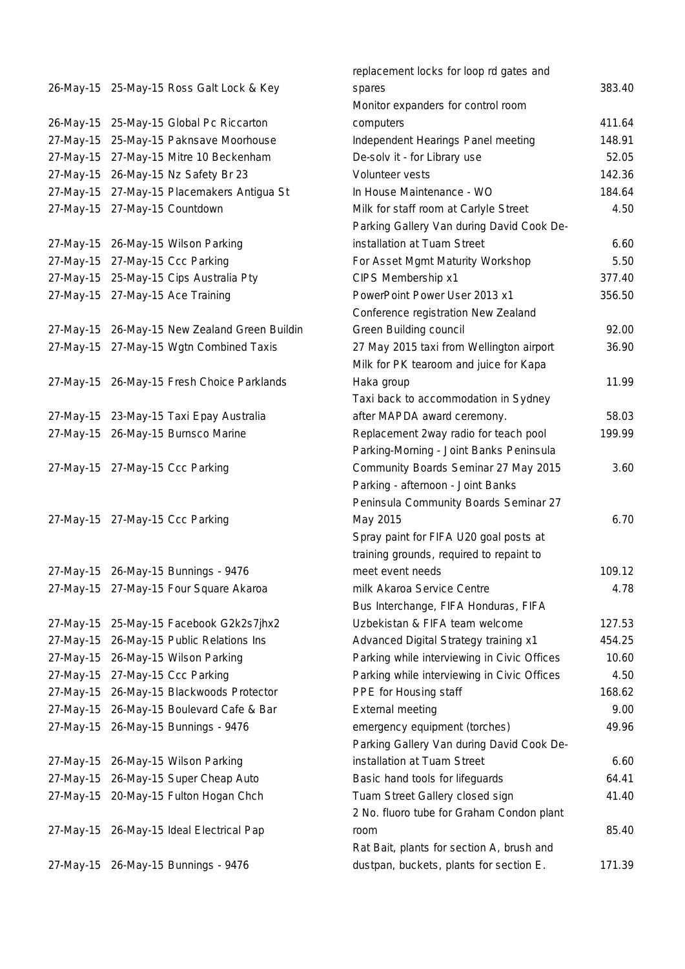|           | 26-May-15 25-May-15 Ross Galt Lock & Key |
|-----------|------------------------------------------|
| 26-May-15 | 25-May-15 Global Pc Riccarton            |
| 27-May-15 | 25-May-15 Paknsave Moorhouse             |
| 27-May-15 | 27-May-15 Mitre 10 Beckenham             |
| 27-May-15 | 26-May-15 Nz Safety Br 23                |
| 27-May-15 | 27-May-15 Placemakers Antigua St         |
| 27-May-15 | 27-May-15 Countdown                      |
| 27-May-15 | 26-May-15 Wilson Parking                 |
| 27-May-15 | 27-May-15 Ccc Parking                    |
| 27-May-15 | 25-May-15 Cips Australia Pty             |
| 27-May-15 | 27-May-15 Ace Training                   |
| 27-May-15 | 26-May-15 New Zealand Green Buildin      |
| 27-May-15 | 27-May-15 Wgtn Combined Taxis            |
|           |                                          |
| 27-May-15 | 26-May-15 Fresh Choice Parklands         |
| 27-May-15 | 23-May-15 Taxi Epay Australia            |
| 27-May-15 | 26-May-15 Burnsco Marine                 |
|           |                                          |
| 27-May-15 | 27-May-15 Ccc Parking                    |
|           |                                          |
| 27-May-15 | 27-May-15 Ccc Parking                    |
|           |                                          |
|           |                                          |
| 27-May-15 | 26-May-15 Bunnings - 9476                |
| 27-May-15 | 27-May-15 Four Square Akaroa             |
| 27-May-15 | 25-May-15 Facebook G2k2s7jhx2            |
| 27-May-15 | 26-May-15 Public Relations Ins           |
| 27-May-15 | 26-May-15 Wilson Parking                 |
| 27-May-15 | 27-May-15 Ccc Parking                    |
| 27-May-15 | 26-May-15 Blackwoods Protector           |
| 27-May-15 | 26-May-15 Boulevard Cafe & Bar           |
| 27-May-15 | 26-May-15 Bunnings - 9476                |
|           |                                          |
| 27-May-15 | 26-May-15 Wilson Parking                 |
| 27-May-15 | 26-May-15 Super Cheap Auto               |
| 27-May-15 | 20-May-15 Fulton Hogan Chch              |
| 27-May-15 | 26-May-15 Ideal Electrical Pap           |
|           | 26-May-15 Bunnings - 9476                |
| 27-May-15 |                                          |

|           |                                               | replacement locks for loop rd gates and     |        |
|-----------|-----------------------------------------------|---------------------------------------------|--------|
|           | 26-May-15 25-May-15 Ross Galt Lock & Key      | spares                                      | 383.40 |
|           |                                               | Monitor expanders for control room          |        |
|           | 26-May-15 25-May-15 Global Pc Riccarton       | computers                                   | 411.64 |
| 27-May-15 | 25-May-15 Paknsave Moorhouse                  | Independent Hearings Panel meeting          | 148.91 |
|           | 27-May-15 27-May-15 Mitre 10 Beckenham        | De-solv it - for Library use                | 52.05  |
|           | 27-May-15 26-May-15 Nz Safety Br 23           | Volunteer vests                             | 142.36 |
|           | 27-May-15 27-May-15 Placemakers Antigua St    | In House Maintenance - WO                   | 184.64 |
|           | 27-May-15 27-May-15 Countdown                 | Milk for staff room at Carlyle Street       | 4.50   |
|           |                                               | Parking Gallery Van during David Cook De-   |        |
|           | 27-May-15 26-May-15 Wilson Parking            | installation at Tuam Street                 | 6.60   |
|           | 27-May-15 27-May-15 Ccc Parking               | For Asset Mgmt Maturity Workshop            | 5.50   |
|           | 27-May-15 25-May-15 Cips Australia Pty        | CIPS Membership x1                          | 377.40 |
|           | 27-May-15 27-May-15 Ace Training              | PowerPoint Power User 2013 x1               | 356.50 |
|           |                                               | Conference registration New Zealand         |        |
|           | 27-May-15 26-May-15 New Zealand Green Buildin | Green Building council                      | 92.00  |
|           | 27-May-15 27-May-15 Wgtn Combined Taxis       | 27 May 2015 taxi from Wellington airport    | 36.90  |
|           |                                               | Milk for PK tearoom and juice for Kapa      |        |
|           | 27-May-15 26-May-15 Fresh Choice Parklands    | Haka group                                  | 11.99  |
|           |                                               | Taxi back to accommodation in Sydney        |        |
|           | 27-May-15 23-May-15 Taxi Epay Australia       | after MAPDA award ceremony.                 | 58.03  |
|           | 27-May-15 26-May-15 Burnsco Marine            | Replacement 2way radio for teach pool       | 199.99 |
|           |                                               | Parking-Morning - Joint Banks Peninsula     |        |
|           | 27-May-15 27-May-15 Ccc Parking               | Community Boards Seminar 27 May 2015        | 3.60   |
|           |                                               | Parking - afternoon - Joint Banks           |        |
|           |                                               | Peninsula Community Boards Seminar 27       |        |
|           | 27-May-15 27-May-15 Ccc Parking               | May 2015                                    | 6.70   |
|           |                                               | Spray paint for FIFA U20 goal posts at      |        |
|           |                                               | training grounds, required to repaint to    |        |
|           | 27-May-15 26-May-15 Bunnings - 9476           | meet event needs                            | 109.12 |
|           | 27-May-15 27-May-15 Four Square Akaroa        | milk Akaroa Service Centre                  | 4.78   |
|           |                                               | Bus Interchange, FIFA Honduras, FIFA        |        |
|           | 27-May-15 25-May-15 Facebook G2k2s7jhx2       | Uzbekistan & FIFA team welcome              | 127.53 |
|           | 27-May-15 26-May-15 Public Relations Ins      | Advanced Digital Strategy training x1       | 454.25 |
| 27-May-15 | 26-May-15 Wilson Parking                      | Parking while interviewing in Civic Offices | 10.60  |
|           | 27-May-15 27-May-15 Ccc Parking               | Parking while interviewing in Civic Offices | 4.50   |
| 27-May-15 | 26-May-15 Blackwoods Protector                | PPE for Housing staff                       | 168.62 |
|           | 27-May-15 26-May-15 Boulevard Cafe & Bar      | <b>External meeting</b>                     | 9.00   |
|           | 27-May-15 26-May-15 Bunnings - 9476           | emergency equipment (torches)               | 49.96  |
|           |                                               | Parking Gallery Van during David Cook De-   |        |
|           | 27-May-15 26-May-15 Wilson Parking            | installation at Tuam Street                 | 6.60   |
|           | 27-May-15 26-May-15 Super Cheap Auto          | Basic hand tools for lifeguards             | 64.41  |
|           | 27-May-15 20-May-15 Fulton Hogan Chch         | Tuam Street Gallery closed sign             | 41.40  |
|           |                                               | 2 No. fluoro tube for Graham Condon plant   |        |
|           | 27-May-15 26-May-15 Ideal Electrical Pap      | room                                        | 85.40  |
|           |                                               | Rat Bait, plants for section A, brush and   |        |
|           | 27-May-15 26-May-15 Bunnings - 9476           | dustpan, buckets, plants for section E.     | 171.39 |
|           |                                               |                                             |        |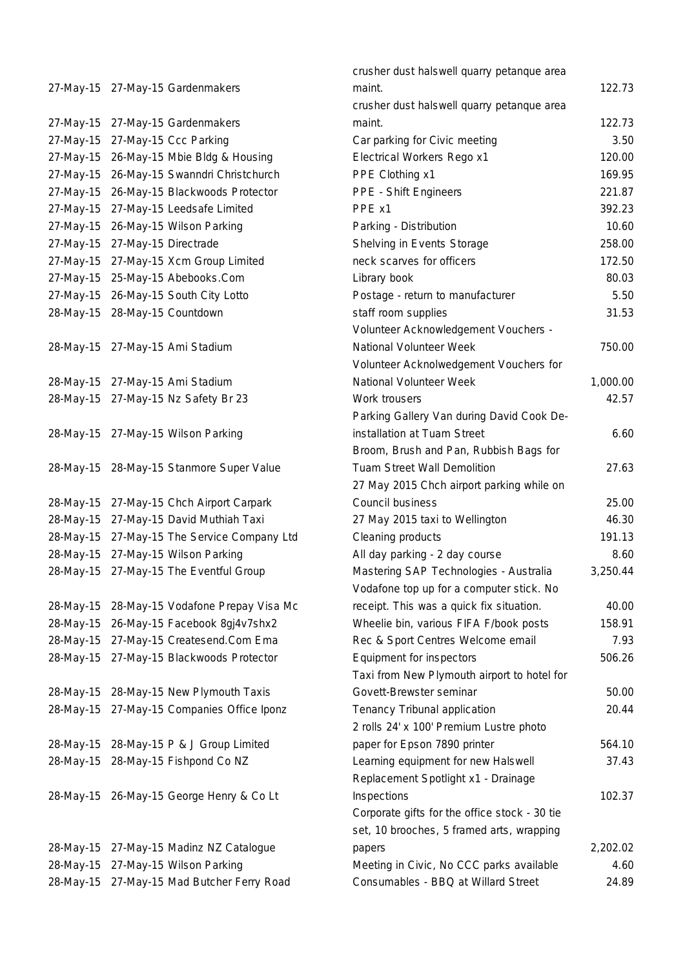27-May-15 27-May-15 Gardenmakers 27-May-15 27-May-15 Gardenmakers 27-May-15 27-May-15 Ccc Parking 27-May-15 26-May-15 Mbie Bldg & Housing 27-May-15 26-May-15 Swanndri Christchurch 27-May-15 26-May-15 Blackwoods Protector 27-May-15 27-May-15 Leedsafe Limited 27-May-15 26-May-15 Wilson Parking 27-May-15 27-May-15 Directrade 27-May-15 27-May-15 Xcm Group Limited 27-May-15 25-May-15 Abebooks.Com 27-May-15 26-May-15 South City Lotto 28-May-15 28-May-15 Countdown 28-May-15 27-May-15 Ami Stadium 28-May-15 27-May-15 Ami Stadium 28-May-15 27-May-15 Nz Safety Br 23 28-May-15 27-May-15 Wilson Parking 28-May-15 28-May-15 Stanmore Super Value 28-May-15 27-May-15 Chch Airport Carpark 28-May-15 27-May-15 David Muthiah Taxi 28-May-15 27-May-15 The Service Company Ltd 28-May-15 27-May-15 Wilson Parking 28-May-15 27-May-15 The Eventful Group 28-May-15 28-May-15 Vodafone Prepay Visa Mc 28-May-15 26-May-15 Facebook 8gj4v7shx2 28-May-15 27-May-15 Createsend.Com Ema 28-May-15 27-May-15 Blackwoods Protector 28-May-15 28-May-15 New Plymouth Taxis 28-May-15 27-May-15 Companies Office Iponz 28-May-15 28-May-15 P & J Group Limited 28-May-15 28-May-15 Fishpond Co NZ 28-May-15 26-May-15 George Henry & Co Lt 28-May-15 27-May-15 Madinz NZ Catalogue 28-May-15 27-May-15 Wilson Parking 28-May-15 27-May-15 Mad Butcher Ferry Road

| crusher dust halswell quarry petanque area    |          |
|-----------------------------------------------|----------|
| maint.                                        | 122.73   |
| crusher dust halswell quarry petanque area    |          |
| maint.                                        | 122.73   |
| Car parking for Civic meeting                 | 3.50     |
| Electrical Workers Rego x1                    | 120.00   |
| PPE Clothing x1                               | 169.95   |
| <b>PPE - Shift Engineers</b>                  | 221.87   |
| PPE x1                                        | 392.23   |
| Parking - Distribution                        | 10.60    |
| Shelving in Events Storage                    | 258.00   |
| neck scarves for officers                     | 172.50   |
| Library book                                  | 80.03    |
| Postage - return to manufacturer              | 5.50     |
| staff room supplies                           | 31.53    |
| Volunteer Acknowledgement Vouchers -          |          |
| National Volunteer Week                       | 750.00   |
| Volunteer Acknolwedgement Vouchers for        |          |
| National Volunteer Week                       | 1,000.00 |
| Work trousers                                 | 42.57    |
| Parking Gallery Van during David Cook De-     |          |
| installation at Tuam Street                   | 6.60     |
| Broom, Brush and Pan, Rubbish Bags for        |          |
| <b>Tuam Street Wall Demolition</b>            | 27.63    |
| 27 May 2015 Chch airport parking while on     |          |
| Council business                              | 25.00    |
| 27 May 2015 taxi to Wellington                | 46.30    |
| Cleaning products                             | 191.13   |
| All day parking - 2 day course                | 8.60     |
| Mastering SAP Technologies - Australia        | 3,250.44 |
| Vodafone top up for a computer stick. No      |          |
| receipt. This was a quick fix situation.      | 40.00    |
| Wheelie bin, various FIFA F/book posts        | 158.91   |
| Rec & Sport Centres Welcome email             | 7.93     |
| Equipment for inspectors                      | 506.26   |
| Taxi from New Plymouth airport to hotel for   |          |
| Govett-Brewster seminar                       | 50.00    |
| Tenancy Tribunal application                  | 20.44    |
| 2 rolls 24' x 100' Premium Lustre photo       |          |
| paper for Epson 7890 printer                  | 564.10   |
| Learning equipment for new Halswell           | 37.43    |
| Replacement Spotlight x1 - Drainage           |          |
| Inspections                                   | 102.37   |
| Corporate gifts for the office stock - 30 tie |          |
| set, 10 brooches, 5 framed arts, wrapping     |          |
| papers                                        | 2,202.02 |
| Meeting in Civic, No CCC parks available      | 4.60     |
| Consumables - BBQ at Willard Street           | 24.89    |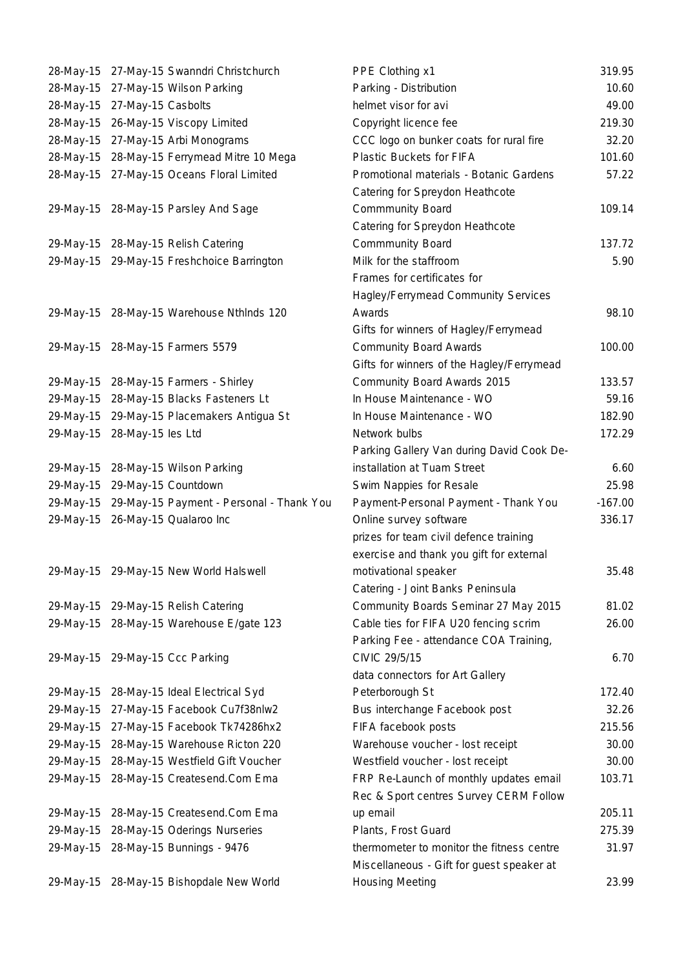| 28-May-15 |                    | 27-May-15 Swanndri Christchurch        |
|-----------|--------------------|----------------------------------------|
| 28-May-15 |                    | 27-May-15 Wilson Parking               |
| 28-May-15 | 27-May-15 Casbolts |                                        |
| 28-May-15 |                    | 26-May-15 Viscopy Limited              |
| 28-May-15 |                    | 27-May-15 Arbi Monograms               |
| 28-May-15 |                    | 28-May-15 Ferrymead Mitre 10 Mega      |
| 28-May-15 |                    | 27-May-15 Oceans Floral Limited        |
|           |                    |                                        |
| 29-May-15 |                    | 28-May-15 Parsley And Sage             |
| 29-May-15 |                    | 28-May-15 Relish Catering              |
| 29-May-15 |                    | 29-May-15 Freshchoice Barrington       |
|           |                    |                                        |
|           |                    |                                        |
| 29-May-15 |                    | 28-May-15 Warehouse Nthlnds 120        |
| 29-May-15 |                    | 28-May-15 Farmers 5579                 |
|           |                    |                                        |
| 29-May-15 |                    | 28-May-15 Farmers - Shirley            |
| 29-May-15 |                    | 28-May-15 Blacks Fasteners Lt          |
| 29-May-15 |                    | 29-May-15 Placemakers Antigua St       |
| 29-May-15 | 28-May-15 les Ltd  |                                        |
| 29-May-15 |                    | 28-May-15 Wilson Parking               |
| 29-May-15 |                    | 29-May-15 Countdown                    |
| 29-May-15 |                    | 29-May-15 Payment - Personal - Thank Y |
| 29-May-15 |                    | 26-May-15 Qualaroo Inc                 |
|           |                    |                                        |
| 29-May-15 |                    | 29-May-15 New World Halswell           |
|           |                    |                                        |
|           |                    | 29-May-15 29-May-15 Relish Catering    |
| 29-May-15 |                    | 28-May-15 Warehouse E/gate 123         |
|           |                    |                                        |
| 29-May-15 |                    | 29-May-15 Ccc Parking                  |
| 29-May-15 |                    | 28-May-15 Ideal Electrical Syd         |
| 29-May-15 |                    | 27-May-15 Facebook Cu7f38nlw2          |
|           |                    |                                        |
| 29-May-15 |                    | 27-May-15 Facebook Tk74286hx2          |
| 29-May-15 |                    | 28-May-15 Warehouse Ricton 220         |
| 29-May-15 |                    | 28-May-15 Westfield Gift Voucher       |
| 29-May-15 |                    | 28-May-15 Createsend.Com Ema           |
| 29-May-15 |                    | 28-May-15 Createsend.Com Ema           |
| 29-May-15 |                    | 28-May-15 Oderings Nurseries           |
| 29-May-15 |                    | 28-May-15 Bunnings - 9476              |
|           |                    |                                        |
| 29-May-15 |                    | 28-May-15 Bishopdale New World         |

|           | 28-May-15 27-May-15 Swanndri Christchurch  | PPE Clothing x1                           | 319.95    |
|-----------|--------------------------------------------|-------------------------------------------|-----------|
| 28-May-15 | 27-May-15 Wilson Parking                   | Parking - Distribution                    | 10.60     |
| 28-May-15 | 27-May-15 Casbolts                         | helmet visor for avi                      | 49.00     |
| 28-May-15 | 26-May-15 Viscopy Limited                  | Copyright licence fee                     | 219.30    |
|           | 28-May-15 27-May-15 Arbi Monograms         | CCC logo on bunker coats for rural fire   | 32.20     |
| 28-May-15 | 28-May-15 Ferrymead Mitre 10 Mega          | Plastic Buckets for FIFA                  | 101.60    |
|           | 28-May-15 27-May-15 Oceans Floral Limited  | Promotional materials - Botanic Gardens   | 57.22     |
|           |                                            | Catering for Spreydon Heathcote           |           |
|           | 29-May-15 28-May-15 Parsley And Sage       | <b>Commmunity Board</b>                   | 109.14    |
|           |                                            | Catering for Spreydon Heathcote           |           |
|           | 29-May-15 28-May-15 Relish Catering        | <b>Commmunity Board</b>                   | 137.72    |
|           | 29-May-15 29-May-15 Freshchoice Barrington | Milk for the staffroom                    | 5.90      |
|           |                                            | Frames for certificates for               |           |
|           |                                            | Hagley/Ferrymead Community Services       |           |
|           | 29-May-15 28-May-15 Warehouse Nthinds 120  | Awards                                    | 98.10     |
|           |                                            | Gifts for winners of Hagley/Ferrymead     |           |
|           | 29-May-15 28-May-15 Farmers 5579           | <b>Community Board Awards</b>             | 100.00    |
|           |                                            | Gifts for winners of the Hagley/Ferrymead |           |
|           | 29-May-15 28-May-15 Farmers - Shirley      | Community Board Awards 2015               | 133.57    |
| 29-May-15 | 28-May-15 Blacks Fasteners Lt              | In House Maintenance - WO                 | 59.16     |
|           | 29-May-15 29-May-15 Placemakers Antigua St | In House Maintenance - WO                 | 182.90    |
| 29-May-15 | 28-May-15 les Ltd                          | Network bulbs                             | 172.29    |
|           |                                            | Parking Gallery Van during David Cook De- |           |
| 29-May-15 | 28-May-15 Wilson Parking                   | installation at Tuam Street               | 6.60      |
| 29-May-15 | 29-May-15 Countdown                        | Swim Nappies for Resale                   | 25.98     |
| 29-May-15 | 29-May-15 Payment - Personal - Thank You   | Payment-Personal Payment - Thank You      | $-167.00$ |
|           | 29-May-15 26-May-15 Qualaroo Inc           | Online survey software                    | 336.17    |
|           |                                            | prizes for team civil defence training    |           |
|           |                                            | exercise and thank you gift for external  |           |
|           | 29-May-15 29-May-15 New World Halswell     | motivational speaker                      | 35.48     |
|           |                                            | Catering - Joint Banks Peninsula          |           |
|           | 29-May-15 29-May-15 Relish Catering        | Community Boards Seminar 27 May 2015      | 81.02     |
|           | 29-May-15 28-May-15 Warehouse E/gate 123   | Cable ties for FIFA U20 fencing scrim     | 26.00     |
|           |                                            | Parking Fee - attendance COA Training,    |           |
|           | 29-May-15 29-May-15 Ccc Parking            | CIVIC 29/5/15                             | 6.70      |
|           |                                            | data connectors for Art Gallery           |           |
| 29-May-15 | 28-May-15 Ideal Electrical Syd             | Peterborough St                           | 172.40    |
| 29-May-15 | 27-May-15 Facebook Cu7f38nlw2              | Bus interchange Facebook post             | 32.26     |
| 29-May-15 | 27-May-15 Facebook Tk74286hx2              | FIFA facebook posts                       | 215.56    |
| 29-May-15 | 28-May-15 Warehouse Ricton 220             | Warehouse voucher - lost receipt          | 30.00     |
| 29-May-15 | 28-May-15 Westfield Gift Voucher           | Westfield voucher - lost receipt          | 30.00     |
| 29-May-15 | 28-May-15 Createsend.Com Ema               | FRP Re-Launch of monthly updates email    | 103.71    |
|           |                                            | Rec & Sport centres Survey CERM Follow    |           |
| 29-May-15 | 28-May-15 Createsend.Com Ema               | up email                                  | 205.11    |
| 29-May-15 | 28-May-15 Oderings Nurseries               | Plants, Frost Guard                       | 275.39    |
| 29-May-15 | 28-May-15 Bunnings - 9476                  | thermometer to monitor the fitness centre | 31.97     |
|           |                                            | Miscellaneous - Gift for guest speaker at |           |
|           | 29-May-15 28-May-15 Bishopdale New World   | <b>Housing Meeting</b>                    | 23.99     |
|           |                                            |                                           |           |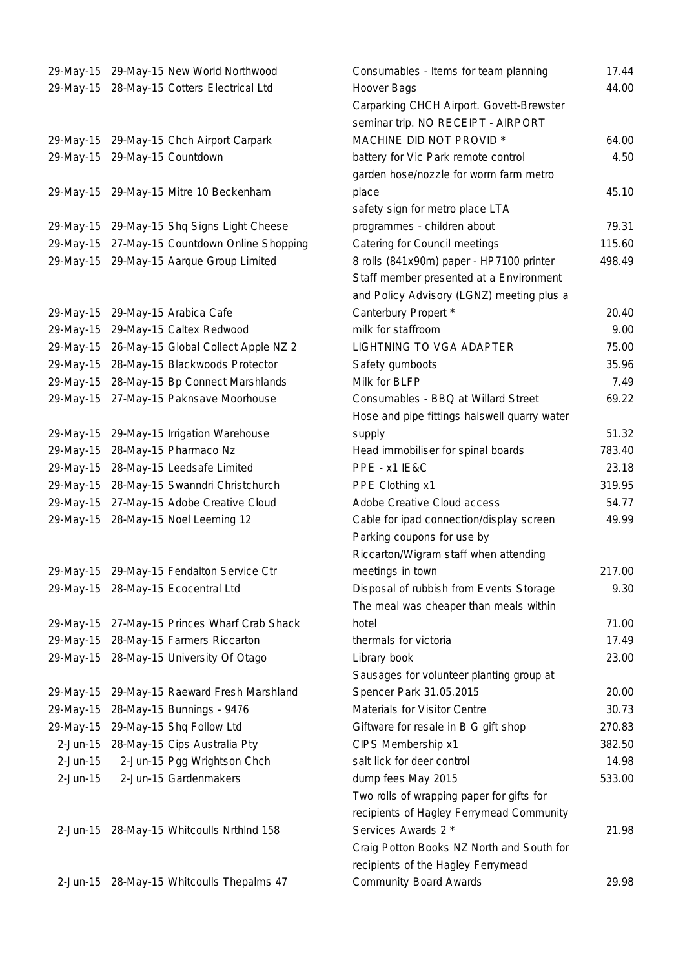| 29-May-15<br>29-May-15 | 29-May-15 New World Northwood<br>28-May-15 Cotters Electrical Ltd |
|------------------------|-------------------------------------------------------------------|
|                        |                                                                   |
| 29-May-15              | 29-May-15 Chch Airport Carpark                                    |
| 29-May-15              | 29-May-15 Countdown                                               |
| 29-May-15              | 29-May-15 Mitre 10 Beckenham                                      |
| 29-May-15              | 29-May-15 Shq Signs Light Cheese                                  |
| 29-May-15              | 27-May-15 Countdown Online Shopping                               |
| 29-May-15              | 29-May-15 Aarque Group Limited                                    |
|                        |                                                                   |
| 29-May-15              | 29-May-15 Arabica Cafe                                            |
| 29-May-15              | 29-May-15 Caltex Redwood                                          |
| 29-May-15              | 26-May-15 Global Collect Apple NZ 2                               |
| 29-May-15              | 28-May-15 Blackwoods Protector                                    |
| 29-May-15              | 28-May-15 Bp Connect Marshlands                                   |
| 29-May-15              | 27-May-15 Paknsave Moorhouse                                      |
| 29-May-15              | 29-May-15 Irrigation Warehouse                                    |
| 29-May-15              | 28-May-15 Pharmaco Nz                                             |
| 29-May-15              | 28-May-15 Leedsafe Limited                                        |
| 29-May-15              | 28-May-15 Swanndri Christchurch                                   |
| 29-May-15              | 27-May-15 Adobe Creative Cloud                                    |
| 29-May-15              | 28-May-15 Noel Leeming 12                                         |
|                        |                                                                   |
|                        | 29-May-15 29-May-15 Fendalton Service Ctr                         |
| 29-May-15              | 28-May-15 Ecocentral Ltd                                          |
|                        |                                                                   |
| 29-May-15              | 27-May-15 Princes Wharf Crab Shack                                |
| 29-May-15              | 28-May-15 Farmers Riccarton                                       |
| 29-May-15              | 28-May-15 University Of Otago                                     |
| 29-May-15              | 29-May-15 Raeward Fresh Marshland                                 |
| 29-May-15              | 28-May-15 Bunnings - 9476                                         |
| 29-May-15              | 29-May-15 Shq Follow Ltd                                          |
| $2-Jun-15$             | 28-May-15 Cips Australia Pty                                      |
| $2$ -Jun-15            | 2-Jun-15 Pgg Wrightson Chch                                       |
| $2$ -Jun-15            | 2-Jun-15 Gardenmakers                                             |
|                        |                                                                   |
|                        | 2-Jun-15 28-May-15 Whitcoulls Nrthlnd 158                         |

|             | 29-May-15 29-May-15 New World Northwood    | Consumables - Items for team planning        | 17.44           |
|-------------|--------------------------------------------|----------------------------------------------|-----------------|
| 29-May-15   | 28-May-15 Cotters Electrical Ltd           | Hoover Bags                                  | 44.00           |
|             |                                            | Carparking CHCH Airport. Govett-Brewster     |                 |
|             |                                            | seminar trip. NO RECEIPT - AIRPORT           |                 |
|             | 29-May-15 29-May-15 Chch Airport Carpark   | MACHINE DID NOT PROVID *                     | 64.00           |
| 29-May-15   | 29-May-15 Countdown                        | battery for Vic Park remote control          | 4.50            |
|             |                                            | garden hose/nozzle for worm farm metro       |                 |
|             | 29-May-15 29-May-15 Mitre 10 Beckenham     | place                                        | 45.10           |
|             |                                            | safety sign for metro place LTA              |                 |
|             | 29-May-15 29-May-15 Shq Signs Light Cheese | programmes - children about                  | 79.31           |
| 29-May-15   | 27-May-15 Countdown Online Shopping        | Catering for Council meetings                | 115.60          |
|             | 29-May-15 29-May-15 Aarque Group Limited   | 8 rolls (841x90m) paper - HP7100 printer     | 498.49          |
|             |                                            | Staff member presented at a Environment      |                 |
|             |                                            | and Policy Advisory (LGNZ) meeting plus a    |                 |
| 29-May-15   | 29-May-15 Arabica Cafe                     | Canterbury Propert *<br>milk for staffroom   | 20.40           |
| 29-May-15   | 29-May-15 Caltex Redwood                   |                                              | 9.00            |
| 29-May-15   | 26-May-15 Global Collect Apple NZ 2        | LIGHTNING TO VGA ADAPTER                     | 75.00           |
| 29-May-15   | 28-May-15 Blackwoods Protector             | Safety gumboots                              | 35.96           |
| 29-May-15   | 28-May-15 Bp Connect Marshlands            | Milk for BLFP                                | 7.49            |
|             | 29-May-15 27-May-15 Paknsave Moorhouse     | Consumables - BBQ at Willard Street          | 69.22           |
|             |                                            | Hose and pipe fittings halswell quarry water |                 |
| 29-May-15   | 29-May-15 Irrigation Warehouse             | supply                                       | 51.32<br>783.40 |
| 29-May-15   | 28-May-15 Pharmaco Nz                      | Head immobiliser for spinal boards           |                 |
| 29-May-15   | 28-May-15 Leedsafe Limited                 | PPE - x1 IE&C                                | 23.18           |
| 29-May-15   | 28-May-15 Swanndri Christchurch            | PPE Clothing x1                              | 319.95          |
| 29-May-15   | 27-May-15 Adobe Creative Cloud             | Adobe Creative Cloud access                  | 54.77           |
| 29-May-15   | 28-May-15 Noel Leeming 12                  | Cable for ipad connection/display screen     | 49.99           |
|             |                                            | Parking coupons for use by                   |                 |
|             |                                            | Riccarton/Wigram staff when attending        |                 |
|             | 29-May-15 29-May-15 Fendalton Service Ctr  | meetings in town                             | 217.00          |
|             | 29-May-15 28-May-15 Ecocentral Ltd         | Disposal of rubbish from Events Storage      | 9.30            |
|             |                                            | The meal was cheaper than meals within       |                 |
| 29-May-15   | 27-May-15 Princes Wharf Crab Shack         | hotel                                        | 71.00           |
| 29-May-15   | 28-May-15 Farmers Riccarton                | thermals for victoria                        | 17.49           |
| 29-May-15   | 28-May-15 University Of Otago              | Library book                                 | 23.00           |
|             |                                            | Sausages for volunteer planting group at     |                 |
| 29-May-15   | 29-May-15 Raeward Fresh Marshland          | Spencer Park 31.05.2015                      | 20.00           |
| 29-May-15   | 28-May-15 Bunnings - 9476                  | Materials for Visitor Centre                 | 30.73           |
| 29-May-15   | 29-May-15 Shq Follow Ltd                   | Giftware for resale in B G gift shop         | 270.83          |
| $2$ -Jun-15 | 28-May-15 Cips Australia Pty               | CIPS Membership x1                           | 382.50          |
| $2$ -Jun-15 | 2-Jun-15 Pgg Wrightson Chch                | salt lick for deer control                   | 14.98           |
| $2$ -Jun-15 | 2-Jun-15 Gardenmakers                      | dump fees May 2015                           | 533.00          |
|             |                                            | Two rolls of wrapping paper for gifts for    |                 |
|             |                                            | recipients of Hagley Ferrymead Community     |                 |
|             | 2-Jun-15 28-May-15 Whitcoulls Nrthlnd 158  | Services Awards 2 *                          | 21.98           |
|             |                                            | Craig Potton Books NZ North and South for    |                 |
|             |                                            | recipients of the Hagley Ferrymead           | ാറ റഠ           |
|             | 2 lun 15 20 May 15 Whiteoulle Thopalme 47  | Community Doord Awards                       |                 |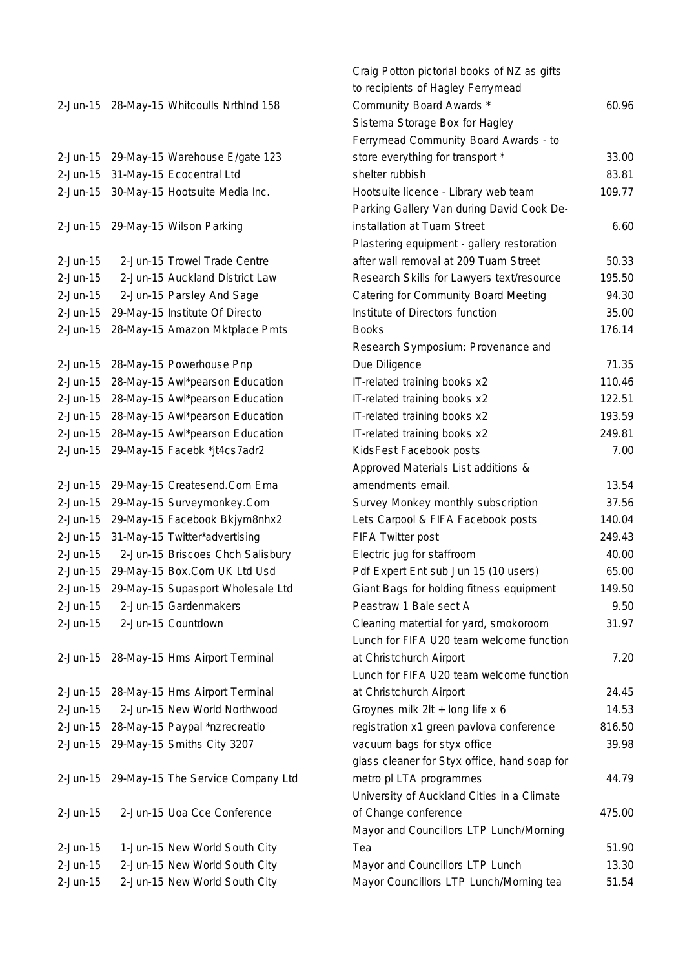|             |                             |                                           | ເບ ເປ           |
|-------------|-----------------------------|-------------------------------------------|-----------------|
|             |                             | 2-Jun-15 28-May-15 Whitcoulls Nrthlnd 158 | Con             |
|             |                             |                                           | Sist            |
|             |                             |                                           | Ferr            |
| $2$ -Jun-15 |                             | 29-May-15 Warehouse E/gate 123            | stor            |
| $2-Jun-15$  |                             | 31-May-15 Ecocentral Ltd                  | shel            |
| $2-Jun-15$  |                             | 30-May-15 Hootsuite Media Inc.            | Hoo             |
|             |                             |                                           | Parl            |
| $2$ -Jun-15 |                             | 29-May-15 Wilson Parking                  | inst            |
|             |                             |                                           | Plas            |
| $2$ -Jun-15 |                             | 2-Jun-15 Trowel Trade Centre              | afte            |
| $2-Jun-15$  |                             | 2-Jun-15 Auckland District Law            | Res             |
| $2-Jun-15$  |                             | 2-Jun-15 Parsley And Sage                 | Cate            |
| $2-Jun-15$  |                             | 29-May-15 Institute Of Directo            | Insti           |
| $2-Jun-15$  |                             | 28-May-15 Amazon Mktplace Pmts            | <b>Boo</b>      |
|             |                             |                                           | <b>Res</b>      |
| $2-Jun-15$  |                             | 28-May-15 Powerhouse Pnp                  | Due             |
| $2-Jun-15$  |                             | 28-May-15 Awl*pearson Education           | $IT-rf$         |
| $2-Jun-15$  |                             | 28-May-15 Awl*pearson Education           | $IT-rf$         |
| $2-Jun-15$  |                             | 28-May-15 Awl*pearson Education           | $IT-rf$         |
| $2-Jun-15$  |                             | 28-May-15 Awl*pearson Education           | $IT-rf$         |
| $2-Jun-15$  |                             | 29-May-15 Facebk *jt4cs7adr2              | Kids            |
|             |                             |                                           | App             |
| $2$ -Jun-15 |                             | 29-May-15 Createsend.Com Ema              | ame             |
| $2-Jun-15$  |                             | 29-May-15 Surveymonkey.Com                | Sur             |
| $2-Jun-15$  |                             | 29-May-15 Facebook Bkjym8nhx2             | Lets            |
| $2-Jun-15$  |                             | 31-May-15 Twitter*advertising             | FIF/            |
| $2-Jun-15$  |                             | 2-Jun-15 Briscoes Chch Salisbury          | Elec            |
| $2-Jun-15$  |                             | 29-May-15 Box.Com UK Ltd Usd              | Pdf             |
| $2$ -Jun-15 |                             | 29-May-15 Supasport Wholesale Ltd         | Giar            |
| $2$ -Jun-15 |                             | 2-Jun-15 Gardenmakers                     | Pea             |
|             | 2-Jun-15 2-Jun-15 Countdown |                                           | Clea            |
|             |                             |                                           | Lun             |
|             |                             | 2-Jun-15 28-May-15 Hms Airport Terminal   | at C            |
|             |                             |                                           | Lun             |
| $2-Jun-15$  |                             | 28-May-15 Hms Airport Terminal            | at C            |
| $2-Jun-15$  |                             | 2-Jun-15 New World Northwood              | Gro <sup></sup> |
|             |                             | 2-Jun-15 28-May-15 Paypal *nzrecreatio    | regi:           |
|             |                             | 2-Jun-15 29-May-15 Smiths City 3207       | vacı            |
|             |                             |                                           | glas            |
| $2$ -Jun-15 |                             | 29-May-15 The Service Company Ltd         | met             |
|             |                             |                                           | Uniy            |
| $2-Jun-15$  |                             | 2-Jun-15 Uoa Cce Conference               | of C            |
|             |                             |                                           | May             |
| $2$ -Jun-15 |                             | 1-Jun-15 New World South City             | Tea             |
| $2$ -Jun-15 |                             | 2-Jun-15 New World South City             | May             |
| 2-Jun-15    |                             | 2-Jun-15 New World South City             | May             |

|             |                                           | Craig Potton pictorial books of NZ as gifts  |        |
|-------------|-------------------------------------------|----------------------------------------------|--------|
|             |                                           | to recipients of Hagley Ferrymead            |        |
|             | 2-Jun-15 28-May-15 Whitcoulls Nrthlnd 158 | Community Board Awards *                     | 60.96  |
|             |                                           | Sistema Storage Box for Hagley               |        |
|             |                                           | Ferrymead Community Board Awards - to        |        |
| 2-Jun-15    | 29-May-15 Warehouse E/gate 123            | store everything for transport *             | 33.00  |
| 2-Jun-15    | 31-May-15 Ecocentral Ltd                  | shelter rubbish                              | 83.81  |
| 2-Jun-15    | 30-May-15 Hootsuite Media Inc.            | Hootsuite licence - Library web team         | 109.77 |
|             |                                           | Parking Gallery Van during David Cook De-    |        |
| 2-Jun-15    | 29-May-15 Wilson Parking                  | installation at Tuam Street                  | 6.60   |
|             |                                           | Plastering equipment - gallery restoration   |        |
| 2-Jun-15    | 2-Jun-15 Trowel Trade Centre              | after wall removal at 209 Tuam Street        | 50.33  |
| 2-Jun-15    | 2-Jun-15 Auckland District Law            | Research Skills for Lawyers text/resource    | 195.50 |
| 2-Jun-15    | 2-Jun-15 Parsley And Sage                 | Catering for Community Board Meeting         | 94.30  |
| $2$ -Jun-15 | 29-May-15 Institute Of Directo            | Institute of Directors function              | 35.00  |
| 2-Jun-15    | 28-May-15 Amazon Mktplace Pmts            | <b>Books</b>                                 | 176.14 |
|             |                                           | Research Symposium: Provenance and           |        |
| 2-Jun-15    | 28-May-15 Powerhouse Pnp                  | Due Diligence                                | 71.35  |
| 2-Jun-15    | 28-May-15 Awl*pearson Education           | IT-related training books x2                 | 110.46 |
| 2-Jun-15    | 28-May-15 Awl*pearson Education           | IT-related training books x2                 | 122.51 |
| 2-Jun-15    | 28-May-15 Awl*pearson Education           | IT-related training books x2                 | 193.59 |
| 2-Jun-15    | 28-May-15 Awl*pearson Education           | IT-related training books x2                 | 249.81 |
| 2-Jun-15    | 29-May-15 Facebk *jt4cs7adr2              | KidsFest Facebook posts                      | 7.00   |
|             |                                           | Approved Materials List additions &          |        |
| 2-Jun-15    | 29-May-15 Createsend.Com Ema              | amendments email.                            | 13.54  |
| 2-Jun-15    | 29-May-15 Surveymonkey.Com                | Survey Monkey monthly subscription           | 37.56  |
| 2-Jun-15    | 29-May-15 Facebook Bkjym8nhx2             | Lets Carpool & FIFA Facebook posts           | 140.04 |
| 2-Jun-15    | 31-May-15 Twitter*advertising             | FIFA Twitter post                            | 249.43 |
| 2-Jun-15    | 2-Jun-15 Briscoes Chch Salisbury          | Electric jug for staffroom                   | 40.00  |
| 2-Jun-15    | 29-May-15 Box.Com UK Ltd Usd              | Pdf Expert Ent sub Jun 15 (10 users)         | 65.00  |
| 2-Jun-15    | 29-May-15 Supasport Wholesale Ltd         | Giant Bags for holding fitness equipment     | 149.50 |
| $2$ -Jun-15 | 2-Jun-15 Gardenmakers                     | Peastraw 1 Bale sect A                       | 9.50   |
| 2-Jun-15    | 2-Jun-15 Countdown                        | Cleaning matertial for yard, smokoroom       | 31.97  |
|             |                                           | Lunch for FIFA U20 team welcome function     |        |
| 2-Jun-15    | 28-May-15 Hms Airport Terminal            | at Christchurch Airport                      | 7.20   |
|             |                                           | Lunch for FIFA U20 team welcome function     |        |
| 2-Jun-15    | 28-May-15 Hms Airport Terminal            | at Christchurch Airport                      | 24.45  |
| 2-Jun-15    | 2-Jun-15 New World Northwood              | Groynes milk 2lt + long life x 6             | 14.53  |
| 2-Jun-15    | 28-May-15 Paypal *nzrecreatio             | registration x1 green pavlova conference     | 816.50 |
| 2-Jun-15    | 29-May-15 Smiths City 3207                | vacuum bags for styx office                  | 39.98  |
|             |                                           | glass cleaner for Styx office, hand soap for |        |
| 2-Jun-15    | 29-May-15 The Service Company Ltd         | metro pl LTA programmes                      | 44.79  |
|             |                                           | University of Auckland Cities in a Climate   |        |
| 2-Jun-15    | 2-Jun-15 Uoa Cce Conference               | of Change conference                         | 475.00 |
|             |                                           | Mayor and Councillors LTP Lunch/Morning      |        |
| 2-Jun-15    | 1-Jun-15 New World South City             | Tea                                          | 51.90  |
| 2-Jun-15    | 2-Jun-15 New World South City             | Mayor and Councillors LTP Lunch              | 13.30  |
| 2-Jun-15    | 2-Jun-15 New World South City             | Mayor Councillors LTP Lunch/Morning tea      | 51.54  |
|             |                                           |                                              |        |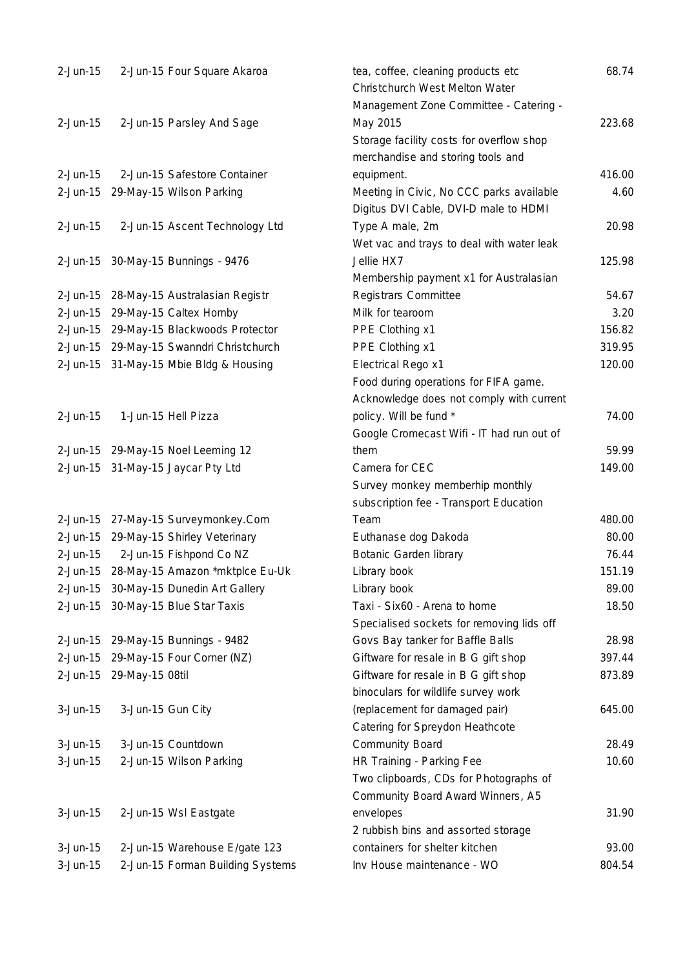| $2$ -Jun-15 | 2-Jun-15 Four Square Akaroa              | tea, coffee, cleaning products etc<br>Christchurch West Melton Water | 68.74  |
|-------------|------------------------------------------|----------------------------------------------------------------------|--------|
|             |                                          | Management Zone Committee - Catering -                               |        |
| $2$ -Jun-15 | 2-Jun-15 Parsley And Sage                | May 2015                                                             | 223.68 |
|             |                                          | Storage facility costs for overflow shop                             |        |
|             |                                          | merchandise and storing tools and                                    |        |
| $2$ -Jun-15 | 2-Jun-15 Safestore Container             | equipment.                                                           | 416.00 |
|             | 2-Jun-15 29-May-15 Wilson Parking        | Meeting in Civic, No CCC parks available                             | 4.60   |
|             |                                          | Digitus DVI Cable, DVI-D male to HDMI                                |        |
| $2$ -Jun-15 | 2-Jun-15 Ascent Technology Ltd           | Type A male, 2m                                                      | 20.98  |
|             |                                          | Wet vac and trays to deal with water leak                            |        |
|             | 2-Jun-15 30-May-15 Bunnings - 9476       | Jellie HX7                                                           | 125.98 |
|             |                                          | Membership payment x1 for Australasian                               |        |
|             | 2-Jun-15 28-May-15 Australasian Registr  | Registrars Committee                                                 | 54.67  |
|             | 2-Jun-15 29-May-15 Caltex Hornby         | Milk for tearoom                                                     | 3.20   |
|             | 2-Jun-15 29-May-15 Blackwoods Protector  | PPE Clothing x1                                                      | 156.82 |
|             | 2-Jun-15 29-May-15 Swanndri Christchurch | PPE Clothing x1                                                      | 319.95 |
|             | 2-Jun-15 31-May-15 Mbie Bldg & Housing   | Electrical Rego x1                                                   | 120.00 |
|             |                                          | Food during operations for FIFA game.                                |        |
|             |                                          | Acknowledge does not comply with current                             |        |
| $2$ -Jun-15 | 1-Jun-15 Hell Pizza                      | policy. Will be fund *                                               | 74.00  |
|             |                                          | Google Cromecast Wifi - IT had run out of                            |        |
|             | 2-Jun-15 29-May-15 Noel Leeming 12       | them                                                                 | 59.99  |
|             | 2-Jun-15 31-May-15 Jaycar Pty Ltd        | Camera for CEC                                                       | 149.00 |
|             |                                          | Survey monkey memberhip monthly                                      |        |
|             |                                          | subscription fee - Transport Education                               |        |
|             | 2-Jun-15 27-May-15 Surveymonkey.Com      | Team                                                                 | 480.00 |
|             | 2-Jun-15 29-May-15 Shirley Veterinary    | Euthanase dog Dakoda                                                 | 80.00  |
| $2$ -Jun-15 | 2-Jun-15 Fishpond Co NZ                  | <b>Botanic Garden library</b>                                        | 76.44  |
| 2-Jun-15    | 28-May-15 Amazon *mktplce Eu-Uk          | Library book                                                         | 151.19 |
|             | 2-Jun-15 30-May-15 Dunedin Art Gallery   | Library book                                                         | 89.00  |
|             | 2-Jun-15 30-May-15 Blue Star Taxis       | Taxi - Six60 - Arena to home                                         | 18.50  |
|             |                                          | Specialised sockets for removing lids off                            |        |
|             | 2-Jun-15 29-May-15 Bunnings - 9482       | Govs Bay tanker for Baffle Balls                                     | 28.98  |
|             | 2-Jun-15 29-May-15 Four Corner (NZ)      | Giftware for resale in B G gift shop                                 | 397.44 |
|             | 2-Jun-15 29-May-15 08til                 | Giftware for resale in B G gift shop                                 | 873.89 |
|             |                                          | binoculars for wildlife survey work                                  |        |
| $3-Jun-15$  | 3-Jun-15 Gun City                        | (replacement for damaged pair)                                       | 645.00 |
|             |                                          | Catering for Spreydon Heathcote                                      |        |
| $3-Jun-15$  | 3-Jun-15 Countdown                       | <b>Community Board</b>                                               | 28.49  |
| $3-Jun-15$  | 2-Jun-15 Wilson Parking                  | HR Training - Parking Fee                                            | 10.60  |
|             |                                          | Two clipboards, CDs for Photographs of                               |        |
|             |                                          | Community Board Award Winners, A5                                    |        |
| $3-Jun-15$  | 2-Jun-15 Wsl Eastgate                    | envelopes                                                            | 31.90  |
|             |                                          | 2 rubbish bins and assorted storage                                  |        |
| $3-Jun-15$  | 2-Jun-15 Warehouse E/gate 123            | containers for shelter kitchen                                       | 93.00  |
| $3-Jun-15$  | 2-Jun-15 Forman Building Systems         | Inv House maintenance - WO                                           | 804.54 |
|             |                                          |                                                                      |        |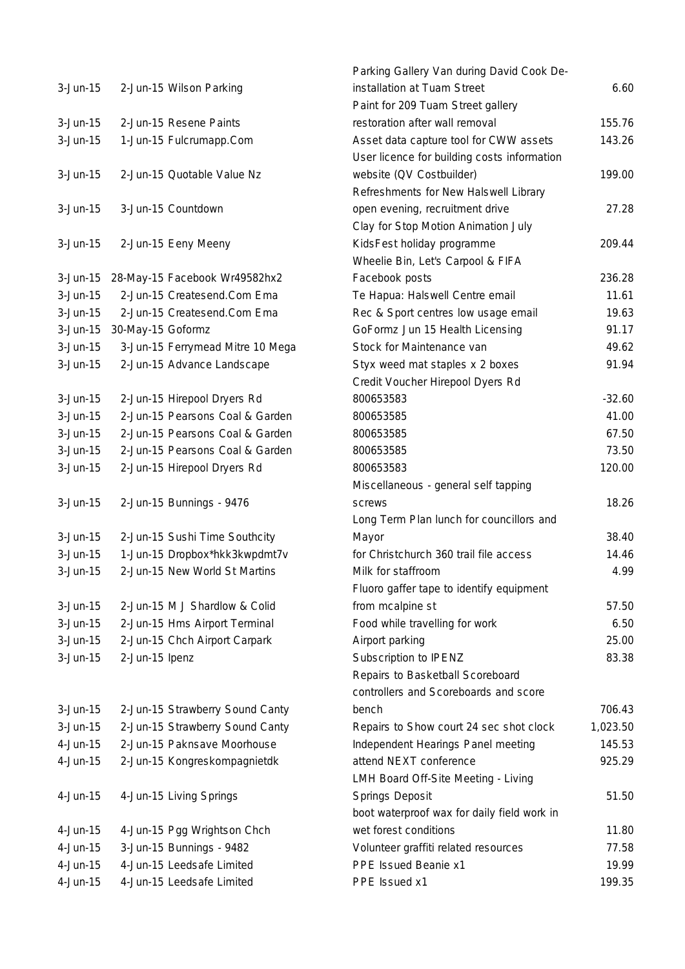| $3 - Jun-15$ |                   | 2-Jun-15 Wilson Parking          |
|--------------|-------------------|----------------------------------|
| 3-Jun-15     |                   | 2-Jun-15 Resene Paints           |
| 3-Jun-15     |                   | 1-Jun-15 Fulcrumapp.Com          |
| $3 - Jun-15$ |                   | 2-Jun-15 Quotable Value Nz       |
| 3-Jun-15     |                   | 3-Jun-15 Countdown               |
| 3-Jun-15     |                   | 2-Jun-15 Eeny Meeny              |
| $3 - Jun-15$ |                   | 28-May-15 Facebook Wr49582hx2    |
| 3-Jun-15     |                   | 2-Jun-15 Createsend.Com Ema      |
| 3-Jun-15     |                   | 2-Jun-15 Createsend.Com Ema      |
| 3-Jun-15     | 30-May-15 Goformz |                                  |
| 3-Jun-15     |                   | 3-Jun-15 Ferrymead Mitre 10 Mega |
| 3-Jun-15     |                   | 2-Jun-15 Advance Landscape       |
| $3 - Jun-15$ |                   | 2-Jun-15 Hirepool Dryers Rd      |
| 3-Jun-15     |                   | 2-Jun-15 Pearsons Coal & Garden  |
| 3-Jun-15     |                   | 2-Jun-15 Pearsons Coal & Garden  |
| 3-Jun-15     |                   | 2-Jun-15 Pearsons Coal & Garden  |
| $3-Jun-15$   |                   |                                  |
|              |                   | 2-Jun-15 Hirepool Dryers Rd      |
| 3-Jun-15     |                   | 2-Jun-15 Bunnings - 9476         |
| 3-Jun-15     |                   | 2-Jun-15 Sushi Time Southcity    |
| $3 - Jun-15$ |                   | 1-Jun-15 Dropbox*hkk3kwpdmt7v    |
| 3-Jun-15     |                   | 2-Jun-15 New World St Martins    |
| 3-Jun-15     |                   | 2-Jun-15 M J Shardlow & Colid    |
| $3-Jun-15$   |                   | 2-Jun-15 Hms Airport Terminal    |
| 3-Jun-15     |                   | 2-Jun-15 Chch Airport Carpark    |
| 3-Jun-15     | 2-Jun-15 Ipenz    |                                  |
|              |                   |                                  |
| 3-Jun-15     |                   | 2-Jun-15 Strawberry Sound Canty  |
| 3-Jun-15     |                   | 2-Jun-15 Strawberry Sound Canty  |
| 4-Jun-15     |                   | 2-Jun-15 Paknsave Moorhouse      |
| 4-Jun-15     |                   | 2-Jun-15 Kongreskompagnietdk     |
| 4-Jun-15     |                   | 4-Jun-15 Living Springs          |
| 4-Jun-15     |                   | 4-Jun-15 Pgg Wrightson Chch      |
| 4-Jun-15     |                   | 3-Jun-15 Bunnings - 9482         |
| 4-Jun-15     |                   | 4-Jun-15 Leedsafe Limited        |
| 4-Jun-15     |                   | 4-Jun-15 Leedsafe Limited        |
|              |                   |                                  |

|            |                                  | Parking Gallery Van during David Cook De-   |          |
|------------|----------------------------------|---------------------------------------------|----------|
| $3-Jun-15$ | 2-Jun-15 Wilson Parking          | installation at Tuam Street                 | 6.60     |
|            |                                  | Paint for 209 Tuam Street gallery           |          |
| $3-Jun-15$ | 2-Jun-15 Resene Paints           | restoration after wall removal              | 155.76   |
| $3-Jun-15$ | 1-Jun-15 Fulcrumapp.Com          | Asset data capture tool for CWW assets      | 143.26   |
|            |                                  | User licence for building costs information |          |
| $3-Jun-15$ | 2-Jun-15 Quotable Value Nz       | website (QV Costbuilder)                    | 199.00   |
|            |                                  | Refreshments for New Halswell Library       |          |
| $3-Jun-15$ | 3-Jun-15 Countdown               | open evening, recruitment drive             | 27.28    |
|            |                                  | Clay for Stop Motion Animation July         |          |
| 3-Jun-15   | 2-Jun-15 Eeny Meeny              | KidsFest holiday programme                  | 209.44   |
|            |                                  | Wheelie Bin, Let's Carpool & FIFA           |          |
| 3-Jun-15   | 28-May-15 Facebook Wr49582hx2    | Facebook posts                              | 236.28   |
| $3-Jun-15$ | 2-Jun-15 Createsend.Com Ema      | Te Hapua: Halswell Centre email             | 11.61    |
| $3-Jun-15$ | 2-Jun-15 Createsend.Com Ema      | Rec & Sport centres low usage email         | 19.63    |
| $3-Jun-15$ | 30-May-15 Goformz                | GoFormz Jun 15 Health Licensing             | 91.17    |
| $3-Jun-15$ | 3-Jun-15 Ferrymead Mitre 10 Mega | Stock for Maintenance van                   | 49.62    |
| $3-Jun-15$ | 2-Jun-15 Advance Landscape       | Styx weed mat staples x 2 boxes             | 91.94    |
|            |                                  | Credit Voucher Hirepool Dyers Rd            |          |
| 3-Jun-15   | 2-Jun-15 Hirepool Dryers Rd      | 800653583                                   | $-32.60$ |
| $3-Jun-15$ | 2-Jun-15 Pearsons Coal & Garden  | 800653585                                   | 41.00    |
| $3-Jun-15$ | 2-Jun-15 Pearsons Coal & Garden  | 800653585                                   | 67.50    |
| $3-Jun-15$ | 2-Jun-15 Pearsons Coal & Garden  | 800653585                                   | 73.50    |
| $3-Jun-15$ | 2-Jun-15 Hirepool Dryers Rd      | 800653583                                   | 120.00   |
|            |                                  | Miscellaneous - general self tapping        |          |
| $3-Jun-15$ | 2-Jun-15 Bunnings - 9476         | <b>SCrews</b>                               | 18.26    |
|            |                                  | Long Term Plan lunch for councillors and    |          |
| $3-Jun-15$ | 2-Jun-15 Sushi Time Southcity    | Mayor                                       | 38.40    |
| $3-Jun-15$ | 1-Jun-15 Dropbox*hkk3kwpdmt7v    | for Christchurch 360 trail file access      | 14.46    |
| $3-Jun-15$ | 2-Jun-15 New World St Martins    | Milk for staffroom                          | 4.99     |
|            |                                  | Fluoro gaffer tape to identify equipment    |          |
| 3-Jun-15   | 2-Jun-15 M J Shardlow & Colid    | from mcalpine st                            | 57.50    |
| $3-Jun-15$ | 2-Jun-15 Hms Airport Terminal    | Food while travelling for work              | 6.50     |
| $3-Jun-15$ | 2-Jun-15 Chch Airport Carpark    | Airport parking                             | 25.00    |
| $3-Jun-15$ | 2-Jun-15 Ipenz                   | Subscription to IPENZ                       | 83.38    |
|            |                                  | Repairs to Basketball Scoreboard            |          |
|            |                                  | controllers and Scoreboards and score       |          |
| $3-Jun-15$ | 2-Jun-15 Strawberry Sound Canty  | bench                                       | 706.43   |
| $3-Jun-15$ | 2-Jun-15 Strawberry Sound Canty  | Repairs to Show court 24 sec shot clock     | 1,023.50 |
| 4-Jun-15   | 2-Jun-15 Paknsave Moorhouse      | Independent Hearings Panel meeting          | 145.53   |
| 4-Jun-15   | 2-Jun-15 Kongreskompagnietdk     | attend NEXT conference                      | 925.29   |
|            |                                  | LMH Board Off-Site Meeting - Living         |          |
| 4-Jun-15   | 4-Jun-15 Living Springs          | <b>Springs Deposit</b>                      | 51.50    |
|            |                                  | boot waterproof wax for daily field work in |          |
| 4-Jun-15   | 4-Jun-15 Pgg Wrightson Chch      | wet forest conditions                       | 11.80    |
| 4-Jun-15   | 3-Jun-15 Bunnings - 9482         | Volunteer graffiti related resources        | 77.58    |
| 4-Jun-15   | 4-Jun-15 Leedsafe Limited        | PPE Issued Beanie x1                        | 19.99    |
| 4-Jun-15   | 4-Jun-15 Leedsafe Limited        | PPE Issued x1                               | 199.35   |
|            |                                  |                                             |          |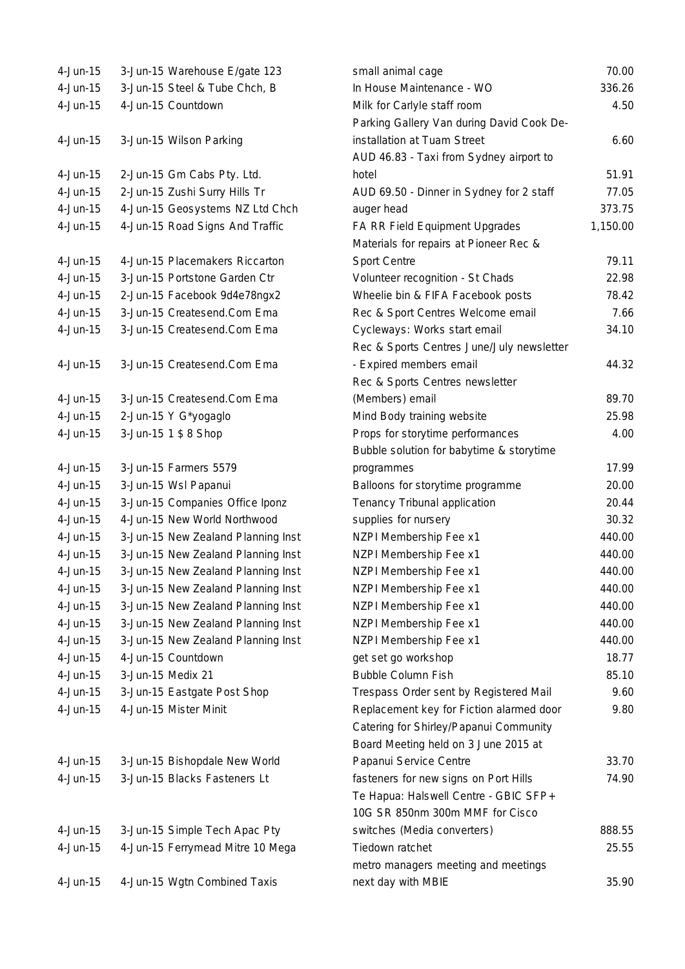4-Jun-15 3-Jun-15 Warehouse E/gate 123 4-Jun-15 3-Jun-15 Steel & Tube Chch, B 4-Jun-15 4-Jun-15 Countdown 4-Jun-15 3-Jun-15 Wilson Parking 4-Jun-15 2-Jun-15 Gm Cabs Pty. Ltd. 4-Jun-15 2-Jun-15 Zushi Surry Hills Tr 4-Jun-15 4-Jun-15 Geosystems NZ Ltd Chch 4-Jun-15 4-Jun-15 Road Signs And Traffic 4-Jun-15 4-Jun-15 Placemakers Riccarton 4-Jun-15 3-Jun-15 Portstone Garden Ctr 4-Jun-15 2-Jun-15 Facebook 9d4e78ngx2 4-Jun-15 3-Jun-15 Createsend.Com Ema 4-Jun-15 3-Jun-15 Createsend.Com Ema 4-Jun-15 3-Jun-15 Createsend.Com Ema 4-Jun-15 3-Jun-15 Createsend.Com Ema 4-Jun-15  $2$ -Jun-15 Y G\*yogaglo 4-Jun-15 3-Jun-15 1 \$ 8 Shop 4-Jun-15 3-Jun-15 Farmers 5579 4-Jun-15 3-Jun-15 Wsl Papanui 4-Jun-15 3-Jun-15 Companies Office Iponz 4-Jun-15 4-Jun-15 New World Northwood 4-Jun-15 3-Jun-15 New Zealand Planning Inst 4-Jun-15 3-Jun-15 New Zealand Planning Inst 4-Jun-15 3-Jun-15 New Zealand Planning Inst 4-Jun-15 3-Jun-15 New Zealand Planning Inst 4-Jun-15 3-Jun-15 New Zealand Planning Inst 4-Jun-15 3-Jun-15 New Zealand Planning Inst 4-Jun-15 3-Jun-15 New Zealand Planning Inst 4-Jun-15 4-Jun-15 Countdown 4-Jun-15 3-Jun-15 Medix 21 4-Jun-15 3-Jun-15 Eastgate Post Shop 4-Jun-15 4-Jun-15 Mister Minit 4-Jun-15 3-Jun-15 Bishopdale New World 4-Jun-15 3-Jun-15 Blacks Fasteners Lt fasteners in the fasteners on Port Hills 74.900 for 14.900 for 14.900 for 4-Jun-15 3-Jun-15 Simple Tech Apac Pty 4-Jun-15 4-Jun-15 Ferrymead Mitre 10 Mega 4-Jun-15 4-Jun-15 Wgtn Combined Taxis

| small animal cage                         | 70.00    |
|-------------------------------------------|----------|
| In House Maintenance - WO                 | 336.26   |
| Milk for Carlyle staff room               | 4.50     |
| Parking Gallery Van during David Cook De- |          |
| installation at Tuam Street               | 6.60     |
| AUD 46.83 - Taxi from Sydney airport to   |          |
| hotel                                     | 51.91    |
| AUD 69.50 - Dinner in Sydney for 2 staff  | 77.05    |
| auger head                                | 373.75   |
| FA RR Field Equipment Upgrades            | 1,150.00 |
| Materials for repairs at Pioneer Rec &    |          |
| <b>Sport Centre</b>                       | 79.11    |
| Volunteer recognition - St Chads          | 22.98    |
| Wheelie bin & FIFA Facebook posts         | 78.42    |
| Rec & Sport Centres Welcome email         | 7.66     |
| Cycleways: Works start email              | 34.10    |
| Rec & Sports Centres June/July newsletter |          |
| - Expired members email                   | 44.32    |
| Rec & Sports Centres newsletter           |          |
| (Members) email                           | 89.70    |
| Mind Body training website                | 25.98    |
| Props for storytime performances          | 4.00     |
| Bubble solution for babytime & storytime  |          |
| programmes                                | 17.99    |
| Balloons for storytime programme          | 20.00    |
| Tenancy Tribunal application              | 20.44    |
| supplies for nursery                      | 30.32    |
| <b>NZPI Membership Fee x1</b>             | 440.00   |
| NZPI Membership Fee x1                    | 440.00   |
| <b>NZPI Membership Fee x1</b>             | 440.00   |
| NZPI Membership Fee x1                    | 440.00   |
| <b>NZPI Membership Fee x1</b>             | 440.00   |
| NZPI Membership Fee x1                    | 440.00   |
| NZPI Membership Fee x1                    | 440.00   |
| get set go workshop                       | 18.77    |
| <b>Bubble Column Fish</b>                 | 85.10    |
| Trespass Order sent by Registered Mail    | 9.60     |
| Replacement key for Fiction alarmed door  | 9.80     |
| Catering for Shirley/Papanui Community    |          |
| Board Meeting held on 3 June 2015 at      |          |
| Papanui Service Centre                    | 33.70    |
| fasteners for new signs on Port Hills     | 74.90    |
| Te Hapua: Halswell Centre - GBIC SFP+     |          |
| 10G SR 850nm 300m MMF for Cisco           |          |
| switches (Media converters)               | 888.55   |
| Tiedown ratchet                           | 25.55    |
| metro managers meeting and meetings       |          |
| next day with MBIE                        | 35.90    |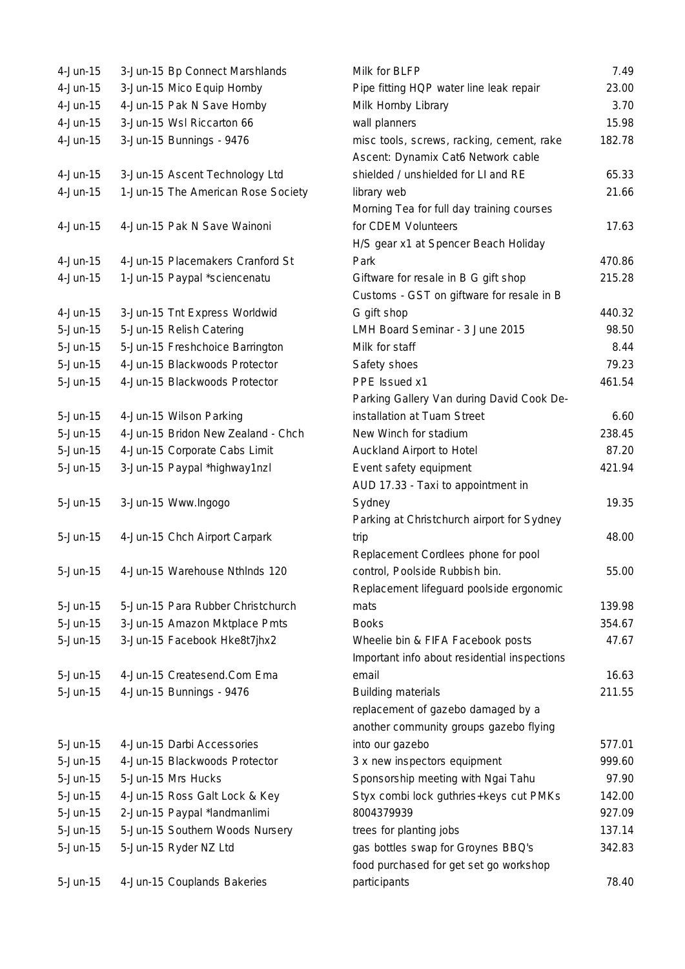| $4-Jun-15$   | 3-Jun-15 Bp Connect Marshlands     |
|--------------|------------------------------------|
| 4-Jun-15     | 3-Jun-15 Mico Equip Hornby         |
| 4-Jun-15     | 4-Jun-15 Pak N Save Hornby         |
| 4-Jun-15     | 3-Jun-15 Wsl Riccarton 66          |
| 4-Jun-15     | 3-Jun-15 Bunnings - 9476           |
|              |                                    |
| $4$ -Jun-15  | 3-Jun-15 Ascent Technology Ltd     |
| 4-Jun-15     | 1-Jun-15 The American Rose Society |
|              |                                    |
| 4-Jun-15     | 4-Jun-15 Pak N Save Wainoni        |
|              |                                    |
| 4-Jun-15     | 4-Jun-15 Placemakers Cranford St   |
| 4-Jun-15     | 1-Jun-15 Paypal *sciencenatu       |
|              |                                    |
| 4-Jun-15     | 3-Jun-15 Tnt Express Worldwid      |
| 5-Jun-15     | 5-Jun-15 Relish Catering           |
| 5-Jun-15     | 5-Jun-15 Freshchoice Barrington    |
| 5-Jun-15     | 4-Jun-15 Blackwoods Protector      |
| 5-Jun-15     | 4-Jun-15 Blackwoods Protector      |
|              |                                    |
| 5-Jun-15     | 4-Jun-15 Wilson Parking            |
| 5-Jun-15     | 4-Jun-15 Bridon New Zealand - Chch |
| 5-Jun-15     | 4-Jun-15 Corporate Cabs Limit      |
| 5-Jun-15     | 3-Jun-15 Paypal *highway1nzl       |
|              |                                    |
| 5-Jun-15     | 3-Jun-15 Www.Ingogo                |
|              |                                    |
| 5-Jun-15     | 4-Jun-15 Chch Airport Carpark      |
|              |                                    |
| 5-Jun-15     | 4-Jun-15 Warehouse Nthinds 120     |
|              |                                    |
| $5 - Jun-15$ | 5-Jun-15 Para Rubber Christchurch  |
| $5 - Jun-15$ | 3-Jun-15 Amazon Mktplace Pmts      |
| $5 - Jun-15$ | 3-Jun-15 Facebook Hke8t7jhx2       |
|              |                                    |
| 5-Jun-15     | 4-Jun-15 Createsend.Com Ema        |
| $5 - Jun-15$ | 4-Jun-15 Bunnings - 9476           |
|              |                                    |
|              |                                    |
| 5-Jun-15     | 4-Jun-15 Darbi Accessories         |
| $5 - Jun-15$ | 4-Jun-15 Blackwoods Protector      |
| $5 - Jun-15$ | 5-Jun-15 Mrs Hucks                 |
| $5 - Jun-15$ | 4-Jun-15 Ross Galt Lock & Key      |
| $5 - Jun-15$ | 2-Jun-15 Paypal *landmanlimi       |
| $5 - Jun-15$ | 5-Jun-15 Southern Woods Nursery    |
| 5-Jun-15     | 5-Jun-15 Ryder NZ Ltd              |
|              |                                    |
| 5-Jun-15     | 4-Jun-15 Couplands Bakeries        |

| 4-Jun-15     | 3-Jun-15 Bp Connect Marshlands     | Milk for BLFP                                | 7.49   |
|--------------|------------------------------------|----------------------------------------------|--------|
| 4-Jun-15     | 3-Jun-15 Mico Equip Hornby         | Pipe fitting HQP water line leak repair      | 23.00  |
| 4-Jun-15     | 4-Jun-15 Pak N Save Hornby         | Milk Hornby Library                          | 3.70   |
| $4$ -Jun-15  | 3-Jun-15 Wsl Riccarton 66          | wall planners                                | 15.98  |
| 4-Jun-15     | 3-Jun-15 Bunnings - 9476           | misc tools, screws, racking, cement, rake    | 182.78 |
|              |                                    | Ascent: Dynamix Cat6 Network cable           |        |
| 4-Jun-15     | 3-Jun-15 Ascent Technology Ltd     | shielded / unshielded for LI and RE          | 65.33  |
| $4$ -Jun-15  | 1-Jun-15 The American Rose Society | library web                                  | 21.66  |
|              |                                    | Morning Tea for full day training courses    |        |
| 4-Jun-15     | 4-Jun-15 Pak N Save Wainoni        | for CDEM Volunteers                          | 17.63  |
|              |                                    | H/S gear x1 at Spencer Beach Holiday         |        |
| 4-Jun-15     | 4-Jun-15 Placemakers Cranford St   | Park                                         | 470.86 |
| 4-Jun-15     | 1-Jun-15 Paypal *sciencenatu       | Giftware for resale in B G gift shop         | 215.28 |
|              |                                    | Customs - GST on giftware for resale in B    |        |
| 4-Jun-15     | 3-Jun-15 Tnt Express Worldwid      | G gift shop                                  | 440.32 |
| 5-Jun-15     | 5-Jun-15 Relish Catering           | LMH Board Seminar - 3 June 2015              | 98.50  |
| 5-Jun-15     | 5-Jun-15 Freshchoice Barrington    | Milk for staff                               | 8.44   |
| 5-Jun-15     | 4-Jun-15 Blackwoods Protector      | Safety shoes                                 | 79.23  |
| $5 - Jun-15$ | 4-Jun-15 Blackwoods Protector      | PPE Issued x1                                | 461.54 |
|              |                                    | Parking Gallery Van during David Cook De-    |        |
| 5-Jun-15     | 4-Jun-15 Wilson Parking            | installation at Tuam Street                  | 6.60   |
| 5-Jun-15     | 4-Jun-15 Bridon New Zealand - Chch | New Winch for stadium                        | 238.45 |
| 5-Jun-15     | 4-Jun-15 Corporate Cabs Limit      | Auckland Airport to Hotel                    | 87.20  |
| 5-Jun-15     | 3-Jun-15 Paypal *highway1nzl       | Event safety equipment                       | 421.94 |
|              |                                    | AUD 17.33 - Taxi to appointment in           |        |
| 5-Jun-15     | 3-Jun-15 Www.Ingogo                | Sydney                                       | 19.35  |
|              |                                    | Parking at Christchurch airport for Sydney   |        |
| 5-Jun-15     | 4-Jun-15 Chch Airport Carpark      | trip                                         | 48.00  |
|              |                                    | Replacement Cordlees phone for pool          |        |
| $5 - Jun-15$ | 4-Jun-15 Warehouse Nthlnds 120     | control, Poolside Rubbish bin.               | 55.00  |
|              |                                    | Replacement lifeguard poolside ergonomic     |        |
| $5 - Jun-15$ | 5-Jun-15 Para Rubber Christchurch  | mats                                         | 139.98 |
| 5-Jun-15     | 3-Jun-15 Amazon Mktplace Pmts      | <b>Books</b>                                 | 354.67 |
| 5-Jun-15     | 3-Jun-15 Facebook Hke8t7jhx2       | Wheelie bin & FIFA Facebook posts            | 47.67  |
|              |                                    | Important info about residential inspections |        |
| 5-Jun-15     | 4-Jun-15 Createsend.Com Ema        | email                                        | 16.63  |
| 5-Jun-15     | 4-Jun-15 Bunnings - 9476           | <b>Building materials</b>                    | 211.55 |
|              |                                    | replacement of gazebo damaged by a           |        |
|              |                                    | another community groups gazebo flying       |        |
| $5 - Jun-15$ | 4-Jun-15 Darbi Accessories         | into our gazebo                              | 577.01 |
| 5-Jun-15     | 4-Jun-15 Blackwoods Protector      | 3 x new inspectors equipment                 | 999.60 |
| 5-Jun-15     | 5-Jun-15 Mrs Hucks                 | Sponsorship meeting with Ngai Tahu           | 97.90  |
| 5-Jun-15     | 4-Jun-15 Ross Galt Lock & Key      | Styx combi lock guthries+keys cut PMKs       | 142.00 |
| 5-Jun-15     | 2-Jun-15 Paypal *landmanlimi       | 8004379939                                   | 927.09 |
| 5-Jun-15     | 5-Jun-15 Southern Woods Nursery    | trees for planting jobs                      | 137.14 |
| 5-Jun-15     | 5-Jun-15 Ryder NZ Ltd              | gas bottles swap for Groynes BBQ's           | 342.83 |
|              |                                    | food purchased for get set go workshop       |        |
| $5 - Jun-15$ | 4-Jun-15 Couplands Bakeries        | participants                                 | 78.40  |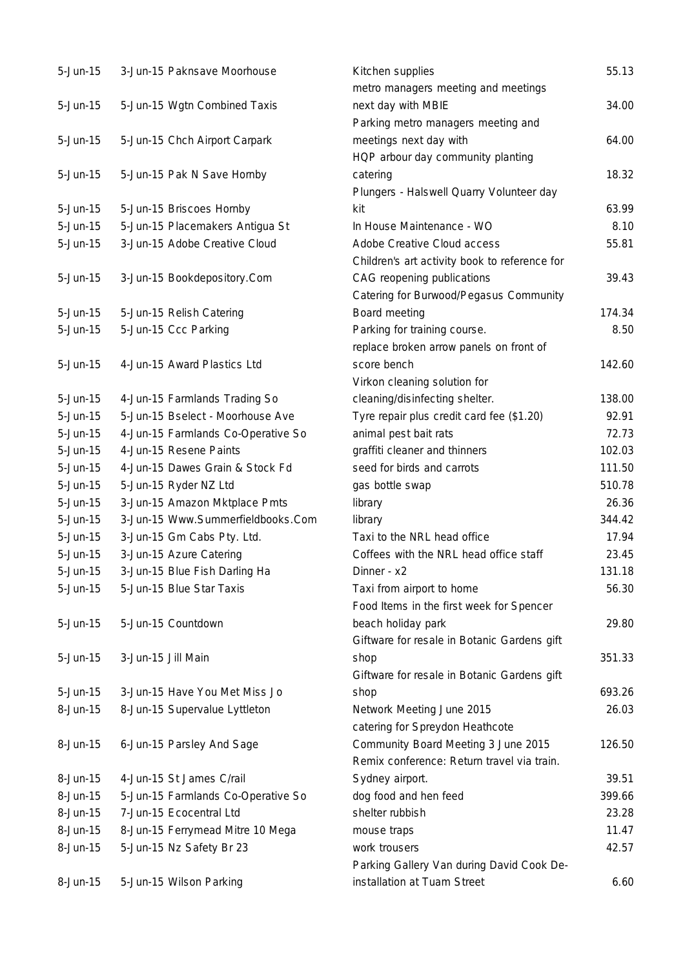| $5 - Jun-15$ | 3-Jun-15 Paknsave Moorhouse        | Kitchen supplies                              | 55.13  |
|--------------|------------------------------------|-----------------------------------------------|--------|
|              |                                    | metro managers meeting and meetings           |        |
| $5 - Jun-15$ | 5-Jun-15 Wgtn Combined Taxis       | next day with MBIE                            | 34.00  |
|              |                                    | Parking metro managers meeting and            |        |
| $5 - Jun-15$ | 5-Jun-15 Chch Airport Carpark      | meetings next day with                        | 64.00  |
|              |                                    | HQP arbour day community planting             |        |
| $5 - Jun-15$ | 5-Jun-15 Pak N Save Hornby         | catering                                      | 18.32  |
|              |                                    | Plungers - Halswell Quarry Volunteer day      |        |
| $5 - Jun-15$ | 5-Jun-15 Briscoes Hornby           | kit                                           | 63.99  |
| $5 - Jun-15$ | 5-Jun-15 Placemakers Antigua St    | In House Maintenance - WO                     | 8.10   |
| $5 - Jun-15$ | 3-Jun-15 Adobe Creative Cloud      | Adobe Creative Cloud access                   | 55.81  |
|              |                                    | Children's art activity book to reference for |        |
| $5 - Jun-15$ | 3-Jun-15 Bookdepository.Com        | CAG reopening publications                    | 39.43  |
|              |                                    | Catering for Burwood/Pegasus Community        |        |
| $5 - Jun-15$ | 5-Jun-15 Relish Catering           | Board meeting                                 | 174.34 |
| $5 - Jun-15$ | 5-Jun-15 Ccc Parking               | Parking for training course.                  | 8.50   |
|              |                                    | replace broken arrow panels on front of       |        |
| $5 - Jun-15$ | 4-Jun-15 Award Plastics Ltd        | score bench                                   | 142.60 |
|              |                                    | Virkon cleaning solution for                  |        |
| $5 - Jun-15$ | 4-Jun-15 Farmlands Trading So      | cleaning/disinfecting shelter.                | 138.00 |
| $5 - Jun-15$ | 5-Jun-15 Bselect - Moorhouse Ave   | Tyre repair plus credit card fee (\$1.20)     | 92.91  |
| $5 - Jun-15$ | 4-Jun-15 Farmlands Co-Operative So | animal pest bait rats                         | 72.73  |
| $5 - Jun-15$ | 4-Jun-15 Resene Paints             | graffiti cleaner and thinners                 | 102.03 |
| $5 - Jun-15$ | 4-Jun-15 Dawes Grain & Stock Fd    | seed for birds and carrots                    | 111.50 |
| $5 - Jun-15$ | 5-Jun-15 Ryder NZ Ltd              | gas bottle swap                               | 510.78 |
| $5 - Jun-15$ | 3-Jun-15 Amazon Mktplace Pmts      | library                                       | 26.36  |
| $5 - Jun-15$ | 3-Jun-15 Www.Summerfieldbooks.Com  | library                                       | 344.42 |
| $5 - Jun-15$ | 3-Jun-15 Gm Cabs Pty. Ltd.         | Taxi to the NRL head office                   | 17.94  |
| $5 - Jun-15$ | 3-Jun-15 Azure Catering            | Coffees with the NRL head office staff        | 23.45  |
| $5 - Jun-15$ | 3-Jun-15 Blue Fish Darling Ha      | Dinner - x2                                   | 131.18 |
| $5 - Jun-15$ | 5-Jun-15 Blue Star Taxis           | Taxi from airport to home                     | 56.30  |
|              |                                    | Food Items in the first week for Spencer      |        |
| $5 - Jun-15$ | 5-Jun-15 Countdown                 | beach holiday park                            | 29.80  |
|              |                                    | Giftware for resale in Botanic Gardens gift   |        |
| $5 - Jun-15$ | 3-Jun-15 Jill Main                 | shop                                          | 351.33 |
|              |                                    | Giftware for resale in Botanic Gardens gift   |        |
| $5 - Jun-15$ | 3-Jun-15 Have You Met Miss Jo      | shop                                          | 693.26 |
| 8-Jun-15     | 8-Jun-15 Supervalue Lyttleton      | Network Meeting June 2015                     | 26.03  |
|              |                                    | catering for Spreydon Heathcote               |        |
| 8-Jun-15     | 6-Jun-15 Parsley And Sage          | Community Board Meeting 3 June 2015           | 126.50 |
|              |                                    | Remix conference: Return travel via train.    |        |
| 8-Jun-15     | 4-Jun-15 St James C/rail           | Sydney airport.                               | 39.51  |
| 8-Jun-15     | 5-Jun-15 Farmlands Co-Operative So | dog food and hen feed                         | 399.66 |
| 8-Jun-15     | 7-Jun-15 Ecocentral Ltd            | shelter rubbish                               | 23.28  |
| 8-Jun-15     | 8-Jun-15 Ferrymead Mitre 10 Mega   | mouse traps                                   | 11.47  |
| 8-Jun-15     | 5-Jun-15 Nz Safety Br 23           | work trousers                                 | 42.57  |
|              |                                    | Parking Gallery Van during David Cook De-     |        |
| 8-Jun-15     | 5-Jun-15 Wilson Parking            | installation at Tuam Street                   | 6.60   |
|              |                                    |                                               |        |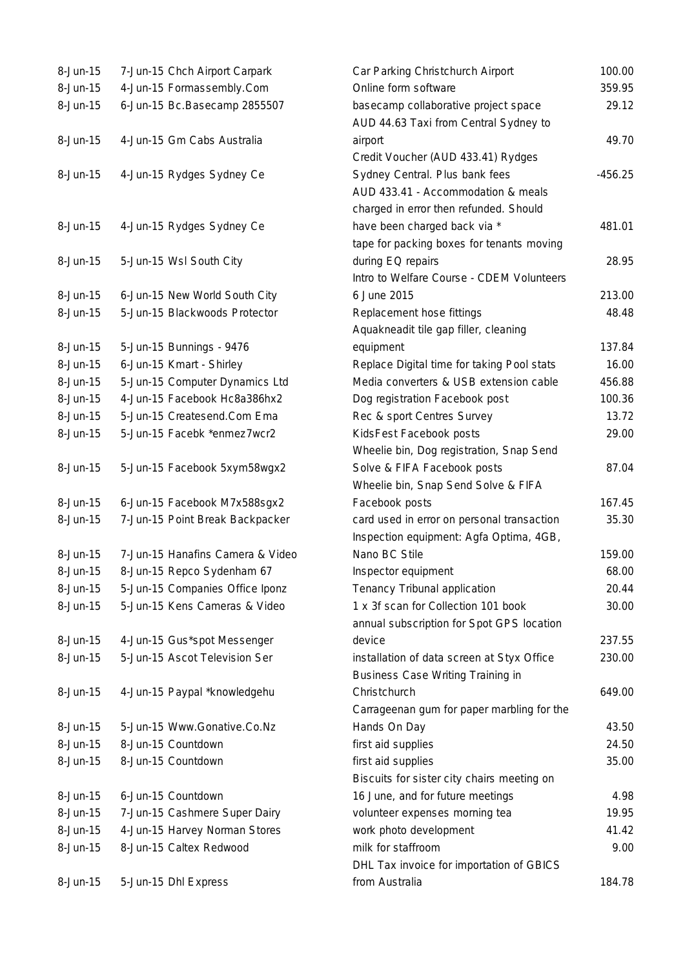| 8-Jun-15       | 7-Jun-15 Chch Airport Carpark    | Car Parking Christchurch Airport           | 100.00    |
|----------------|----------------------------------|--------------------------------------------|-----------|
| 8-Jun-15       | 4-Jun-15 Formassembly.Com        | Online form software                       | 359.95    |
| 8-Jun-15       | 6-Jun-15 Bc.Basecamp 2855507     | basecamp collaborative project space       | 29.12     |
|                |                                  | AUD 44.63 Taxi from Central Sydney to      |           |
| $8-Jun-15$     | 4-Jun-15 Gm Cabs Australia       | airport                                    | 49.70     |
|                |                                  | Credit Voucher (AUD 433.41) Rydges         |           |
| 8-Jun-15       | 4-Jun-15 Rydges Sydney Ce        | Sydney Central. Plus bank fees             | $-456.25$ |
|                |                                  | AUD 433.41 - Accommodation & meals         |           |
|                |                                  | charged in error then refunded. Should     |           |
| $8 - Jun - 15$ | 4-Jun-15 Rydges Sydney Ce        | have been charged back via *               | 481.01    |
|                |                                  | tape for packing boxes for tenants moving  |           |
| 8-Jun-15       | 5-Jun-15 Wsl South City          | during EQ repairs                          | 28.95     |
|                |                                  | Intro to Welfare Course - CDEM Volunteers  |           |
| 8-Jun-15       | 6-Jun-15 New World South City    | 6 June 2015                                | 213.00    |
| 8-Jun-15       | 5-Jun-15 Blackwoods Protector    | Replacement hose fittings                  | 48.48     |
|                |                                  | Aquakneadit tile gap filler, cleaning      |           |
| 8-Jun-15       | 5-Jun-15 Bunnings - 9476         | equipment                                  | 137.84    |
| 8-Jun-15       | 6-Jun-15 Kmart - Shirley         | Replace Digital time for taking Pool stats | 16.00     |
| 8-Jun-15       | 5-Jun-15 Computer Dynamics Ltd   | Media converters & USB extension cable     | 456.88    |
| 8-Jun-15       | 4-Jun-15 Facebook Hc8a386hx2     | Dog registration Facebook post             | 100.36    |
| $8-Jun-15$     | 5-Jun-15 Createsend.Com Ema      | Rec & sport Centres Survey                 | 13.72     |
| 8-Jun-15       | 5-Jun-15 Facebk *enmez7wcr2      | KidsFest Facebook posts                    | 29.00     |
|                |                                  | Wheelie bin, Dog registration, Snap Send   |           |
| 8-Jun-15       | 5-Jun-15 Facebook 5xym58wgx2     | Solve & FIFA Facebook posts                | 87.04     |
|                |                                  | Wheelie bin, Snap Send Solve & FIFA        |           |
| 8-Jun-15       | 6-Jun-15 Facebook M7x588sgx2     | Facebook posts                             | 167.45    |
| 8-Jun-15       | 7-Jun-15 Point Break Backpacker  | card used in error on personal transaction | 35.30     |
|                |                                  | Inspection equipment: Agfa Optima, 4GB,    |           |
| 8-Jun-15       | 7-Jun-15 Hanafins Camera & Video | Nano BC Stile                              | 159.00    |
| 8-Jun-15       | 8-Jun-15 Repco Sydenham 67       | Inspector equipment                        | 68.00     |
| 8-Jun-15       | 5-Jun-15 Companies Office Iponz  | Tenancy Tribunal application               | 20.44     |
| 8-Jun-15       | 5-Jun-15 Kens Cameras & Video    | 1 x 3f scan for Collection 101 book        | 30.00     |
|                |                                  | annual subscription for Spot GPS location  |           |
| 8-Jun-15       | 4-Jun-15 Gus*spot Messenger      | device                                     | 237.55    |
| 8-Jun-15       | 5-Jun-15 Ascot Television Ser    | installation of data screen at Styx Office | 230.00    |
|                |                                  | Business Case Writing Training in          |           |
| 8-Jun-15       | 4-Jun-15 Paypal *knowledgehu     | Christchurch                               | 649.00    |
|                |                                  | Carrageenan gum for paper marbling for the |           |
| 8-Jun-15       | 5-Jun-15 Www.Gonative.Co.Nz      | Hands On Day                               | 43.50     |
| 8-Jun-15       | 8-Jun-15 Countdown               | first aid supplies                         | 24.50     |
| 8-Jun-15       | 8-Jun-15 Countdown               | first aid supplies                         | 35.00     |
|                |                                  | Biscuits for sister city chairs meeting on |           |
| 8-Jun-15       | 6-Jun-15 Countdown               | 16 June, and for future meetings           | 4.98      |
| 8-Jun-15       | 7-Jun-15 Cashmere Super Dairy    | volunteer expenses morning tea             | 19.95     |
| 8-Jun-15       | 4-Jun-15 Harvey Norman Stores    | work photo development                     | 41.42     |
| 8-Jun-15       | 8-Jun-15 Caltex Redwood          | milk for staffroom                         | 9.00      |
|                |                                  | DHL Tax invoice for importation of GBICS   |           |
| 8-Jun-15       | 5-Jun-15 Dhl Express             | from Australia                             | 184.78    |
|                |                                  |                                            |           |

| Car Parking Christchurch Airport           | 100.00  |
|--------------------------------------------|---------|
| Online form software                       | 359.95  |
| basecamp collaborative project space       | 29.12   |
| AUD 44.63 Taxi from Central Sydney to      |         |
| airport                                    | 49.70   |
| Credit Voucher (AUD 433.41) Rydges         |         |
| Sydney Central. Plus bank fees             | -456.25 |
| AUD 433.41 - Accommodation & meals         |         |
| charged in error then refunded. Should     |         |
| have been charged back via *               | 481.01  |
| tape for packing boxes for tenants moving  |         |
| during EQ repairs                          | 28.95   |
| Intro to Welfare Course - CDEM Volunteers  |         |
| 6 June 2015                                | 213.00  |
| Replacement hose fittings                  | 48.48   |
| Aquakneadit tile gap filler, cleaning      |         |
| equipment                                  | 137.84  |
| Replace Digital time for taking Pool stats | 16.00   |
| Media converters & USB extension cable     | 456.88  |
| Dog registration Facebook post             | 100.36  |
| Rec & sport Centres Survey                 | 13.72   |
| KidsFest Facebook posts                    | 29.00   |
| Wheelie bin, Dog registration, Snap Send   |         |
| Solve & FIFA Facebook posts                | 87.04   |
| Wheelie bin, Snap Send Solve & FIFA        |         |
| Facebook posts                             | 167.45  |
| card used in error on personal transaction | 35.30   |
| Inspection equipment: Agfa Optima, 4GB,    |         |
| Nano BC Stile                              | 159.00  |
| Inspector equipment                        | 68.00   |
| Tenancy Tribunal application               | 20.44   |
| 1 x 3f scan for Collection 101 book        | 30.00   |
| annual subscription for Spot GPS location  |         |
| device                                     | 237.55  |
| installation of data screen at Styx Office | 230.00  |
| <b>Business Case Writing Training in</b>   |         |
| Christchurch                               | 649.00  |
| Carrageenan gum for paper marbling for the |         |
| Hands On Day                               | 43.50   |
| first aid supplies                         | 24.50   |
| first aid supplies                         | 35.00   |
| Biscuits for sister city chairs meeting on |         |
| 16 June, and for future meetings           | 4.98    |
| volunteer expenses morning tea             | 19.95   |
| work photo development                     | 41.42   |
| milk for staffroom                         | 9.00    |
| DHL Tax invoice for importation of GBICS   |         |
| from Australia                             | 184.78  |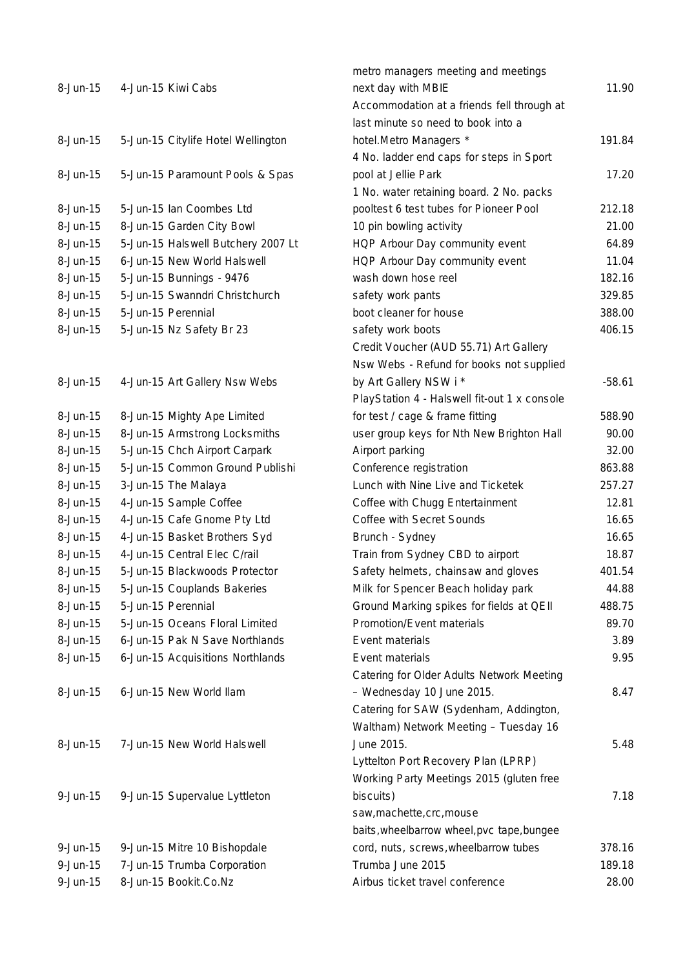| 8-Jun-15    | 4-Jun-15 Kiwi Cabs                 | metro managers meeting and meetings<br>next day with MBIE<br>Accommodation at a friends fell through at<br>last minute so need to book into a | 11.90    |
|-------------|------------------------------------|-----------------------------------------------------------------------------------------------------------------------------------------------|----------|
| 8-Jun-15    | 5-Jun-15 Citylife Hotel Wellington | hotel.Metro Managers *<br>4 No. ladder end caps for steps in Sport                                                                            | 191.84   |
| 8-Jun-15    | 5-Jun-15 Paramount Pools & Spas    | pool at Jellie Park<br>1 No. water retaining board. 2 No. packs                                                                               | 17.20    |
| 8-Jun-15    | 5-Jun-15 Ian Coombes Ltd           | pooltest 6 test tubes for Pioneer Pool                                                                                                        | 212.18   |
| 8-Jun-15    | 8-Jun-15 Garden City Bowl          | 10 pin bowling activity                                                                                                                       | 21.00    |
| 8-Jun-15    | 5-Jun-15 Halswell Butchery 2007 Lt | HQP Arbour Day community event                                                                                                                | 64.89    |
| 8-Jun-15    | 6-Jun-15 New World Halswell        | HQP Arbour Day community event                                                                                                                | 11.04    |
| 8-Jun-15    | 5-Jun-15 Bunnings - 9476           | wash down hose reel                                                                                                                           | 182.16   |
| 8-Jun-15    | 5-Jun-15 Swanndri Christchurch     | safety work pants                                                                                                                             | 329.85   |
| 8-Jun-15    | 5-Jun-15 Perennial                 | boot cleaner for house                                                                                                                        | 388.00   |
| 8-Jun-15    | 5-Jun-15 Nz Safety Br 23           | safety work boots                                                                                                                             | 406.15   |
|             |                                    | Credit Voucher (AUD 55.71) Art Gallery                                                                                                        |          |
|             |                                    | Nsw Webs - Refund for books not supplied                                                                                                      |          |
| 8-Jun-15    | 4-Jun-15 Art Gallery Nsw Webs      | by Art Gallery NSW i *                                                                                                                        | $-58.61$ |
|             |                                    | PlayStation 4 - Halswell fit-out 1 x console                                                                                                  |          |
| 8-Jun-15    | 8-Jun-15 Mighty Ape Limited        | for test / cage & frame fitting                                                                                                               | 588.90   |
| 8-Jun-15    | 8-Jun-15 Armstrong Locksmiths      | user group keys for Nth New Brighton Hall                                                                                                     | 90.00    |
| 8-Jun-15    | 5-Jun-15 Chch Airport Carpark      | Airport parking                                                                                                                               | 32.00    |
| 8-Jun-15    | 5-Jun-15 Common Ground Publishi    | Conference registration                                                                                                                       | 863.88   |
| 8-Jun-15    | 3-Jun-15 The Malaya                | Lunch with Nine Live and Ticketek                                                                                                             | 257.27   |
| 8-Jun-15    | 4-Jun-15 Sample Coffee             | Coffee with Chugg Entertainment                                                                                                               | 12.81    |
| 8-Jun-15    | 4-Jun-15 Cafe Gnome Pty Ltd        | Coffee with Secret Sounds                                                                                                                     | 16.65    |
| 8-Jun-15    | 4-Jun-15 Basket Brothers Syd       | Brunch - Sydney                                                                                                                               | 16.65    |
| 8-Jun-15    | 4-Jun-15 Central Elec C/rail       | Train from Sydney CBD to airport                                                                                                              | 18.87    |
| 8-Jun-15    | 5-Jun-15 Blackwoods Protector      | Safety helmets, chainsaw and gloves                                                                                                           | 401.54   |
| 8-Jun-15    | 5-Jun-15 Couplands Bakeries        | Milk for Spencer Beach holiday park                                                                                                           | 44.88    |
| 8-Jun-15    | 5-Jun-15 Perennial                 | Ground Marking spikes for fields at QEII                                                                                                      | 488.75   |
| 8-Jun-15    | 5-Jun-15 Oceans Floral Limited     | Promotion/Event materials                                                                                                                     | 89.70    |
| 8-Jun-15    | 6-Jun-15 Pak N Save Northlands     | Event materials                                                                                                                               | 3.89     |
| 8-Jun-15    | 6-Jun-15 Acquisitions Northlands   | Event materials                                                                                                                               | 9.95     |
|             |                                    | Catering for Older Adults Network Meeting                                                                                                     |          |
| 8-Jun-15    | 6-Jun-15 New World Ilam            | - Wednesday 10 June 2015.                                                                                                                     | 8.47     |
|             |                                    | Catering for SAW (Sydenham, Addington,                                                                                                        |          |
|             |                                    | Waltham) Network Meeting - Tuesday 16                                                                                                         |          |
| 8-Jun-15    | 7-Jun-15 New World Halswell        | June 2015.                                                                                                                                    | 5.48     |
|             |                                    | Lyttelton Port Recovery Plan (LPRP)                                                                                                           |          |
|             |                                    | Working Party Meetings 2015 (gluten free                                                                                                      |          |
| $9$ -Jun-15 | 9-Jun-15 Supervalue Lyttleton      | biscuits)                                                                                                                                     | 7.18     |
|             |                                    | saw, machette, crc, mouse                                                                                                                     |          |
|             |                                    | baits, wheelbarrow wheel, pvc tape, bungee                                                                                                    |          |
| 9-Jun-15    | 9-Jun-15 Mitre 10 Bishopdale       | cord, nuts, screws, wheelbarrow tubes                                                                                                         | 378.16   |
| 9-Jun-15    | 7-Jun-15 Trumba Corporation        | Trumba June 2015                                                                                                                              | 189.18   |
| 9-Jun-15    | 8-Jun-15 Bookit.Co.Nz              | Airbus ticket travel conference                                                                                                               | 28.00    |
|             |                                    |                                                                                                                                               |          |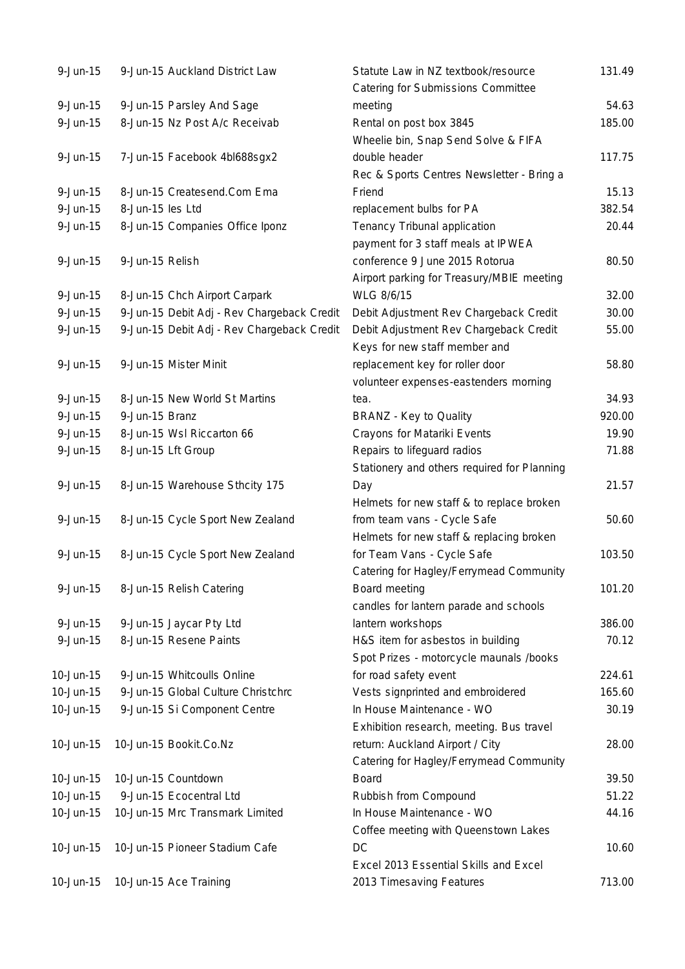| 9-Jun-15     | 9-Jun-15 Auckland District Law             | Statute Law in NZ textbook/resource         | 131.49 |
|--------------|--------------------------------------------|---------------------------------------------|--------|
|              |                                            | Catering for Submissions Committee          |        |
| $9 - Jun-15$ | 9-Jun-15 Parsley And Sage                  | meeting                                     | 54.63  |
| $9 - Jun-15$ | 8-Jun-15 Nz Post A/c Receivab              | Rental on post box 3845                     | 185.00 |
|              |                                            | Wheelie bin, Snap Send Solve & FIFA         |        |
| $9 - Jun-15$ | 7-Jun-15 Facebook 4bl688sgx2               | double header                               | 117.75 |
|              |                                            | Rec & Sports Centres Newsletter - Bring a   |        |
| $9 - Jun-15$ | 8-Jun-15 Createsend.Com Ema                | Friend                                      | 15.13  |
| $9 - Jun-15$ | 8-Jun-15 les Ltd                           | replacement bulbs for PA                    | 382.54 |
| $9 - Jun-15$ | 8-Jun-15 Companies Office Iponz            | Tenancy Tribunal application                | 20.44  |
|              |                                            | payment for 3 staff meals at IPWEA          |        |
| $9 - Jun-15$ | 9-Jun-15 Relish                            | conference 9 June 2015 Rotorua              | 80.50  |
|              |                                            | Airport parking for Treasury/MBIE meeting   |        |
| $9 - Jun-15$ | 8-Jun-15 Chch Airport Carpark              | WLG 8/6/15                                  | 32.00  |
| 9-Jun-15     | 9-Jun-15 Debit Adj - Rev Chargeback Credit | Debit Adjustment Rev Chargeback Credit      | 30.00  |
| $9 - Jun-15$ | 9-Jun-15 Debit Adj - Rev Chargeback Credit | Debit Adjustment Rev Chargeback Credit      | 55.00  |
|              |                                            | Keys for new staff member and               |        |
| $9 - Jun-15$ | 9-Jun-15 Mister Minit                      | replacement key for roller door             | 58.80  |
|              |                                            | volunteer expenses-eastenders morning       |        |
| $9 - Jun-15$ | 8-Jun-15 New World St Martins              | tea.                                        | 34.93  |
| $9 - Jun-15$ | 9-Jun-15 Branz                             | <b>BRANZ - Key to Quality</b>               | 920.00 |
| $9 - Jun-15$ | 8-Jun-15 Wsl Riccarton 66                  | Crayons for Matariki Events                 | 19.90  |
| $9 - Jun-15$ | 8-Jun-15 Lft Group                         | Repairs to lifeguard radios                 | 71.88  |
|              |                                            | Stationery and others required for Planning |        |
| $9 - Jun-15$ | 8-Jun-15 Warehouse Sthcity 175             | Day                                         | 21.57  |
|              |                                            | Helmets for new staff & to replace broken   |        |
| $9 - Jun-15$ | 8-Jun-15 Cycle Sport New Zealand           | from team vans - Cycle Safe                 | 50.60  |
|              |                                            | Helmets for new staff & replacing broken    |        |
| $9 - Jun-15$ | 8-Jun-15 Cycle Sport New Zealand           | for Team Vans - Cycle Safe                  | 103.50 |
|              |                                            | Catering for Hagley/Ferrymead Community     |        |
| 9-Jun-15     | 8-Jun-15 Relish Catering                   | Board meeting                               | 101.20 |
|              |                                            | candles for lantern parade and schools      |        |
| $9$ -Jun-15  | 9-Jun-15 Jaycar Pty Ltd                    | lantern workshops                           | 386.00 |
| $9 - Jun-15$ | 8-Jun-15 Resene Paints                     | H&S item for asbestos in building           | 70.12  |
|              |                                            | Spot Prizes - motorcycle maunals /books     |        |
| 10-Jun-15    | 9-Jun-15 Whitcoulls Online                 | for road safety event                       | 224.61 |
| 10-Jun-15    | 9-Jun-15 Global Culture Christchrc         | Vests signprinted and embroidered           | 165.60 |
| 10-Jun-15    | 9-Jun-15 Si Component Centre               | In House Maintenance - WO                   | 30.19  |
|              |                                            | Exhibition research, meeting. Bus travel    |        |
| 10-Jun-15    | 10-Jun-15 Bookit.Co.Nz                     | return: Auckland Airport / City             | 28.00  |
|              |                                            | Catering for Hagley/Ferrymead Community     |        |
| 10-Jun-15    | 10-Jun-15 Countdown                        | <b>Board</b>                                | 39.50  |
| 10-Jun-15    | 9-Jun-15 Ecocentral Ltd                    | Rubbish from Compound                       | 51.22  |
| 10-Jun-15    | 10-Jun-15 Mrc Transmark Limited            | In House Maintenance - WO                   | 44.16  |
|              |                                            | Coffee meeting with Queenstown Lakes        |        |
| 10-Jun-15    | 10-Jun-15 Pioneer Stadium Cafe             | DC                                          | 10.60  |
|              |                                            | Excel 2013 Essential Skills and Excel       |        |
| 10-Jun-15    | 10-Jun-15 Ace Training                     | 2013 Timesaving Features                    | 713.00 |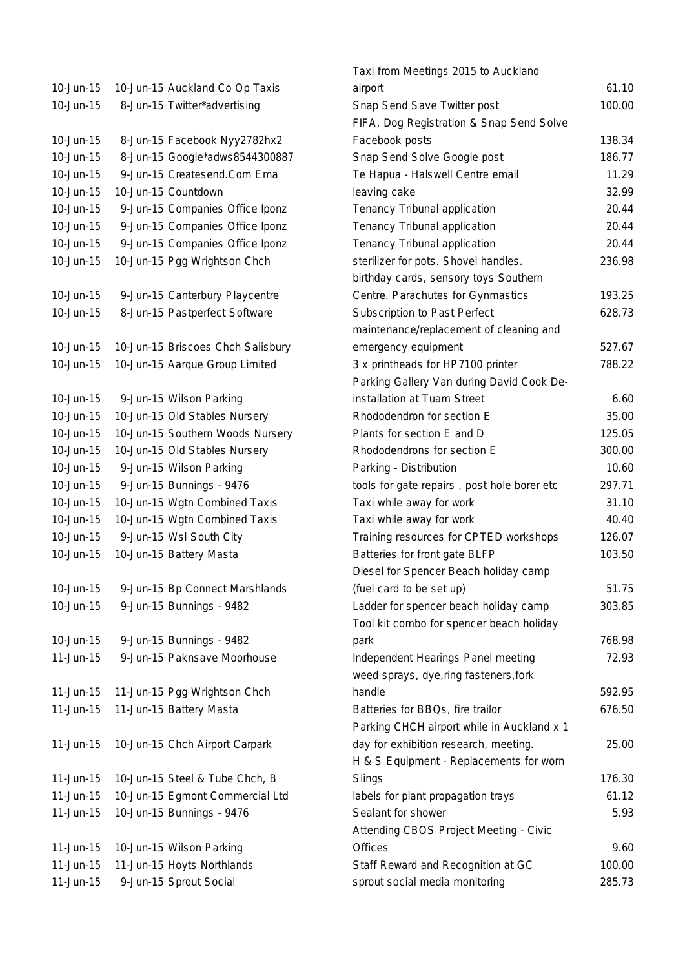10-Jun-15 10-Jun-15 Auckland Co Op Taxis 10-Jun-15 8-Jun-15 Twitter\*advertising 10-Jun-15 8-Jun-15 Facebook Nyy2782hx2 10-Jun-15 8-Jun-15 Google\*adws8544300887 10-Jun-15 9-Jun-15 Createsend.Com Ema 10-Jun-15 10-Jun-15 Countdown 10-Jun-15 9-Jun-15 Companies Office Iponz 10-Jun-15 9-Jun-15 Companies Office Iponz 10-Jun-15 9-Jun-15 Companies Office Iponz 10-Jun-15 10-Jun-15 Pgg Wrightson Chch 10-Jun-15 9-Jun-15 Canterbury Playcentre 10-Jun-15 8-Jun-15 Pastperfect Software 10-Jun-15 10-Jun-15 Briscoes Chch Salisbury 10-Jun-15 10-Jun-15 Aarque Group Limited 10-Jun-15 9-Jun-15 Wilson Parking 10-Jun-15 10-Jun-15 Old Stables Nursery 10-Jun-15 10-Jun-15 Southern Woods Nursery 10-Jun-15 10-Jun-15 Old Stables Nursery 10-Jun-15 9-Jun-15 Wilson Parking 10-Jun-15 9-Jun-15 Bunnings - 9476 10-Jun-15 10-Jun-15 Wgtn Combined Taxis 10-Jun-15 10-Jun-15 Wgtn Combined Taxis 10-Jun-15 9-Jun-15 Wsl South City 10-Jun-15 10-Jun-15 Battery Masta 10-Jun-15 9-Jun-15 Bp Connect Marshlands 10-Jun-15 9-Jun-15 Bunnings - 9482 10-Jun-15 9-Jun-15 Bunnings - 9482 11-Jun-15 9-Jun-15 Paknsave Moorhouse 11-Jun-15 11-Jun-15 Pgg Wrightson Chch 11-Jun-15 11-Jun-15 Battery Masta 11-Jun-15 10-Jun-15 Chch Airport Carpark 11-Jun-15 10-Jun-15 Steel & Tube Chch, B 11-Jun-15 10-Jun-15 Egmont Commercial Ltd 11-Jun-15 10-Jun-15 Bunnings - 9476 11-Jun-15 10-Jun-15 Wilson Parking 11-Jun-15 11-Jun-15 Hoyts Northlands 11-Jun-15 9-Jun-15 Sprout Social

| Taxi from Meetings 2015 to Auckland         |        |
|---------------------------------------------|--------|
| airport                                     | 61.10  |
| Snap Send Save Twitter post                 | 100.00 |
| FIFA, Dog Registration & Snap Send Solve    |        |
| Facebook posts                              | 138.34 |
| Snap Send Solve Google post                 | 186.77 |
| Te Hapua - Halswell Centre email            | 11.29  |
| leaving cake                                | 32.99  |
| Tenancy Tribunal application                | 20.44  |
| Tenancy Tribunal application                | 20.44  |
| Tenancy Tribunal application                | 20.44  |
| sterilizer for pots. Shovel handles.        | 236.98 |
| birthday cards, sensory toys Southern       |        |
| Centre. Parachutes for Gynmastics           | 193.25 |
| Subscription to Past Perfect                | 628.73 |
| maintenance/replacement of cleaning and     |        |
| emergency equipment                         | 527.67 |
| 3 x printheads for HP7100 printer           | 788.22 |
| Parking Gallery Van during David Cook De-   |        |
| installation at Tuam Street                 | 6.60   |
| Rhododendron for section E                  | 35.00  |
| Plants for section E and D                  | 125.05 |
| Rhododendrons for section E                 | 300.00 |
| Parking - Distribution                      | 10.60  |
| tools for gate repairs, post hole borer etc | 297.71 |
| Taxi while away for work                    | 31.10  |
| Taxi while away for work                    | 40.40  |
| Training resources for CPTED workshops      | 126.07 |
| Batteries for front gate BLFP               | 103.50 |
| Diesel for Spencer Beach holiday camp       |        |
| (fuel card to be set up)                    | 51.75  |
| Ladder for spencer beach holiday camp       | 303.85 |
| Tool kit combo for spencer beach holiday    |        |
| park                                        | 768.98 |
| Independent Hearings Panel meeting          | 72.93  |
| weed sprays, dye, ring fasteners, fork      |        |
| handle                                      | 592.95 |
| Batteries for BBQs, fire trailor            | 676.50 |
| Parking CHCH airport while in Auckland x 1  |        |
| day for exhibition research, meeting.       | 25.00  |
| H & S Equipment - Replacements for worn     |        |
| Slings                                      | 176.30 |
| labels for plant propagation trays          | 61.12  |
| Sealant for shower                          | 5.93   |
| Attending CBOS Project Meeting - Civic      |        |
| <b>Offices</b>                              | 9.60   |
| Staff Reward and Recognition at GC          | 100.00 |
| sprout social media monitoring              | 285.73 |
|                                             |        |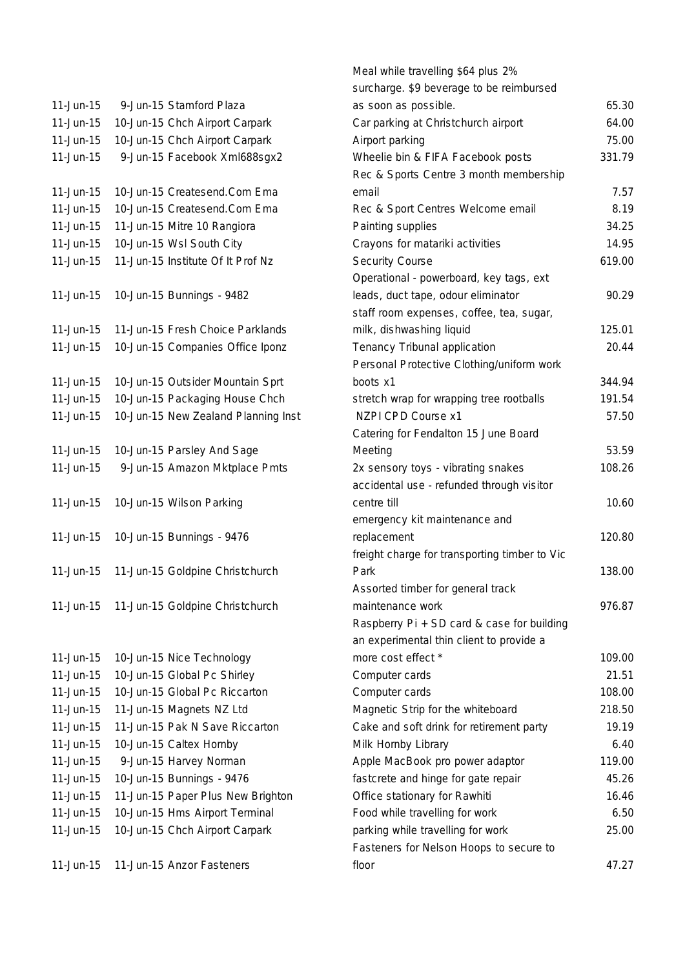| 11-Jun-15    | 9-Jun-15 Stamford Plaza             |
|--------------|-------------------------------------|
| 11-Jun-15    | 10-Jun-15 Chch Airport Carpark      |
| 11-Jun-15    | 10-Jun-15 Chch Airport Carpark      |
| 11-Jun-15    | 9-Jun-15 Facebook Xml688sgx2        |
|              |                                     |
| 11-Jun-15    | 10-Jun-15 Createsend.Com Ema        |
| 11-Jun-15    | 10-Jun-15 Createsend.Com Ema        |
| 11-Jun-15    | 11-Jun-15 Mitre 10 Rangiora         |
| 11-Jun-15    | 10-Jun-15 Wsl South City            |
| 11-Jun-15    | 11-Jun-15 Institute Of It Prof Nz   |
|              |                                     |
| 11-Jun-15    | 10-Jun-15 Bunnings - 9482           |
|              |                                     |
| 11-Jun-15    | 11-Jun-15 Fresh Choice Parklands    |
| 11-Jun-15    | 10-Jun-15 Companies Office Iponz    |
|              |                                     |
| 11-Jun-15    | 10-Jun-15 Outsider Mountain Sprt    |
| 11-Jun-15    | 10-Jun-15 Packaging House Chch      |
| 11-Jun-15    | 10-Jun-15 New Zealand Planning Inst |
|              |                                     |
| 11-Jun-15    | 10-Jun-15 Parsley And Sage          |
| 11-Jun-15    | 9-Jun-15 Amazon Mktplace Pmts       |
|              |                                     |
| 11-Jun-15    | 10-Jun-15 Wilson Parking            |
|              |                                     |
| 11-Jun-15    | 10-Jun-15 Bunnings - 9476           |
|              |                                     |
| 11-Jun-15    | 11-Jun-15 Goldpine Christchurch     |
|              |                                     |
| $11$ -Jun-15 | 11-Jun-15 Goldpine Christchurch     |
|              |                                     |
|              |                                     |
| 11-Jun-15    | 10-Jun-15 Nice Technology           |
| 11-Jun-15    | 10-Jun-15 Global Pc Shirley         |
| 11-Jun-15    | 10-Jun-15 Global Pc Riccarton       |
| 11-Jun-15    | 11-Jun-15 Magnets NZ Ltd            |
| 11-Jun-15    | 11-Jun-15 Pak N Save Riccarton      |
| 11-Jun-15    | 10-Jun-15 Caltex Hornby             |
| 11-Jun-15    | 9-Jun-15 Harvey Norman              |
| 11-Jun-15    | 10-Jun-15 Bunnings - 9476           |
| 11-Jun-15    | 11-Jun-15 Paper Plus New Brighton   |
| 11-Jun-15    | 10-Jun-15 Hms Airport Terminal      |
| 11-Jun-15    | 10-Jun-15 Chch Airport Carpark      |
|              |                                     |
| 11-Jun-15    | 11-Jun-15 Anzor Fasteners           |

|             |                                     | Meal while travelling \$64 plus 2%            |        |
|-------------|-------------------------------------|-----------------------------------------------|--------|
|             |                                     | surcharge. \$9 beverage to be reimbursed      |        |
| 11-Jun-15   | 9-Jun-15 Stamford Plaza             | as soon as possible.                          | 65.30  |
| $11-Jun-15$ | 10-Jun-15 Chch Airport Carpark      | Car parking at Christchurch airport           | 64.00  |
| $11-Jun-15$ | 10-Jun-15 Chch Airport Carpark      | Airport parking                               | 75.00  |
| 11-Jun-15   | 9-Jun-15 Facebook Xml688sgx2        | Wheelie bin & FIFA Facebook posts             | 331.79 |
|             |                                     | Rec & Sports Centre 3 month membership        |        |
| 11-Jun-15   | 10-Jun-15 Createsend.Com Ema        | email                                         | 7.57   |
| $11-Jun-15$ | 10-Jun-15 Createsend.Com Ema        | Rec & Sport Centres Welcome email             | 8.19   |
| $11-Jun-15$ | 11-Jun-15 Mitre 10 Rangiora         | Painting supplies                             | 34.25  |
| 11-Jun-15   | 10-Jun-15 Wsl South City            | Crayons for matariki activities               | 14.95  |
| $11-Jun-15$ | 11-Jun-15 Institute Of It Prof Nz   | Security Course                               | 619.00 |
|             |                                     | Operational - powerboard, key tags, ext       |        |
| 11-Jun-15   | 10-Jun-15 Bunnings - 9482           | leads, duct tape, odour eliminator            | 90.29  |
|             |                                     | staff room expenses, coffee, tea, sugar,      |        |
| 11-Jun-15   | 11-Jun-15 Fresh Choice Parklands    | milk, dishwashing liquid                      | 125.01 |
| $11-Jun-15$ | 10-Jun-15 Companies Office Iponz    | Tenancy Tribunal application                  | 20.44  |
|             |                                     | Personal Protective Clothing/uniform work     |        |
| $11-Jun-15$ | 10-Jun-15 Outsider Mountain Sprt    | boots x1                                      | 344.94 |
| 11-Jun-15   | 10-Jun-15 Packaging House Chch      | stretch wrap for wrapping tree rootballs      | 191.54 |
| $11-Jun-15$ | 10-Jun-15 New Zealand Planning Inst | NZPI CPD Course x1                            | 57.50  |
|             |                                     | Catering for Fendalton 15 June Board          |        |
| 11-Jun-15   | 10-Jun-15 Parsley And Sage          | Meeting                                       | 53.59  |
| 11-Jun-15   | 9-Jun-15 Amazon Mktplace Pmts       | 2x sensory toys - vibrating snakes            | 108.26 |
|             |                                     | accidental use - refunded through visitor     |        |
| 11-Jun-15   | 10-Jun-15 Wilson Parking            | centre till                                   | 10.60  |
|             |                                     | emergency kit maintenance and                 |        |
| 11-Jun-15   | 10-Jun-15 Bunnings - 9476           | replacement                                   | 120.80 |
|             |                                     | freight charge for transporting timber to Vic |        |
| 11-Jun-15   | 11-Jun-15 Goldpine Christchurch     | Park                                          | 138.00 |
|             |                                     | Assorted timber for general track             |        |
| $11-Jun-15$ | 11-Jun-15 Goldpine Christchurch     | maintenance work                              | 976.87 |
|             |                                     | Raspberry Pi + SD card & case for building    |        |
|             |                                     | an experimental thin client to provide a      |        |
| 11-Jun-15   | 10-Jun-15 Nice Technology           | more cost effect *                            | 109.00 |
| $11-Jun-15$ | 10-Jun-15 Global Pc Shirley         | Computer cards                                | 21.51  |
| 11-Jun-15   | 10-Jun-15 Global Pc Riccarton       | Computer cards                                | 108.00 |
| $11-Jun-15$ | 11-Jun-15 Magnets NZ Ltd            | Magnetic Strip for the whiteboard             | 218.50 |
| 11-Jun-15   | 11-Jun-15 Pak N Save Riccarton      | Cake and soft drink for retirement party      | 19.19  |
| $11-Jun-15$ | 10-Jun-15 Caltex Hornby             | Milk Hornby Library                           | 6.40   |
| $11-Jun-15$ | 9-Jun-15 Harvey Norman              | Apple MacBook pro power adaptor               | 119.00 |
| 11-Jun-15   | 10-Jun-15 Bunnings - 9476           | fastcrete and hinge for gate repair           | 45.26  |
| $11-Jun-15$ | 11-Jun-15 Paper Plus New Brighton   | Office stationary for Rawhiti                 | 16.46  |
| $11-Jun-15$ | 10-Jun-15 Hms Airport Terminal      | Food while travelling for work                | 6.50   |
| 11-Jun-15   | 10-Jun-15 Chch Airport Carpark      | parking while travelling for work             | 25.00  |
|             |                                     | Fasteners for Nelson Hoops to secure to       |        |
| 11-Jun-15   | 11-Jun-15 Anzor Fasteners           | floor                                         | 47.27  |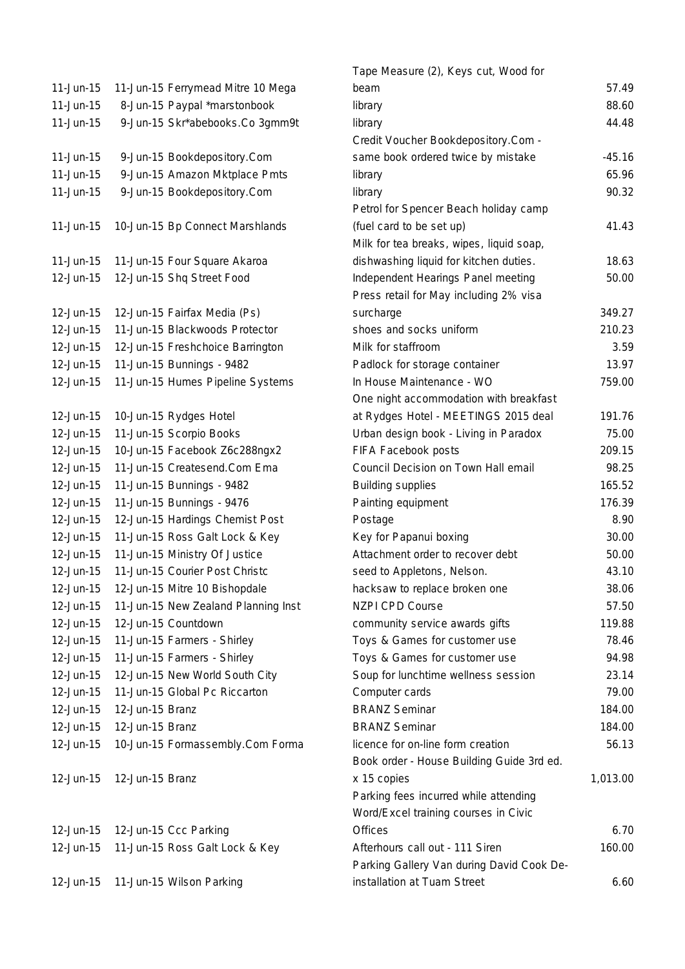| 11-Jun-15   | 11-Jun-15 Ferrymead Mitre 10 Mega   |
|-------------|-------------------------------------|
| 11-Jun-15   | 8-Jun-15 Paypal *marstonbook        |
| 11-Jun-15   | 9-Jun-15 Skr*abebooks.Co 3gmm9t     |
|             |                                     |
| 11-Jun-15   | 9-Jun-15 Bookdepository.Com         |
| 11-Jun-15   | 9-Jun-15 Amazon Mktplace Pmts       |
| 11-Jun-15   | 9-Jun-15 Bookdepository.Com         |
|             |                                     |
| $11-Jun-15$ | 10-Jun-15 Bp Connect Marshlands     |
| 11-Jun-15   | 11-Jun-15 Four Square Akaroa        |
| 12-Jun-15   | 12-Jun-15 Shq Street Food           |
|             |                                     |
| 12-Jun-15   | 12-Jun-15 Fairfax Media (Ps)        |
| 12-Jun-15   | 11-Jun-15 Blackwoods Protector      |
| 12-Jun-15   | 12-Jun-15 Freshchoice Barrington    |
| 12-Jun-15   | 11-Jun-15 Bunnings - 9482           |
| 12-Jun-15   | 11-Jun-15 Humes Pipeline Systems    |
|             |                                     |
| 12-Jun-15   | 10-Jun-15 Rydges Hotel              |
| 12-Jun-15   | 11-Jun-15 Scorpio Books             |
| 12-Jun-15   | 10-Jun-15 Facebook Z6c288ngx2       |
| 12-Jun-15   | 11-Jun-15 Createsend.Com Ema        |
| 12-Jun-15   | 11-Jun-15 Bunnings - 9482           |
| 12-Jun-15   | 11-Jun-15 Bunnings - 9476           |
| 12-Jun-15   | 12-Jun-15 Hardings Chemist Post     |
| 12-Jun-15   | 11-Jun-15 Ross Galt Lock & Key      |
| 12-Jun-15   | 11-Jun-15 Ministry Of Justice       |
| 12-Jun-15   | 11-Jun-15 Courier Post Christc      |
| 12-Jun-15   | 12-Jun-15 Mitre 10 Bishopdale       |
| 12-Jun-15   | 11-Jun-15 New Zealand Planning Inst |
| 12-Jun-15   | 12-Jun-15 Countdown                 |
| 12-Jun-15   | 11-Jun-15 Farmers - Shirley         |
| 12-Jun-15   | 11-Jun-15 Farmers - Shirley         |
| 12-Jun-15   | 12-Jun-15 New World South City      |
| 12-Jun-15   | 11-Jun-15 Global Pc Riccarton       |
| 12-Jun-15   | 12-Jun-15 Branz                     |
| 12-Jun-15   | 12-Jun-15 Branz                     |
| 12-Jun-15   | 10-Jun-15 Formassembly.Com Forma    |
| 12-Jun-15   | 12-Jun-15 Branz                     |
|             |                                     |
|             |                                     |
|             | 12-Jun-15 12-Jun-15 Ccc Parking     |
| 12-Jun-15   | 11-Jun-15 Ross Galt Lock & Key      |
| 12-Jun-15   | 11-Jun-15 Wilson Parking            |

|             |                                     | Tape Measure (2), Keys cut, Wood for      |          |
|-------------|-------------------------------------|-------------------------------------------|----------|
| $11-Jun-15$ | 11-Jun-15 Ferrymead Mitre 10 Mega   | beam                                      | 57.49    |
| 11-Jun-15   | 8-Jun-15 Paypal *marstonbook        | library                                   | 88.60    |
| 11-Jun-15   | 9-Jun-15 Skr*abebooks.Co 3gmm9t     | library                                   | 44.48    |
|             |                                     | Credit Voucher Bookdepository.Com -       |          |
| 11-Jun-15   | 9-Jun-15 Bookdepository.Com         | same book ordered twice by mistake        | $-45.16$ |
| $11-Jun-15$ | 9-Jun-15 Amazon Mktplace Pmts       | library                                   | 65.96    |
| $11-Jun-15$ | 9-Jun-15 Bookdepository.Com         | library                                   | 90.32    |
|             |                                     | Petrol for Spencer Beach holiday camp     |          |
| 11-Jun-15   | 10-Jun-15 Bp Connect Marshlands     | (fuel card to be set up)                  | 41.43    |
|             |                                     | Milk for tea breaks, wipes, liquid soap,  |          |
| 11-Jun-15   | 11-Jun-15 Four Square Akaroa        | dishwashing liquid for kitchen duties.    | 18.63    |
| 12-Jun-15   | 12-Jun-15 Shq Street Food           | Independent Hearings Panel meeting        | 50.00    |
|             |                                     | Press retail for May including 2% visa    |          |
| 12-Jun-15   | 12-Jun-15 Fairfax Media (Ps)        | surcharge                                 | 349.27   |
| 12-Jun-15   | 11-Jun-15 Blackwoods Protector      | shoes and socks uniform                   | 210.23   |
| 12-Jun-15   | 12-Jun-15 Freshchoice Barrington    | Milk for staffroom                        | 3.59     |
| 12-Jun-15   | 11-Jun-15 Bunnings - 9482           | Padlock for storage container             | 13.97    |
| 12-Jun-15   | 11-Jun-15 Humes Pipeline Systems    | In House Maintenance - WO                 | 759.00   |
|             |                                     | One night accommodation with breakfast    |          |
| 12-Jun-15   | 10-Jun-15 Rydges Hotel              | at Rydges Hotel - MEETINGS 2015 deal      | 191.76   |
| 12-Jun-15   | 11-Jun-15 Scorpio Books             | Urban design book - Living in Paradox     | 75.00    |
| 12-Jun-15   | 10-Jun-15 Facebook Z6c288ngx2       | FIFA Facebook posts                       | 209.15   |
| 12-Jun-15   | 11-Jun-15 Createsend.Com Ema        | Council Decision on Town Hall email       | 98.25    |
| 12-Jun-15   | 11-Jun-15 Bunnings - 9482           | <b>Building supplies</b>                  | 165.52   |
| 12-Jun-15   | 11-Jun-15 Bunnings - 9476           | Painting equipment                        | 176.39   |
| 12-Jun-15   | 12-Jun-15 Hardings Chemist Post     | Postage                                   | 8.90     |
| 12-Jun-15   | 11-Jun-15 Ross Galt Lock & Key      | Key for Papanui boxing                    | 30.00    |
| 12-Jun-15   | 11-Jun-15 Ministry Of Justice       | Attachment order to recover debt          | 50.00    |
| 12-Jun-15   | 11-Jun-15 Courier Post Christc      | seed to Appletons, Nelson.                | 43.10    |
| 12-Jun-15   | 12-Jun-15 Mitre 10 Bishopdale       | hacksaw to replace broken one             | 38.06    |
| 12-Jun-15   | 11-Jun-15 New Zealand Planning Inst | <b>NZPI CPD Course</b>                    | 57.50    |
| 12-Jun-15   | 12-Jun-15 Countdown                 | community service awards gifts            | 119.88   |
| 12-Jun-15   | 11-Jun-15 Farmers - Shirley         | Toys & Games for customer use             | 78.46    |
| 12-Jun-15   | 11-Jun-15 Farmers - Shirley         | Toys & Games for customer use             | 94.98    |
| 12-Jun-15   | 12-Jun-15 New World South City      | Soup for lunchtime wellness session       | 23.14    |
| 12-Jun-15   | 11-Jun-15 Global Pc Riccarton       | Computer cards                            | 79.00    |
| 12-Jun-15   | 12-Jun-15 Branz                     | <b>BRANZ Seminar</b>                      | 184.00   |
| 12-Jun-15   | 12-Jun-15 Branz                     | <b>BRANZ Seminar</b>                      | 184.00   |
| 12-Jun-15   | 10-Jun-15 Formassembly.Com Forma    | licence for on-line form creation         | 56.13    |
|             |                                     | Book order - House Building Guide 3rd ed. |          |
| 12-Jun-15   | 12-Jun-15 Branz                     | x 15 copies                               | 1,013.00 |
|             |                                     | Parking fees incurred while attending     |          |
|             |                                     | Word/Excel training courses in Civic      |          |
| 12-Jun-15   | 12-Jun-15 Ccc Parking               | <b>Offices</b>                            | 6.70     |
| 12-Jun-15   | 11-Jun-15 Ross Galt Lock & Key      | Afterhours call out - 111 Siren           | 160.00   |
|             |                                     | Parking Gallery Van during David Cook De- |          |
| 12-Jun-15   | 11-Jun-15 Wilson Parking            | installation at Tuam Street               | 6.60     |
|             |                                     |                                           |          |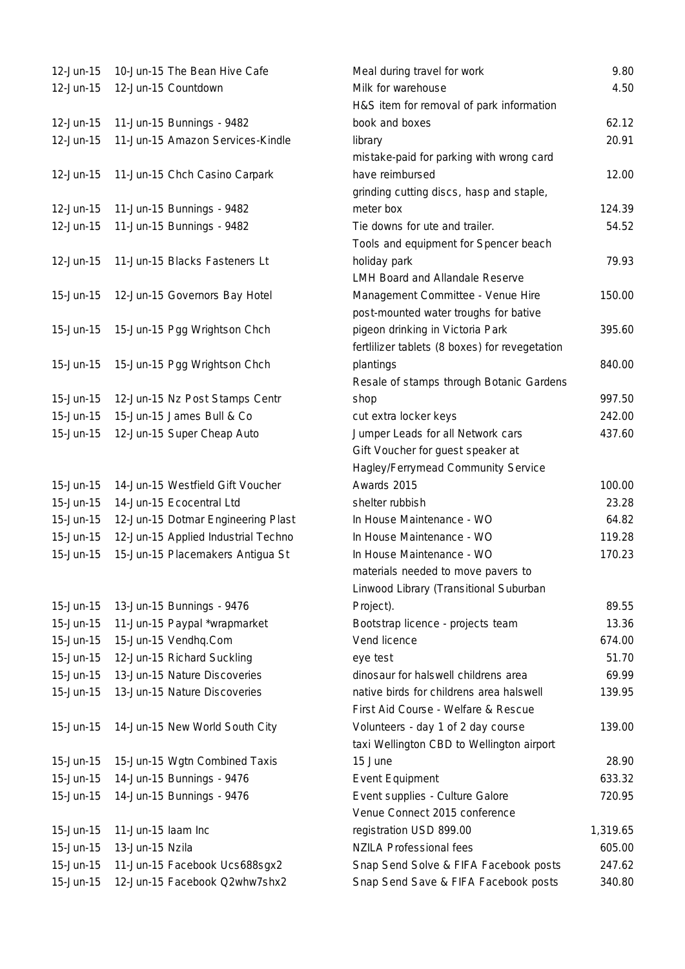| 12-Jun-15  | 10-Jun-15 The Bean Hive Cafe              |
|------------|-------------------------------------------|
| 12-Jun-15  | 12-Jun-15 Countdown                       |
| 12-Jun-15  | 11-Jun-15 Bunnings - 9482                 |
| 12-Jun-15  | 11-Jun-15 Amazon Services-Kindle          |
| 12-Jun-15  | 11-Jun-15 Chch Casino Carpark             |
| 12-Jun-15  | 11-Jun-15 Bunnings - 9482                 |
| 12-Jun-15  | 11-Jun-15 Bunnings - 9482                 |
| 12-Jun-15  | 11-Jun-15 Blacks Fasteners Lt             |
| 15-Jun-15  | 12-Jun-15 Governors Bay Hotel             |
| 15-Jun-15  | 15-Jun-15 Pgg Wrightson Chch              |
| 15-Jun-15  | 15-Jun-15 Pgg Wrightson Chch              |
| 15-Jun-15  | 12-Jun-15 Nz Post Stamps Centr            |
| 15-Jun-15  | 15-Jun-15 James Bull & Co                 |
| 15-Jun-15  | 12-Jun-15 Super Cheap Auto                |
| 15-Jun-15  | 14-Jun-15 Westfield Gift Voucher          |
| 15-Jun-15  | 14-Jun-15 Ecocentral Ltd                  |
| 15-Jun-15  | 12-Jun-15 Dotmar Engineering Plast        |
| 15-Jun-15  | 12-Jun-15 Applied Industrial Techno       |
| 15-Jun-15  | 15-Jun-15 Placemakers Antigua St          |
| 15-Jun-15  | 13-Jun-15 Bunnings - 9476                 |
| 15-Jun-15  | 11-Jun-15 Paypal *wrapmarket              |
| 15-Jun-15  | 15-Jun-15 Vendhq.Com                      |
| 1 F 1. 1 F | $10 \text{ km} \times 10 \text{ Nshond} $ |

- 15-Jun-15 12-Jun-15 Richard Suckling
- 15-Jun-15 13-Jun-15 Nature Discoveries
- 15-Jun-15 13-Jun-15 Nature Discoveries

| 15-Jun-15 14-Jun-15 New World South City |
|------------------------------------------|
| 15-Jun-15 15-Jun-15 Wgtn Combined Taxis  |
| 15-Jun-15    14-Jun-15 Bunnings - 9476   |
| 15-Jun-15    14-Jun-15 Bunnings - 9476   |
|                                          |

| 12-Jun-15     | 10-Jun-15 The Bean Hive Cafe        | Meal during travel for work<br>9.80            |          |
|---------------|-------------------------------------|------------------------------------------------|----------|
| 12-Jun-15     | 12-Jun-15 Countdown                 | Milk for warehouse<br>4.50                     |          |
|               |                                     | H&S item for removal of park information       |          |
| 12-Jun-15     | 11-Jun-15 Bunnings - 9482           | book and boxes                                 | 62.12    |
| 12-Jun-15     | 11-Jun-15 Amazon Services-Kindle    | library                                        | 20.91    |
|               |                                     | mistake-paid for parking with wrong card       |          |
| 12-Jun-15     | 11-Jun-15 Chch Casino Carpark       | have reimbursed                                | 12.00    |
|               |                                     | grinding cutting discs, hasp and staple,       |          |
| 12-Jun-15     | 11-Jun-15 Bunnings - 9482           | meter box                                      | 124.39   |
| 12-Jun-15     | 11-Jun-15 Bunnings - 9482           | Tie downs for ute and trailer.                 | 54.52    |
|               |                                     | Tools and equipment for Spencer beach          |          |
| 12-Jun-15     | 11-Jun-15 Blacks Fasteners Lt       | holiday park                                   | 79.93    |
|               |                                     | LMH Board and Allandale Reserve                |          |
| 15-Jun-15     | 12-Jun-15 Governors Bay Hotel       | Management Committee - Venue Hire              | 150.00   |
|               |                                     | post-mounted water troughs for bative          |          |
| 15-Jun-15     | 15-Jun-15 Pgg Wrightson Chch        | pigeon drinking in Victoria Park               | 395.60   |
|               |                                     | fertlilizer tablets (8 boxes) for revegetation |          |
| 15-Jun-15     | 15-Jun-15 Pgg Wrightson Chch        | plantings                                      | 840.00   |
|               |                                     | Resale of stamps through Botanic Gardens       |          |
| 15-Jun-15     | 12-Jun-15 Nz Post Stamps Centr      | shop                                           | 997.50   |
| 15-Jun-15     | 15-Jun-15 James Bull & Co           | cut extra locker keys                          | 242.00   |
| $15 - Jun-15$ | 12-Jun-15 Super Cheap Auto          | Jumper Leads for all Network cars              | 437.60   |
|               |                                     | Gift Voucher for guest speaker at              |          |
|               |                                     | Hagley/Ferrymead Community Service             |          |
| 15-Jun-15     | 14-Jun-15 Westfield Gift Voucher    | Awards 2015                                    | 100.00   |
| 15-Jun-15     | 14-Jun-15 Ecocentral Ltd            | shelter rubbish                                | 23.28    |
| 15-Jun-15     | 12-Jun-15 Dotmar Engineering Plast  | In House Maintenance - WO                      | 64.82    |
| 15-Jun-15     | 12-Jun-15 Applied Industrial Techno | In House Maintenance - WO                      | 119.28   |
| 15-Jun-15     | 15-Jun-15 Placemakers Antigua St    | In House Maintenance - WO                      | 170.23   |
|               |                                     | materials needed to move pavers to             |          |
|               |                                     | Linwood Library (Transitional Suburban         |          |
| 15-Jun-15     | 13-Jun-15 Bunnings - 9476           | Project).                                      | 89.55    |
| 15-Jun-15     | 11-Jun-15 Paypal *wrapmarket        | Bootstrap licence - projects team              | 13.36    |
| 15-Jun-15     | 15-Jun-15 Vendhq.Com                | Vend licence                                   | 674.00   |
| 15-Jun-15     | 12-Jun-15 Richard Suckling          | eye test                                       | 51.70    |
| 15-Jun-15     | 13-Jun-15 Nature Discoveries        | dinosaur for halswell childrens area           | 69.99    |
| 15-Jun-15     | 13-Jun-15 Nature Discoveries        | native birds for childrens area halswell       | 139.95   |
|               |                                     | First Aid Course - Welfare & Rescue            |          |
| 15-Jun-15     | 14-Jun-15 New World South City      | Volunteers - day 1 of 2 day course             | 139.00   |
|               |                                     | taxi Wellington CBD to Wellington airport      |          |
| 15-Jun-15     | 15-Jun-15 Wgtn Combined Taxis       | 15 June                                        | 28.90    |
| 15-Jun-15     | 14-Jun-15 Bunnings - 9476           | Event Equipment                                | 633.32   |
| 15-Jun-15     | 14-Jun-15 Bunnings - 9476           | Event supplies - Culture Galore                | 720.95   |
|               |                                     | Venue Connect 2015 conference                  |          |
| 15-Jun-15     | 11-Jun-15 laam Inc                  | registration USD 899.00                        | 1,319.65 |
| 15-Jun-15     | 13-Jun-15 Nzila                     | <b>NZILA Professional fees</b>                 | 605.00   |
| 15-Jun-15     | 11-Jun-15 Facebook Ucs688sgx2       | Snap Send Solve & FIFA Facebook posts          | 247.62   |
| 15-Jun-15     | 12-Jun-15 Facebook Q2whw7shx2       | Snap Send Save & FIFA Facebook posts           | 340.80   |
|               |                                     |                                                |          |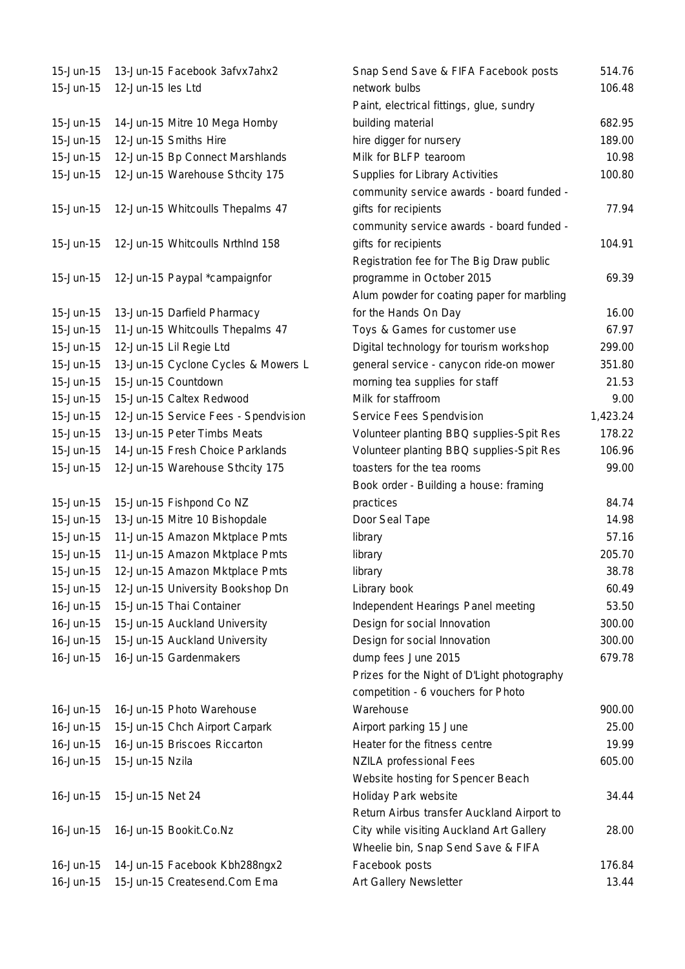| 15-Jun-15              | 13-Jun-15 Facebook 3afvx7ahx2                                 |
|------------------------|---------------------------------------------------------------|
| 15-Jun-15              | 12-Jun-15 les Ltd                                             |
|                        |                                                               |
| 15-Jun-15              | 14-Jun-15 Mitre 10 Mega Hornby                                |
| 15-Jun-15              | 12-Jun-15 Smiths Hire                                         |
| 15-Jun-15              | 12-Jun-15 Bp Connect Marshlands                               |
| 15-Jun-15              | 12-Jun-15 Warehouse Sthcity 175                               |
|                        |                                                               |
| 15-Jun-15              | 12-Jun-15 Whitcoulls Thepalms 47                              |
|                        |                                                               |
| 15-Jun-15              | 12-Jun-15 Whitcoulls NrthInd 158                              |
|                        |                                                               |
| 15-Jun-15              | 12-Jun-15 Paypal *campaignfor                                 |
|                        |                                                               |
| 15-Jun-15              | 13-Jun-15 Darfield Pharmacy                                   |
| 15-Jun-15              | 11-Jun-15 Whitcoulls Thepalms 47                              |
| 15-Jun-15              | 12-Jun-15 Lil Regie Ltd                                       |
| 15-Jun-15              | 13-Jun-15 Cyclone Cycles & Mowers                             |
| 15-Jun-15              | 15-Jun-15 Countdown                                           |
|                        |                                                               |
| 15-Jun-15              | 15-Jun-15 Caltex Redwood                                      |
| 15-Jun-15              | 12-Jun-15 Service Fees - Spendvisio                           |
| 15-Jun-15              | 13-Jun-15 Peter Timbs Meats                                   |
| 15-Jun-15              | 14-Jun-15 Fresh Choice Parklands                              |
| 15-Jun-15              | 12-Jun-15 Warehouse Sthcity 175                               |
|                        |                                                               |
|                        |                                                               |
| 15-Jun-15              | 15-Jun-15 Fishpond Co NZ                                      |
| 15-Jun-15              | 13-Jun-15 Mitre 10 Bishopdale                                 |
| 15-Jun-15              | 11-Jun-15 Amazon Mktplace Pmts                                |
| 15-Jun-15              | 11-Jun-15 Amazon Mktplace Pmts                                |
| 15-Jun-15              | 12-Jun-15 Amazon Mktplace Pmts                                |
| 15-Jun-15              | 12-Jun-15 University Bookshop Dn                              |
| 16-Jun-15              | 15-Jun-15 Thai Container                                      |
| 16-Jun-15              | 15-Jun-15 Auckland University                                 |
| $16 - Jun-15$          | 15-Jun-15 Auckland University                                 |
| 16-Jun-15              | 16-Jun-15 Gardenmakers                                        |
|                        |                                                               |
|                        |                                                               |
|                        |                                                               |
| 16-Jun-15              | 16-Jun-15 Photo Warehouse                                     |
| 16-Jun-15              | 15-Jun-15 Chch Airport Carpark                                |
| $16$ -Jun- $15$        | 16-Jun-15 Briscoes Riccarton                                  |
| 16-Jun-15              | 15-Jun-15 Nzila                                               |
|                        |                                                               |
| 16-Jun-15              | 15-Jun-15 Net 24                                              |
|                        |                                                               |
| 16-Jun-15              | 16-Jun-15 Bookit.Co.Nz                                        |
|                        |                                                               |
| 16-Jun-15<br>16-Jun-15 | 14-Jun-15 Facebook Kbh288ngx2<br>15-Jun-15 Createsend.Com Ema |

| 15-Jun-15       | 13-Jun-15 Facebook 3afvx7ahx2        | Snap Send Save & FIFA Facebook posts        | 514.76   |
|-----------------|--------------------------------------|---------------------------------------------|----------|
| 15-Jun-15       | 12-Jun-15 les Ltd                    | network bulbs<br>106.48                     |          |
|                 |                                      | Paint, electrical fittings, glue, sundry    |          |
| 15-Jun-15       | 14-Jun-15 Mitre 10 Mega Hornby       | building material                           | 682.95   |
| 15-Jun-15       | 12-Jun-15 Smiths Hire                | hire digger for nursery                     | 189.00   |
| 15-Jun-15       | 12-Jun-15 Bp Connect Marshlands      | Milk for BLFP tearoom                       | 10.98    |
| 15-Jun-15       | 12-Jun-15 Warehouse Sthcity 175      | Supplies for Library Activities             | 100.80   |
|                 |                                      | community service awards - board funded -   |          |
| 15-Jun-15       | 12-Jun-15 Whitcoulls Thepalms 47     | gifts for recipients                        | 77.94    |
|                 |                                      | community service awards - board funded -   |          |
| 15-Jun-15       | 12-Jun-15 Whitcoulls NrthInd 158     | gifts for recipients                        | 104.91   |
|                 |                                      | Registration fee for The Big Draw public    |          |
| 15-Jun-15       | 12-Jun-15 Paypal *campaignfor        | programme in October 2015                   | 69.39    |
|                 |                                      | Alum powder for coating paper for marbling  |          |
| 15-Jun-15       | 13-Jun-15 Darfield Pharmacy          | for the Hands On Day                        | 16.00    |
| 15-Jun-15       | 11-Jun-15 Whitcoulls Thepalms 47     | Toys & Games for customer use               | 67.97    |
| 15-Jun-15       | 12-Jun-15 Lil Regie Ltd              | Digital technology for tourism workshop     | 299.00   |
| 15-Jun-15       | 13-Jun-15 Cyclone Cycles & Mowers L  | general service - canycon ride-on mower     | 351.80   |
| 15-Jun-15       | 15-Jun-15 Countdown                  | morning tea supplies for staff              | 21.53    |
| 15-Jun-15       | 15-Jun-15 Caltex Redwood             | Milk for staffroom                          | 9.00     |
| 15-Jun-15       | 12-Jun-15 Service Fees - Spendvision | Service Fees Spendvision                    | 1,423.24 |
| 15-Jun-15       | 13-Jun-15 Peter Timbs Meats          | Volunteer planting BBQ supplies-Spit Res    | 178.22   |
| 15-Jun-15       | 14-Jun-15 Fresh Choice Parklands     | Volunteer planting BBQ supplies-Spit Res    | 106.96   |
| 15-Jun-15       | 12-Jun-15 Warehouse Sthcity 175      | toasters for the tea rooms                  | 99.00    |
|                 |                                      | Book order - Building a house: framing      |          |
| 15-Jun-15       | 15-Jun-15 Fishpond Co NZ             | practices                                   | 84.74    |
| 15-Jun-15       | 13-Jun-15 Mitre 10 Bishopdale        | Door Seal Tape                              | 14.98    |
| 15-Jun-15       | 11-Jun-15 Amazon Mktplace Pmts       | library                                     | 57.16    |
| 15-Jun-15       | 11-Jun-15 Amazon Mktplace Pmts       | library                                     | 205.70   |
| 15-Jun-15       | 12-Jun-15 Amazon Mktplace Pmts       | library                                     | 38.78    |
| 15-Jun-15       | 12-Jun-15 University Bookshop Dn     | Library book                                | 60.49    |
| 16-Jun-15       | 15-Jun-15 Thai Container             | Independent Hearings Panel meeting          | 53.50    |
| 16-Jun-15       | 15-Jun-15 Auckland University        | Design for social Innovation                | 300.00   |
| 16-Jun-15       | 15-Jun-15 Auckland University        | Design for social Innovation                | 300.00   |
| $16$ -Jun- $15$ | 16-Jun-15 Gardenmakers               | dump fees June 2015<br>679.78               |          |
|                 |                                      | Prizes for the Night of D'Light photography |          |
|                 |                                      | competition - 6 vouchers for Photo          |          |
| 16-Jun-15       | 16-Jun-15 Photo Warehouse            | Warehouse                                   | 900.00   |
| 16-Jun-15       | 15-Jun-15 Chch Airport Carpark       | Airport parking 15 June                     | 25.00    |
| 16-Jun-15       | 16-Jun-15 Briscoes Riccarton         | Heater for the fitness centre               | 19.99    |
| 16-Jun-15       | 15-Jun-15 Nzila                      | NZILA professional Fees                     | 605.00   |
|                 |                                      | Website hosting for Spencer Beach           |          |
| 16-Jun-15       | 15-Jun-15 Net 24                     | Holiday Park website                        | 34.44    |
|                 |                                      | Return Airbus transfer Auckland Airport to  |          |
| 16-Jun-15       | 16-Jun-15 Bookit.Co.Nz               | City while visiting Auckland Art Gallery    | 28.00    |
|                 |                                      | Wheelie bin, Snap Send Save & FIFA          |          |
| 16-Jun-15       | 14-Jun-15 Facebook Kbh288ngx2        | Facebook posts                              | 176.84   |
| 16-Jun-15       | 15-Jun-15 Createsend.Com Ema         | Art Gallery Newsletter                      | 13.44    |
|                 |                                      |                                             |          |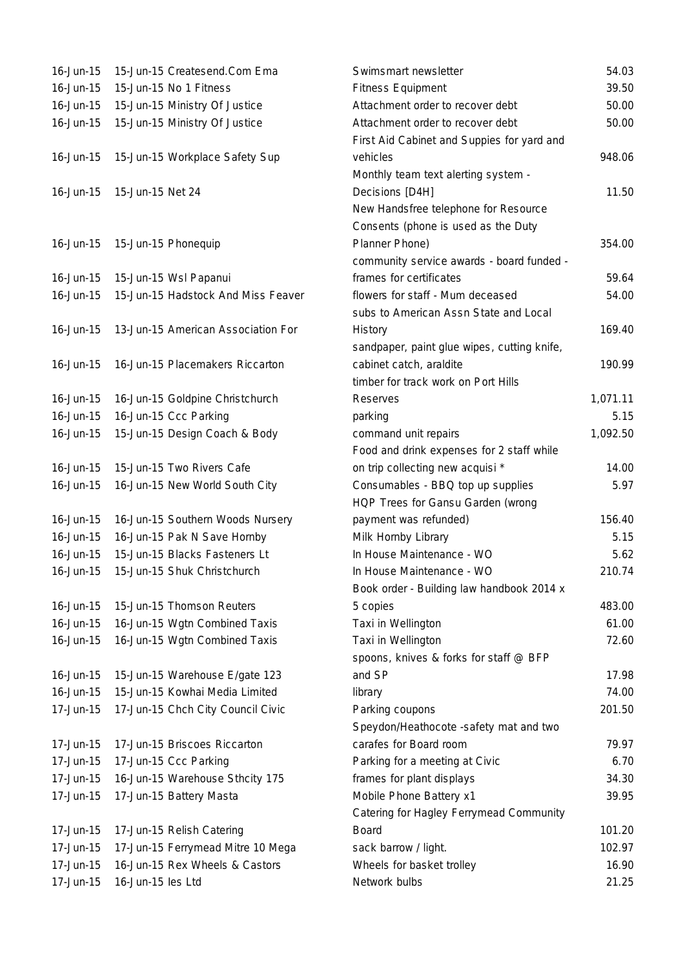| 16-Jun-15       | 15-Jun-15 Createsend.Com Ema       |
|-----------------|------------------------------------|
| 16-Jun-15       | 15-Jun-15 No 1 Fitness             |
| 16-Jun-15       | 15-Jun-15 Ministry Of Justice      |
| 16-Jun-15       | 15-Jun-15 Ministry Of Justice      |
|                 |                                    |
| 16-Jun-15       | 15-Jun-15 Workplace Safety Sup     |
|                 |                                    |
| 16-Jun-15       | 15-Jun-15 Net 24                   |
|                 |                                    |
|                 |                                    |
| 16-Jun-15       | 15-Jun-15 Phonequip                |
|                 |                                    |
| 16-Jun-15       | 15-Jun-15 Wsl Papanui              |
| $16$ -Jun- $15$ | 15-Jun-15 Hadstock And Miss Feaver |
|                 |                                    |
| 16-Jun-15       | 13-Jun-15 American Association For |
|                 |                                    |
| 16-Jun-15       | 16-Jun-15 Placemakers Riccarton    |
|                 |                                    |
| 16-Jun-15       | 16-Jun-15 Goldpine Christchurch    |
| 16-Jun-15       | 16-Jun-15 Ccc Parking              |
| $16$ -Jun- $15$ | 15-Jun-15 Design Coach & Body      |
|                 |                                    |
| 16-Jun-15       | 15-Jun-15 Two Rivers Cafe          |
| 16-Jun-15       | 16-Jun-15 New World South City     |
|                 |                                    |
| 16-Jun-15       | 16-Jun-15 Southern Woods Nursery   |
| 16-Jun-15       | 16-Jun-15 Pak N Save Hornby        |
| 16-Jun-15       | 15-Jun-15 Blacks Fasteners Lt      |
| 16-Jun-15       | 15-Jun-15 Shuk Christchurch        |
|                 |                                    |
| 16-Jun-15       | 15-Jun-15 Thomson Reuters          |
| 16-Jun-15       | 16-Jun-15 Wgtn Combined Taxis      |
| 16-Jun-15       | 16-Jun-15 Wgtn Combined Taxis      |
|                 |                                    |
| 16-Jun-15       | 15-Jun-15 Warehouse E/gate 123     |
| 16-Jun-15       | 15-Jun-15 Kowhai Media Limited     |
| 17-Jun-15       | 17-Jun-15 Chch City Council Civic  |
|                 |                                    |
| 17-Jun-15       | 17-Jun-15 Briscoes Riccarton       |
| 17-Jun-15       | 17-Jun-15 Ccc Parking              |
| 17-Jun-15       | 16-Jun-15 Warehouse Sthcity 175    |
| 17-Jun-15       | 17-Jun-15 Battery Masta            |
|                 |                                    |
| 17-Jun-15       | 17-Jun-15 Relish Catering          |
| 17-Jun-15       | 17-Jun-15 Ferrymead Mitre 10 Mega  |
| 17-Jun-15       | 16-Jun-15 Rex Wheels & Castors     |
| 17-Jun-15       | 16-Jun-15 les Ltd                  |
|                 |                                    |

| 16-Jun-15       | 15-Jun-15 Createsend.Com Ema       | Swimsmart newsletter                        | 54.03    |
|-----------------|------------------------------------|---------------------------------------------|----------|
| 16-Jun-15       | 15-Jun-15 No 1 Fitness             | <b>Fitness Equipment</b>                    | 39.50    |
| 16-Jun-15       | 15-Jun-15 Ministry Of Justice      | Attachment order to recover debt            | 50.00    |
| 16-Jun-15       | 15-Jun-15 Ministry Of Justice      | Attachment order to recover debt            | 50.00    |
|                 |                                    | First Aid Cabinet and Suppies for yard and  |          |
| 16-Jun-15       | 15-Jun-15 Workplace Safety Sup     | vehicles                                    | 948.06   |
|                 |                                    | Monthly team text alerting system -         |          |
| 16-Jun-15       | 15-Jun-15 Net 24                   | Decisions [D4H]                             | 11.50    |
|                 |                                    | New Handsfree telephone for Resource        |          |
|                 |                                    | Consents (phone is used as the Duty         |          |
| 16-Jun-15       | 15-Jun-15 Phonequip                | Planner Phone)                              | 354.00   |
|                 |                                    | community service awards - board funded -   |          |
|                 |                                    | frames for certificates                     | 59.64    |
| 16-Jun-15       | 15-Jun-15 Wsl Papanui              |                                             |          |
| 16-Jun-15       | 15-Jun-15 Hadstock And Miss Feaver | flowers for staff - Mum deceased            | 54.00    |
|                 |                                    | subs to American Assn State and Local       |          |
| 16-Jun-15       | 13-Jun-15 American Association For | History                                     | 169.40   |
|                 |                                    | sandpaper, paint glue wipes, cutting knife, |          |
| 16-Jun-15       | 16-Jun-15 Placemakers Riccarton    | cabinet catch, araldite                     | 190.99   |
|                 |                                    | timber for track work on Port Hills         |          |
| $16 - Jun-15$   | 16-Jun-15 Goldpine Christchurch    | <b>Reserves</b>                             | 1,071.11 |
| 16-Jun-15       | 16-Jun-15 Ccc Parking              | parking                                     | 5.15     |
| 16-Jun-15       | 15-Jun-15 Design Coach & Body      | command unit repairs                        | 1,092.50 |
|                 |                                    | Food and drink expenses for 2 staff while   |          |
| 16-Jun-15       | 15-Jun-15 Two Rivers Cafe          | on trip collecting new acquisi *            | 14.00    |
| 16-Jun-15       | 16-Jun-15 New World South City     | Consumables - BBQ top up supplies           | 5.97     |
|                 |                                    | HQP Trees for Gansu Garden (wrong           |          |
| 16-Jun-15       | 16-Jun-15 Southern Woods Nursery   | payment was refunded)                       | 156.40   |
| 16-Jun-15       | 16-Jun-15 Pak N Save Hornby        | Milk Hornby Library                         | 5.15     |
| 16-Jun-15       | 15-Jun-15 Blacks Fasteners Lt      | In House Maintenance - WO                   | 5.62     |
| 16-Jun-15       | 15-Jun-15 Shuk Christchurch        | In House Maintenance - WO                   | 210.74   |
|                 |                                    | Book order - Building law handbook 2014 x   |          |
| 16-Jun-15       | 15-Jun-15 Thomson Reuters          | 5 copies                                    | 483.00   |
| 16-Jun-15       | 16-Jun-15 Wgtn Combined Taxis      | Taxi in Wellington                          | 61.00    |
| $16$ -Jun- $15$ | 16-Jun-15 Wgtn Combined Taxis      | Taxi in Wellington                          | 72.60    |
|                 |                                    | spoons, knives & forks for staff @ BFP      |          |
| 16-Jun-15       | 15-Jun-15 Warehouse E/gate 123     | and SP                                      | 17.98    |
| 16-Jun-15       | 15-Jun-15 Kowhai Media Limited     | library                                     | 74.00    |
| 17-Jun-15       | 17-Jun-15 Chch City Council Civic  | Parking coupons                             | 201.50   |
|                 |                                    | Speydon/Heathocote -safety mat and two      |          |
|                 |                                    |                                             |          |
| 17-Jun-15       | 17-Jun-15 Briscoes Riccarton       | carafes for Board room                      | 79.97    |
| 17-Jun-15       | 17-Jun-15 Ccc Parking              | Parking for a meeting at Civic              | 6.70     |
| 17-Jun-15       | 16-Jun-15 Warehouse Sthcity 175    | frames for plant displays                   | 34.30    |
| 17-Jun-15       | 17-Jun-15 Battery Masta            | Mobile Phone Battery x1                     | 39.95    |
|                 |                                    | Catering for Hagley Ferrymead Community     |          |
| 17-Jun-15       | 17-Jun-15 Relish Catering          | Board                                       | 101.20   |
| 17-Jun-15       | 17-Jun-15 Ferrymead Mitre 10 Mega  | sack barrow / light.                        | 102.97   |
| 17-Jun-15       | 16-Jun-15 Rex Wheels & Castors     | Wheels for basket trolley                   | 16.90    |
| 17-Jun-15       | 16-Jun-15 les Ltd                  | Network bulbs                               | 21.25    |
|                 |                                    |                                             |          |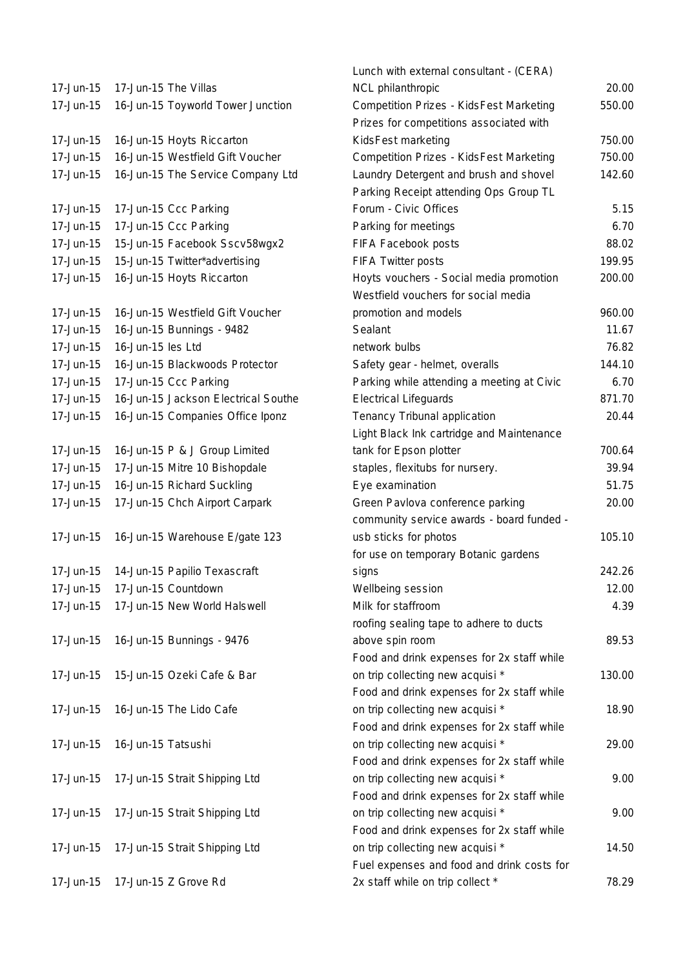| 17-Jun-15 | 17-Jun-15 The Villas                    |
|-----------|-----------------------------------------|
| 17-Jun-15 | 16-Jun-15 Toyworld Tower Junction       |
|           |                                         |
| 17-Jun-15 | 16-Jun-15 Hoyts Riccarton               |
| 17-Jun-15 | 16-Jun-15 Westfield Gift Voucher        |
| 17-Jun-15 | 16-Jun-15 The Service Company Ltd       |
|           |                                         |
| 17-Jun-15 | 17-Jun-15 Ccc Parking                   |
| 17-Jun-15 | 17-Jun-15 Ccc Parking                   |
| 17-Jun-15 | 15-Jun-15 Facebook Sscv58wgx2           |
| 17-Jun-15 | 15-Jun-15 Twitter*advertising           |
| 17-Jun-15 | 16-Jun-15 Hoyts Riccarton               |
|           |                                         |
| 17-Jun-15 | 16-Jun-15 Westfield Gift Voucher        |
| 17-Jun-15 | 16-Jun-15 Bunnings - 9482               |
| 17-Jun-15 | 16-Jun-15 les Ltd                       |
| 17-Jun-15 | 16-Jun-15 Blackwoods Protector          |
| 17-Jun-15 | 17-Jun-15 Ccc Parking                   |
| 17-Jun-15 | 16-Jun-15 Jackson Electrical Southe     |
| 17-Jun-15 | 16-Jun-15 Companies Office Iponz        |
|           |                                         |
| 17-Jun-15 | 16-Jun-15 P & J Group Limited           |
| 17-Jun-15 | 17-Jun-15 Mitre 10 Bishopdale           |
| 17-Jun-15 | 16-Jun-15 Richard Suckling              |
| 17-Jun-15 | 17-Jun-15 Chch Airport Carpark          |
|           |                                         |
| 17-Jun-15 | 16-Jun-15 Warehouse E/gate 123          |
|           |                                         |
| 17-Jun-15 | 14-Jun-15 Papilio Texascraft            |
| 17-Jun-15 | 17-Jun-15 Countdown                     |
|           | 17-Jun-15 17-Jun-15 New World Halswell  |
|           |                                         |
| 17-Jun-15 | 16-Jun-15 Bunnings - 9476               |
|           |                                         |
| 17-Jun-15 | 15-Jun-15 Ozeki Cafe & Bar              |
| 17-Jun-15 | 16-Jun-15 The Lido Cafe                 |
|           |                                         |
| 17-Jun-15 | 16-Jun-15 Tatsushi                      |
|           |                                         |
|           | 17-Jun-15 17-Jun-15 Strait Shipping Ltd |
|           |                                         |
| 17-Jun-15 | 17-Jun-15 Strait Shipping Ltd           |
|           |                                         |
|           | 17-Jun-15 17-Jun-15 Strait Shipping Ltd |
|           |                                         |
|           | 17-Jun-15   17-Jun-15   Z   Grove   Rd  |
|           |                                         |

|           |                                        | Lunch with external consultant - (CERA)        |        |
|-----------|----------------------------------------|------------------------------------------------|--------|
| 17-Jun-15 | 17-Jun-15 The Villas                   | NCL philanthropic                              | 20.00  |
| 17-Jun-15 | 16-Jun-15 Toyworld Tower Junction      | <b>Competition Prizes - KidsFest Marketing</b> | 550.00 |
|           |                                        | Prizes for competitions associated with        |        |
| 17-Jun-15 | 16-Jun-15 Hoyts Riccarton              | KidsFest marketing                             | 750.00 |
| 17-Jun-15 | 16-Jun-15 Westfield Gift Voucher       | <b>Competition Prizes - KidsFest Marketing</b> | 750.00 |
| 17-Jun-15 | 16-Jun-15 The Service Company Ltd      | Laundry Detergent and brush and shovel         | 142.60 |
|           |                                        | Parking Receipt attending Ops Group TL         |        |
| 17-Jun-15 | 17-Jun-15 Ccc Parking                  | Forum - Civic Offices                          | 5.15   |
| 17-Jun-15 | 17-Jun-15 Ccc Parking                  | Parking for meetings                           | 6.70   |
| 17-Jun-15 | 15-Jun-15 Facebook Sscv58wgx2          | FIFA Facebook posts                            | 88.02  |
| 17-Jun-15 | 15-Jun-15 Twitter*advertising          | <b>FIFA Twitter posts</b>                      | 199.95 |
| 17-Jun-15 | 16-Jun-15 Hoyts Riccarton              | Hoyts vouchers - Social media promotion        | 200.00 |
|           |                                        | Westfield vouchers for social media            |        |
| 17-Jun-15 | 16-Jun-15 Westfield Gift Voucher       | promotion and models                           | 960.00 |
| 17-Jun-15 | 16-Jun-15 Bunnings - 9482              | Sealant                                        | 11.67  |
| 17-Jun-15 | 16-Jun-15 les Ltd                      | network bulbs                                  | 76.82  |
| 17-Jun-15 | 16-Jun-15 Blackwoods Protector         | Safety gear - helmet, overalls                 | 144.10 |
| 17-Jun-15 | 17-Jun-15 Ccc Parking                  | Parking while attending a meeting at Civic     | 6.70   |
| 17-Jun-15 | 16-Jun-15 Jackson Electrical Southe    | <b>Electrical Lifeguards</b>                   | 871.70 |
| 17-Jun-15 | 16-Jun-15 Companies Office Iponz       | Tenancy Tribunal application                   | 20.44  |
|           |                                        | Light Black Ink cartridge and Maintenance      |        |
| 17-Jun-15 | 16-Jun-15 P & J Group Limited          | tank for Epson plotter                         | 700.64 |
| 17-Jun-15 | 17-Jun-15 Mitre 10 Bishopdale          | staples, flexitubs for nursery.                | 39.94  |
| 17-Jun-15 | 16-Jun-15 Richard Suckling             | Eye examination                                | 51.75  |
| 17-Jun-15 | 17-Jun-15 Chch Airport Carpark         | Green Pavlova conference parking               | 20.00  |
|           |                                        | community service awards - board funded -      |        |
| 17-Jun-15 | 16-Jun-15 Warehouse E/gate 123         | usb sticks for photos                          | 105.10 |
|           |                                        | for use on temporary Botanic gardens           |        |
|           | 17-Jun-15 14-Jun-15 Papilio Texascraft | signs                                          | 242.26 |
| 17-Jun-15 | 17-Jun-15 Countdown                    | Wellbeing session                              | 12.00  |
| 17-Jun-15 | 17-Jun-15 New World Halswell           | Milk for staffroom                             | 4.39   |
|           |                                        | roofing sealing tape to adhere to ducts        |        |
| 17-Jun-15 | 16-Jun-15 Bunnings - 9476              | above spin room                                | 89.53  |
|           |                                        | Food and drink expenses for 2x staff while     |        |
| 17-Jun-15 | 15-Jun-15 Ozeki Cafe & Bar             | on trip collecting new acquisi *               | 130.00 |
|           |                                        | Food and drink expenses for 2x staff while     |        |
| 17-Jun-15 | 16-Jun-15 The Lido Cafe                | on trip collecting new acquisi *               | 18.90  |
|           |                                        | Food and drink expenses for 2x staff while     |        |
| 17-Jun-15 | 16-Jun-15 Tatsushi                     | on trip collecting new acquisi *               | 29.00  |
|           |                                        | Food and drink expenses for 2x staff while     |        |
| 17-Jun-15 | 17-Jun-15 Strait Shipping Ltd          | on trip collecting new acquisi *               | 9.00   |
|           |                                        | Food and drink expenses for 2x staff while     |        |
| 17-Jun-15 | 17-Jun-15 Strait Shipping Ltd          | on trip collecting new acquisi *               | 9.00   |
|           |                                        | Food and drink expenses for 2x staff while     |        |
| 17-Jun-15 | 17-Jun-15 Strait Shipping Ltd          | on trip collecting new acquisi *               | 14.50  |
|           |                                        | Fuel expenses and food and drink costs for     |        |
| 17-Jun-15 | 17-Jun-15 Z Grove Rd                   | 2x staff while on trip collect *               | 78.29  |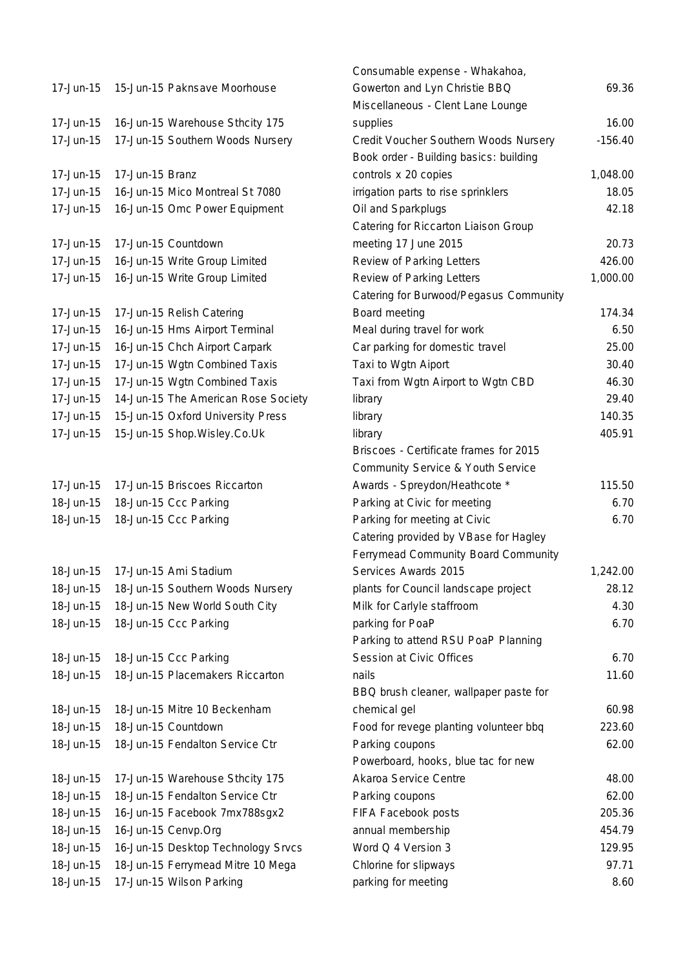| 17-Jun-15 |                 | 15-Jun-15 Paknsave Moorhouse                                       | Gowerton a<br>Miscellaneo |
|-----------|-----------------|--------------------------------------------------------------------|---------------------------|
| 17-Jun-15 |                 | 16-Jun-15 Warehouse Sthcity 175                                    | supplies                  |
| 17-Jun-15 |                 | 17-Jun-15 Southern Woods Nursery                                   | Credit Vouc               |
|           |                 |                                                                    | Book order                |
| 17-Jun-15 | 17-Jun-15 Branz |                                                                    | controls x 2              |
| 17-Jun-15 |                 | 16-Jun-15 Mico Montreal St 7080                                    | irrigation pa             |
| 17-Jun-15 |                 | 16-Jun-15 Omc Power Equipment                                      | Oil and Spa               |
|           |                 |                                                                    | Catering for              |
| 17-Jun-15 |                 | 17-Jun-15 Countdown                                                | meeting 17                |
| 17-Jun-15 |                 | 16-Jun-15 Write Group Limited                                      | Review of P               |
| 17-Jun-15 |                 | 16-Jun-15 Write Group Limited                                      | Review of P               |
|           |                 |                                                                    | Catering for              |
| 17-Jun-15 |                 | 17-Jun-15 Relish Catering                                          | Board meet                |
| 17-Jun-15 |                 | 16-Jun-15 Hms Airport Terminal                                     | Meal during               |
| 17-Jun-15 |                 | 16-Jun-15 Chch Airport Carpark                                     | Car parking               |
| 17-Jun-15 |                 | 17-Jun-15 Wgtn Combined Taxis                                      | Taxi to Wgt               |
| 17-Jun-15 |                 | 17-Jun-15 Wgtn Combined Taxis                                      | Taxi from W               |
| 17-Jun-15 |                 | 14-Jun-15 The American Rose Society                                | library                   |
| 17-Jun-15 |                 | 15-Jun-15 Oxford University Press                                  | library                   |
| 17-Jun-15 |                 | 15-Jun-15 Shop. Wisley. Co. Uk                                     | library                   |
|           |                 |                                                                    | Briscoes - C              |
|           |                 |                                                                    | Community                 |
| 17-Jun-15 |                 | 17-Jun-15 Briscoes Riccarton                                       | Awards - Sp               |
| 18-Jun-15 |                 | 18-Jun-15 Ccc Parking                                              | Parking at 0              |
| 18-Jun-15 |                 | 18-Jun-15 Ccc Parking                                              | Parking for               |
|           |                 |                                                                    | Catering pro              |
|           |                 |                                                                    | Ferrymead                 |
| 18-Jun-15 |                 | 17-Jun-15 Ami Stadium                                              | Services Av               |
| 18-Jun-15 |                 | 18-Jun-15 Southern Woods Nursery                                   | plants for C              |
| 18-Jun-15 |                 | 18-Jun-15 New World South City                                     | Milk for Car              |
| 18-Jun-15 |                 | 18-Jun-15 Ccc Parking                                              | parking for I             |
|           |                 |                                                                    | Parking to a              |
| 18-Jun-15 |                 | 18-Jun-15 Ccc Parking                                              | Session at                |
| 18-Jun-15 |                 | 18-Jun-15 Placemakers Riccarton                                    | nails                     |
|           |                 |                                                                    | BBQ brush                 |
| 18-Jun-15 |                 | 18-Jun-15 Mitre 10 Beckenham                                       | chemical ge               |
| 18-Jun-15 |                 | 18-Jun-15 Countdown                                                | Food for rev              |
| 18-Jun-15 |                 | 18-Jun-15 Fendalton Service Ctr                                    |                           |
|           |                 |                                                                    | Parking cou<br>Powerboard |
| 18-Jun-15 |                 |                                                                    | Akaroa Sen                |
| 18-Jun-15 |                 | 17-Jun-15 Warehouse Sthcity 175<br>18-Jun-15 Fendalton Service Ctr |                           |
|           |                 |                                                                    | Parking cou               |
| 18-Jun-15 |                 | 16-Jun-15 Facebook 7mx788sgx2                                      | <b>FIFA Faceb</b>         |
| 18-Jun-15 |                 | 16-Jun-15 Cenvp.Org                                                | annual mem                |
| 18-Jun-15 |                 | 16-Jun-15 Desktop Technology Srvcs                                 | Word Q 4 V                |
| 18-Jun-15 |                 | 18-Jun-15 Ferrymead Mitre 10 Mega                                  | Chlorine for              |
| 18-Jun-15 |                 | 17-Jun-15 Wilson Parking                                           | parking for r             |

|           |                                     | Consumable expense - Whakahoa,               |           |
|-----------|-------------------------------------|----------------------------------------------|-----------|
| 17-Jun-15 | 15-Jun-15 Paknsave Moorhouse        | Gowerton and Lyn Christie BBQ                | 69.36     |
|           |                                     | Miscellaneous - Clent Lane Lounge            |           |
| 17-Jun-15 | 16-Jun-15 Warehouse Sthcity 175     | supplies                                     | 16.00     |
| 17-Jun-15 | 17-Jun-15 Southern Woods Nursery    | Credit Voucher Southern Woods Nursery        | $-156.40$ |
|           |                                     | Book order - Building basics: building       |           |
| 17-Jun-15 | 17-Jun-15 Branz                     | controls x 20 copies                         | 1,048.00  |
| 17-Jun-15 | 16-Jun-15 Mico Montreal St 7080     | irrigation parts to rise sprinklers          | 18.05     |
| 17-Jun-15 | 16-Jun-15 Omc Power Equipment       | Oil and Sparkplugs                           | 42.18     |
|           |                                     | Catering for Riccarton Liaison Group         |           |
| 17-Jun-15 | 17-Jun-15 Countdown                 | meeting 17 June 2015                         | 20.73     |
| 17-Jun-15 | 16-Jun-15 Write Group Limited       | Review of Parking Letters                    | 426.00    |
| 17-Jun-15 | 16-Jun-15 Write Group Limited       | Review of Parking Letters                    | 1,000.00  |
|           |                                     | Catering for Burwood/Pegasus Community       |           |
| 17-Jun-15 | 17-Jun-15 Relish Catering           | Board meeting                                | 174.34    |
| 17-Jun-15 | 16-Jun-15 Hms Airport Terminal      | Meal during travel for work                  | 6.50      |
| 17-Jun-15 | 16-Jun-15 Chch Airport Carpark      | Car parking for domestic travel              | 25.00     |
| 17-Jun-15 | 17-Jun-15 Wgtn Combined Taxis       | Taxi to Wgtn Aiport                          | 30.40     |
| 17-Jun-15 | 17-Jun-15 Wgtn Combined Taxis       | Taxi from Wgtn Airport to Wgtn CBD           | 46.30     |
| 17-Jun-15 | 14-Jun-15 The American Rose Society | library                                      | 29.40     |
| 17-Jun-15 | 15-Jun-15 Oxford University Press   | library                                      | 140.35    |
| 17-Jun-15 | 15-Jun-15 Shop. Wisley. Co. Uk      | library                                      | 405.91    |
|           |                                     | Briscoes - Certificate frames for 2015       |           |
|           |                                     | <b>Community Service &amp; Youth Service</b> |           |
| 17-Jun-15 | 17-Jun-15 Briscoes Riccarton        | Awards - Spreydon/Heathcote *                | 115.50    |
| 18-Jun-15 | 18-Jun-15 Ccc Parking               | Parking at Civic for meeting                 | 6.70      |
| 18-Jun-15 | 18-Jun-15 Ccc Parking               | Parking for meeting at Civic                 | 6.70      |
|           |                                     | Catering provided by VBase for Hagley        |           |
|           |                                     | Ferrymead Community Board Community          |           |
| 18-Jun-15 | 17-Jun-15 Ami Stadium               | Services Awards 2015                         | 1,242.00  |
| 18-Jun-15 | 18-Jun-15 Southern Woods Nursery    | plants for Council landscape project         | 28.12     |
| 18-Jun-15 | 18-Jun-15 New World South City      | Milk for Carlyle staffroom                   | 4.30      |
| 18-Jun-15 | 18-Jun-15 Ccc Parking               | parking for PoaP                             | 6.70      |
|           |                                     | Parking to attend RSU PoaP Planning          |           |
| 18-Jun-15 | 18-Jun-15 Ccc Parking               | Session at Civic Offices                     | 6.70      |
| 18-Jun-15 | 18-Jun-15 Placemakers Riccarton     | nails                                        | 11.60     |
|           |                                     | BBQ brush cleaner, wallpaper paste for       |           |
| 18-Jun-15 | 18-Jun-15 Mitre 10 Beckenham        | chemical gel                                 | 60.98     |
| 18-Jun-15 | 18-Jun-15 Countdown                 | Food for revege planting volunteer bbq       | 223.60    |
| 18-Jun-15 | 18-Jun-15 Fendalton Service Ctr     | Parking coupons                              | 62.00     |
|           |                                     | Powerboard, hooks, blue tac for new          |           |
| 18-Jun-15 | 17-Jun-15 Warehouse Sthcity 175     | Akaroa Service Centre                        | 48.00     |
| 18-Jun-15 | 18-Jun-15 Fendalton Service Ctr     | Parking coupons                              | 62.00     |
| 18-Jun-15 | 16-Jun-15 Facebook 7mx788sgx2       | FIFA Facebook posts                          | 205.36    |
| 18-Jun-15 | 16-Jun-15 Cenvp.Org                 | annual membership                            | 454.79    |
| 18-Jun-15 | 16-Jun-15 Desktop Technology Srvcs  | Word Q 4 Version 3                           | 129.95    |
| 18-Jun-15 | 18-Jun-15 Ferrymead Mitre 10 Mega   | Chlorine for slipways                        | 97.71     |
| 18-Jun-15 | 17-Jun-15 Wilson Parking            | parking for meeting                          | 8.60      |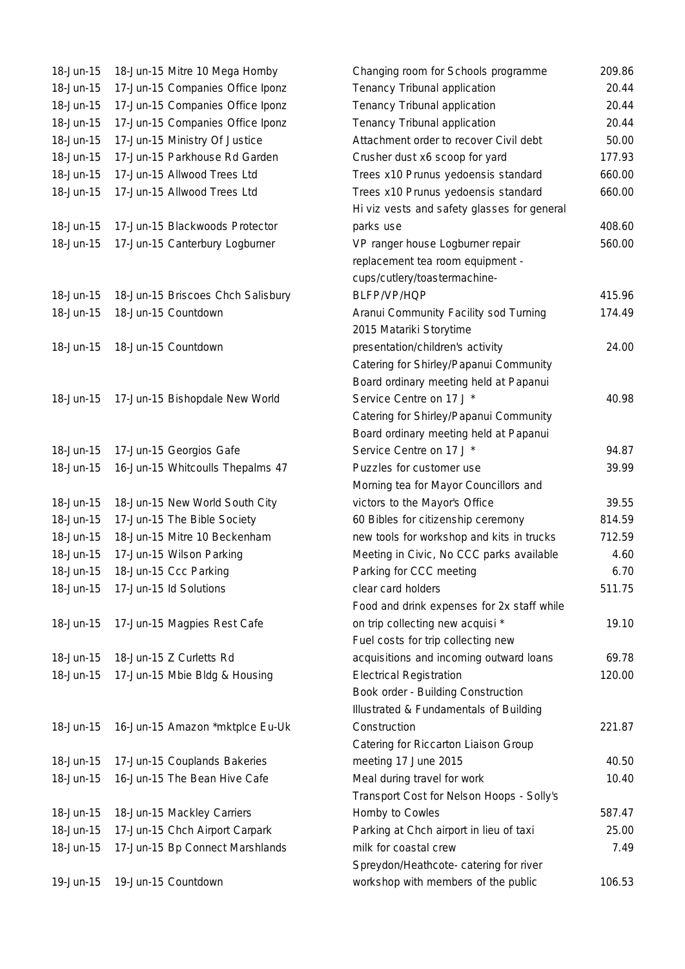| 18-Jun-15 | 18-Jun-15 Mitre 10 Mega Hornby    |
|-----------|-----------------------------------|
| 18-Jun-15 | 17-Jun-15 Companies Office Iponz  |
| 18-Jun-15 | 17-Jun-15 Companies Office Iponz  |
| 18-Jun-15 | 17-Jun-15 Companies Office Iponz  |
| 18-Jun-15 | 17-Jun-15 Ministry Of Justice     |
| 18-Jun-15 | 17-Jun-15 Parkhouse Rd Garden     |
| 18-Jun-15 | 17-Jun-15 Allwood Trees Ltd       |
| 18-Jun-15 | 17-Jun-15 Allwood Trees Ltd       |
|           |                                   |
| 18-Jun-15 | 17-Jun-15 Blackwoods Protector    |
| 18-Jun-15 | 17-Jun-15 Canterbury Logburner    |
|           |                                   |
|           |                                   |
| 18-Jun-15 | 18-Jun-15 Briscoes Chch Salisbury |
| 18-Jun-15 | 18-Jun-15 Countdown               |
|           |                                   |
| 18-Jun-15 | 18-Jun-15 Countdown               |
|           |                                   |
|           |                                   |
| 18-Jun-15 | 17-Jun-15 Bishopdale New World    |
|           |                                   |
|           |                                   |
| 18-Jun-15 | 17-Jun-15 Georgios Gafe           |
| 18-Jun-15 | 16-Jun-15 Whitcoulls Thepalms 47  |
|           |                                   |
| 18-Jun-15 | 18-Jun-15 New World South City    |
| 18-Jun-15 | 17-Jun-15 The Bible Society       |
| 18-Jun-15 | 18-Jun-15 Mitre 10 Beckenham      |
| 18-Jun-15 | 17-Jun-15 Wilson Parking          |
| 18-Jun-15 | 18-Jun-15 Ccc Parking             |
| 18-Jun-15 | 17-Jun-15 ld Solutions            |
|           |                                   |
| 18-Jun-15 | 17-Jun-15 Magpies Rest Cafe       |
|           |                                   |
| 18-Jun-15 | 18-Jun-15 Z Curletts Rd           |
| 18-Jun-15 | 17-Jun-15 Mbie Bldg & Housing     |
|           |                                   |
| 18-Jun-15 |                                   |
|           | 16-Jun-15 Amazon *mktplce Eu-Uk   |
| 18-Jun-15 | 17-Jun-15 Couplands Bakeries      |
| 18-Jun-15 | 16-Jun-15 The Bean Hive Cafe      |
|           |                                   |
| 18-Jun-15 | 18-Jun-15 Mackley Carriers        |
| 18-Jun-15 | 17-Jun-15 Chch Airport Carpark    |
| 18-Jun-15 | 17-Jun-15 Bp Connect Marshlands   |
|           |                                   |
| 19-Jun-15 | 19-Jun-15 Countdown               |
|           |                                   |

| 18-Jun-15 | 18-Jun-15 Mitre 10 Mega Hornby    | Changing room for Schools programme         | 209.86 |
|-----------|-----------------------------------|---------------------------------------------|--------|
| 18-Jun-15 | 17-Jun-15 Companies Office Iponz  | Tenancy Tribunal application                | 20.44  |
| 18-Jun-15 | 17-Jun-15 Companies Office Iponz  | Tenancy Tribunal application                | 20.44  |
| 18-Jun-15 | 17-Jun-15 Companies Office Iponz  | Tenancy Tribunal application                | 20.44  |
| 18-Jun-15 | 17-Jun-15 Ministry Of Justice     | Attachment order to recover Civil debt      | 50.00  |
| 18-Jun-15 | 17-Jun-15 Parkhouse Rd Garden     | Crusher dust x6 scoop for yard              | 177.93 |
| 18-Jun-15 | 17-Jun-15 Allwood Trees Ltd       | Trees x10 Prunus yedoensis standard         | 660.00 |
| 18-Jun-15 | 17-Jun-15 Allwood Trees Ltd       | Trees x10 Prunus yedoensis standard         | 660.00 |
|           |                                   | Hi viz vests and safety glasses for general |        |
| 18-Jun-15 | 17-Jun-15 Blackwoods Protector    | parks use                                   | 408.60 |
| 18-Jun-15 | 17-Jun-15 Canterbury Logburner    | VP ranger house Logburner repair            | 560.00 |
|           |                                   | replacement tea room equipment -            |        |
|           |                                   | cups/cutlery/toastermachine-                |        |
| 18-Jun-15 | 18-Jun-15 Briscoes Chch Salisbury | BLFP/VP/HQP                                 | 415.96 |
| 18-Jun-15 | 18-Jun-15 Countdown               | Aranui Community Facility sod Turning       | 174.49 |
|           |                                   | 2015 Matariki Storytime                     |        |
| 18-Jun-15 | 18-Jun-15 Countdown               | presentation/children's activity            | 24.00  |
|           |                                   | Catering for Shirley/Papanui Community      |        |
|           |                                   | Board ordinary meeting held at Papanui      |        |
| 18-Jun-15 | 17-Jun-15 Bishopdale New World    | Service Centre on 17 J *                    | 40.98  |
|           |                                   | Catering for Shirley/Papanui Community      |        |
|           |                                   | Board ordinary meeting held at Papanui      |        |
| 18-Jun-15 | 17-Jun-15 Georgios Gafe           | Service Centre on 17 J *                    | 94.87  |
| 18-Jun-15 | 16-Jun-15 Whitcoulls Thepalms 47  | Puzzles for customer use                    | 39.99  |
|           |                                   | Morning tea for Mayor Councillors and       |        |
| 18-Jun-15 | 18-Jun-15 New World South City    | victors to the Mayor's Office               | 39.55  |
| 18-Jun-15 | 17-Jun-15 The Bible Society       | 60 Bibles for citizenship ceremony          | 814.59 |
| 18-Jun-15 | 18-Jun-15 Mitre 10 Beckenham      | new tools for workshop and kits in trucks   | 712.59 |
| 18-Jun-15 | 17-Jun-15 Wilson Parking          | Meeting in Civic, No CCC parks available    | 4.60   |
| 18-Jun-15 | 18-Jun-15 Ccc Parking             | Parking for CCC meeting                     | 6.70   |
| 18-Jun-15 | 17-Jun-15 ld Solutions            | clear card holders                          | 511.75 |
|           |                                   | Food and drink expenses for 2x staff while  |        |
| 18-Jun-15 | 17-Jun-15 Magpies Rest Cafe       | on trip collecting new acquisi *            | 19.10  |
|           |                                   | Fuel costs for trip collecting new          |        |
| 18-Jun-15 | 18-Jun-15 Z Curletts Rd           | acquisitions and incoming outward loans     | 69.78  |
| 18-Jun-15 | 17-Jun-15 Mbie Bldg & Housing     | <b>Electrical Registration</b>              | 120.00 |
|           |                                   | Book order - Building Construction          |        |
|           |                                   | Illustrated & Fundamentals of Building      |        |
| 18-Jun-15 | 16-Jun-15 Amazon *mktplce Eu-Uk   | Construction                                | 221.87 |
|           |                                   | Catering for Riccarton Liaison Group        |        |
| 18-Jun-15 | 17-Jun-15 Couplands Bakeries      | meeting 17 June 2015                        | 40.50  |
| 18-Jun-15 | 16-Jun-15 The Bean Hive Cafe      | Meal during travel for work                 | 10.40  |
|           |                                   | Transport Cost for Nelson Hoops - Solly's   |        |
| 18-Jun-15 | 18-Jun-15 Mackley Carriers        | Hornby to Cowles                            | 587.47 |
| 18-Jun-15 | 17-Jun-15 Chch Airport Carpark    | Parking at Chch airport in lieu of taxi     | 25.00  |
| 18-Jun-15 | 17-Jun-15 Bp Connect Marshlands   | milk for coastal crew                       | 7.49   |
|           |                                   | Spreydon/Heathcote- catering for river      |        |
| 19-Jun-15 | 19-Jun-15 Countdown               | workshop with members of the public         | 106.53 |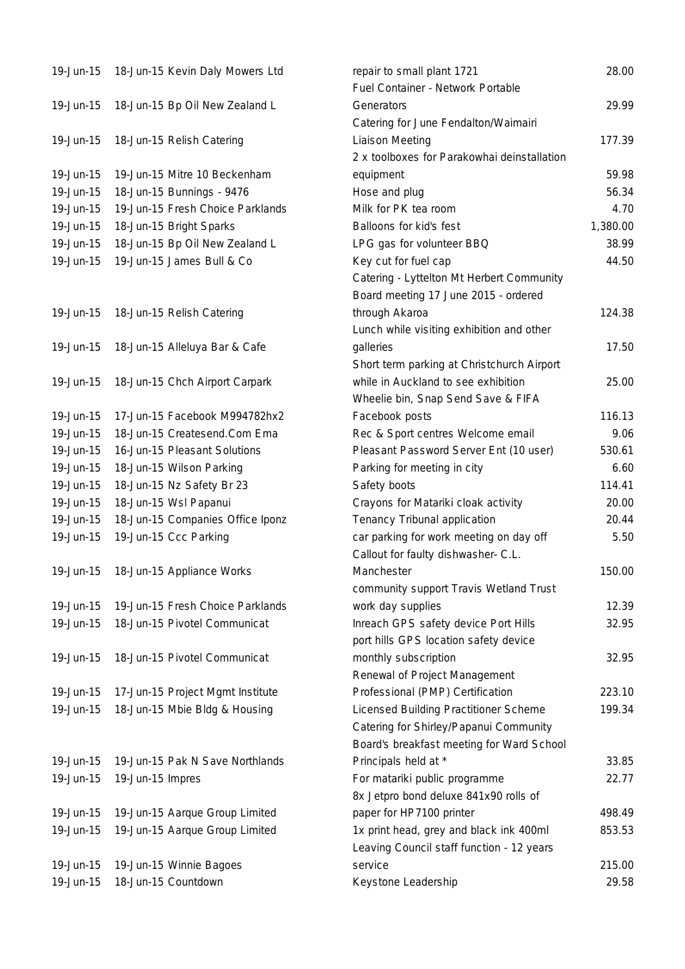| 19-Jun-15 | 18-Jun-15 Kevin Daly Mowers Ltd  | repair to small plant 1721                  | 28.00    |
|-----------|----------------------------------|---------------------------------------------|----------|
|           |                                  | Fuel Container - Network Portable           |          |
| 19-Jun-15 | 18-Jun-15 Bp Oil New Zealand L   | Generators                                  | 29.99    |
|           |                                  | Catering for June Fendalton/Waimairi        |          |
| 19-Jun-15 | 18-Jun-15 Relish Catering        | <b>Liaison Meeting</b>                      | 177.39   |
|           |                                  | 2 x toolboxes for Parakowhai deinstallation |          |
| 19-Jun-15 | 19-Jun-15 Mitre 10 Beckenham     | equipment                                   | 59.98    |
| 19-Jun-15 | 18-Jun-15 Bunnings - 9476        | Hose and plug                               | 56.34    |
| 19-Jun-15 | 19-Jun-15 Fresh Choice Parklands | Milk for PK tea room                        | 4.70     |
| 19-Jun-15 | 18-Jun-15 Bright Sparks          | Balloons for kid's fest                     | 1,380.00 |
| 19-Jun-15 | 18-Jun-15 Bp Oil New Zealand L   | LPG gas for volunteer BBQ                   | 38.99    |
| 19-Jun-15 | 19-Jun-15 James Bull & Co        | Key cut for fuel cap                        | 44.50    |
|           |                                  | Catering - Lyttelton Mt Herbert Community   |          |
|           |                                  | Board meeting 17 June 2015 - ordered        |          |
| 19-Jun-15 | 18-Jun-15 Relish Catering        | through Akaroa                              | 124.38   |
|           |                                  | Lunch while visiting exhibition and other   |          |
| 19-Jun-15 | 18-Jun-15 Alleluya Bar & Cafe    | galleries                                   | 17.50    |
|           |                                  | Short term parking at Christchurch Airport  |          |
| 19-Jun-15 | 18-Jun-15 Chch Airport Carpark   | while in Auckland to see exhibition         | 25.00    |
|           |                                  | Wheelie bin, Snap Send Save & FIFA          |          |
| 19-Jun-15 | 17-Jun-15 Facebook M994782hx2    | Facebook posts                              | 116.13   |
| 19-Jun-15 | 18-Jun-15 Createsend.Com Ema     | Rec & Sport centres Welcome email           | 9.06     |
| 19-Jun-15 | 16-Jun-15 Pleasant Solutions     | Pleasant Password Server Ent (10 user)      | 530.61   |
| 19-Jun-15 | 18-Jun-15 Wilson Parking         | Parking for meeting in city                 | 6.60     |
| 19-Jun-15 | 18-Jun-15 Nz Safety Br 23        | Safety boots                                | 114.41   |
| 19-Jun-15 | 18-Jun-15 Wsl Papanui            | Crayons for Matariki cloak activity         | 20.00    |
| 19-Jun-15 | 18-Jun-15 Companies Office Iponz | Tenancy Tribunal application                | 20.44    |
| 19-Jun-15 | 19-Jun-15 Ccc Parking            | car parking for work meeting on day off     | 5.50     |
|           |                                  | Callout for faulty dishwasher- C.L.         |          |
| 19-Jun-15 | 18-Jun-15 Appliance Works        | Manchester                                  | 150.00   |
|           |                                  | community support Travis Wetland Trust      |          |
| 19-Jun-15 | 19-Jun-15 Fresh Choice Parklands | work day supplies                           | 12.39    |
| 19-Jun-15 | 18-Jun-15 Pivotel Communicat     | Inreach GPS safety device Port Hills        | 32.95    |
|           |                                  | port hills GPS location safety device       |          |
| 19-Jun-15 | 18-Jun-15 Pivotel Communicat     | monthly subscription                        | 32.95    |
|           |                                  | Renewal of Project Management               |          |
| 19-Jun-15 | 17-Jun-15 Project Mgmt Institute | Professional (PMP) Certification            | 223.10   |
| 19-Jun-15 | 18-Jun-15 Mbie Bldg & Housing    | Licensed Building Practitioner Scheme       | 199.34   |
|           |                                  | Catering for Shirley/Papanui Community      |          |
|           |                                  | Board's breakfast meeting for Ward School   |          |
| 19-Jun-15 | 19-Jun-15 Pak N Save Northlands  | Principals held at *                        | 33.85    |
| 19-Jun-15 | 19-Jun-15 Impres                 | For matariki public programme               | 22.77    |
|           |                                  | 8x Jetpro bond deluxe 841x90 rolls of       |          |
| 19-Jun-15 | 19-Jun-15 Aarque Group Limited   | paper for HP7100 printer                    | 498.49   |
| 19-Jun-15 | 19-Jun-15 Aarque Group Limited   | 1x print head, grey and black ink 400ml     | 853.53   |
|           |                                  | Leaving Council staff function - 12 years   |          |
| 19-Jun-15 | 19-Jun-15 Winnie Bagoes          | service                                     | 215.00   |
| 19-Jun-15 | 18-Jun-15 Countdown              | Keystone Leadership                         | 29.58    |
|           |                                  |                                             |          |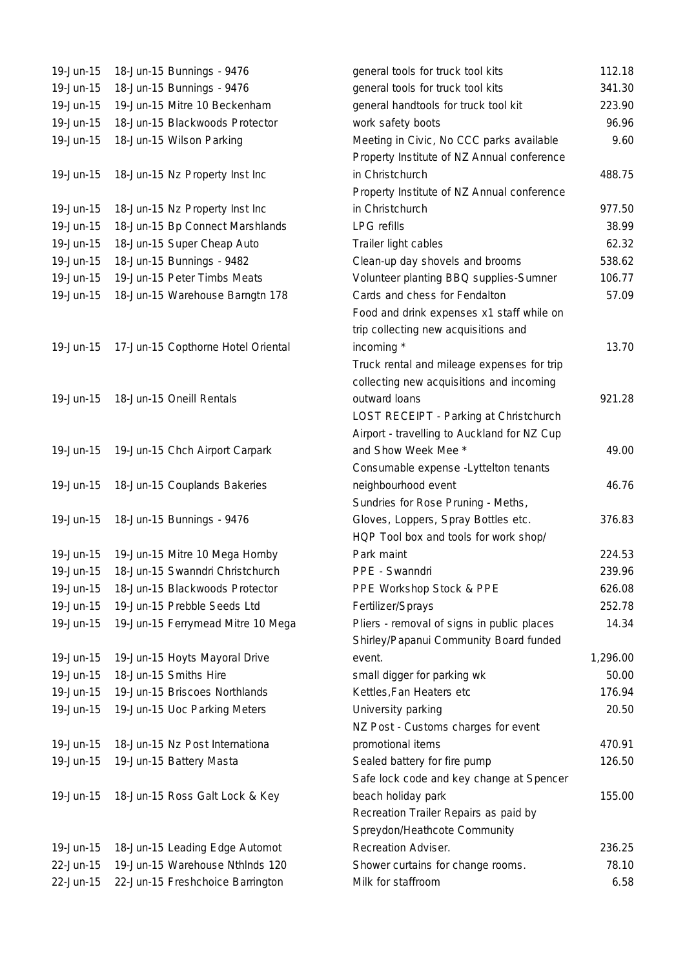| 19-Jun-15 | 18-Jun-15 Bunnings - 9476          | general tools for truck tool kits           | 112.18   |
|-----------|------------------------------------|---------------------------------------------|----------|
| 19-Jun-15 | 18-Jun-15 Bunnings - 9476          | general tools for truck tool kits           | 341.30   |
| 19-Jun-15 | 19-Jun-15 Mitre 10 Beckenham       | general handtools for truck tool kit        | 223.90   |
| 19-Jun-15 | 18-Jun-15 Blackwoods Protector     | work safety boots                           | 96.96    |
| 19-Jun-15 | 18-Jun-15 Wilson Parking           | Meeting in Civic, No CCC parks available    | 9.60     |
|           |                                    | Property Institute of NZ Annual conference  |          |
| 19-Jun-15 | 18-Jun-15 Nz Property Inst Inc     | in Christchurch                             | 488.75   |
|           |                                    | Property Institute of NZ Annual conference  |          |
| 19-Jun-15 | 18-Jun-15 Nz Property Inst Inc     | in Christchurch                             | 977.50   |
| 19-Jun-15 | 18-Jun-15 Bp Connect Marshlands    | <b>LPG</b> refills                          | 38.99    |
| 19-Jun-15 | 18-Jun-15 Super Cheap Auto         | Trailer light cables                        | 62.32    |
| 19-Jun-15 | 18-Jun-15 Bunnings - 9482          | Clean-up day shovels and brooms             | 538.62   |
| 19-Jun-15 | 19-Jun-15 Peter Timbs Meats        | Volunteer planting BBQ supplies-Sumner      | 106.77   |
| 19-Jun-15 | 18-Jun-15 Warehouse Barngtn 178    | Cards and chess for Fendalton               | 57.09    |
|           |                                    | Food and drink expenses x1 staff while on   |          |
|           |                                    | trip collecting new acquisitions and        |          |
| 19-Jun-15 | 17-Jun-15 Copthorne Hotel Oriental | incoming *                                  | 13.70    |
|           |                                    | Truck rental and mileage expenses for trip  |          |
|           |                                    | collecting new acquisitions and incoming    |          |
| 19-Jun-15 | 18-Jun-15 Oneill Rentals           | outward loans                               | 921.28   |
|           |                                    | LOST RECEIPT - Parking at Christchurch      |          |
|           |                                    | Airport - travelling to Auckland for NZ Cup |          |
| 19-Jun-15 |                                    | and Show Week Mee *                         | 49.00    |
|           | 19-Jun-15 Chch Airport Carpark     |                                             |          |
|           |                                    | Consumable expense - Lyttelton tenants      |          |
| 19-Jun-15 | 18-Jun-15 Couplands Bakeries       | neighbourhood event                         | 46.76    |
|           |                                    | Sundries for Rose Pruning - Meths,          |          |
| 19-Jun-15 | 18-Jun-15 Bunnings - 9476          | Gloves, Loppers, Spray Bottles etc.         | 376.83   |
|           |                                    | HQP Tool box and tools for work shop/       |          |
| 19-Jun-15 | 19-Jun-15 Mitre 10 Mega Hornby     | Park maint                                  | 224.53   |
| 19-Jun-15 | 18-Jun-15 Swanndri Christchurch    | PPE - Swanndri                              | 239.96   |
| 19-Jun-15 | 18-Jun-15 Blackwoods Protector     | PPE Workshop Stock & PPE                    | 626.08   |
| 19-Jun-15 | 19-Jun-15 Prebble Seeds Ltd        | Fertilizer/Sprays                           | 252.78   |
| 19-Jun-15 | 19-Jun-15 Ferrymead Mitre 10 Mega  | Pliers - removal of signs in public places  | 14.34    |
|           |                                    | Shirley/Papanui Community Board funded      |          |
| 19-Jun-15 | 19-Jun-15 Hoyts Mayoral Drive      | event.                                      | 1,296.00 |
| 19-Jun-15 | 18-Jun-15 Smiths Hire              | small digger for parking wk                 | 50.00    |
| 19-Jun-15 | 19-Jun-15 Briscoes Northlands      | Kettles, Fan Heaters etc                    | 176.94   |
| 19-Jun-15 | 19-Jun-15 Uoc Parking Meters       | University parking                          | 20.50    |
|           |                                    | NZ Post - Customs charges for event         |          |
| 19-Jun-15 | 18-Jun-15 Nz Post Internationa     | promotional items                           | 470.91   |
| 19-Jun-15 | 19-Jun-15 Battery Masta            | Sealed battery for fire pump                | 126.50   |
|           |                                    | Safe lock code and key change at Spencer    |          |
| 19-Jun-15 | 18-Jun-15 Ross Galt Lock & Key     | beach holiday park                          | 155.00   |
|           |                                    | Recreation Trailer Repairs as paid by       |          |
|           |                                    | Spreydon/Heathcote Community                |          |
| 19-Jun-15 | 18-Jun-15 Leading Edge Automot     | Recreation Adviser.                         | 236.25   |
| 22-Jun-15 | 19-Jun-15 Warehouse Nthlnds 120    | Shower curtains for change rooms.           | 78.10    |
| 22-Jun-15 | 22-Jun-15 Freshchoice Barrington   | Milk for staffroom                          | 6.58     |
|           |                                    |                                             |          |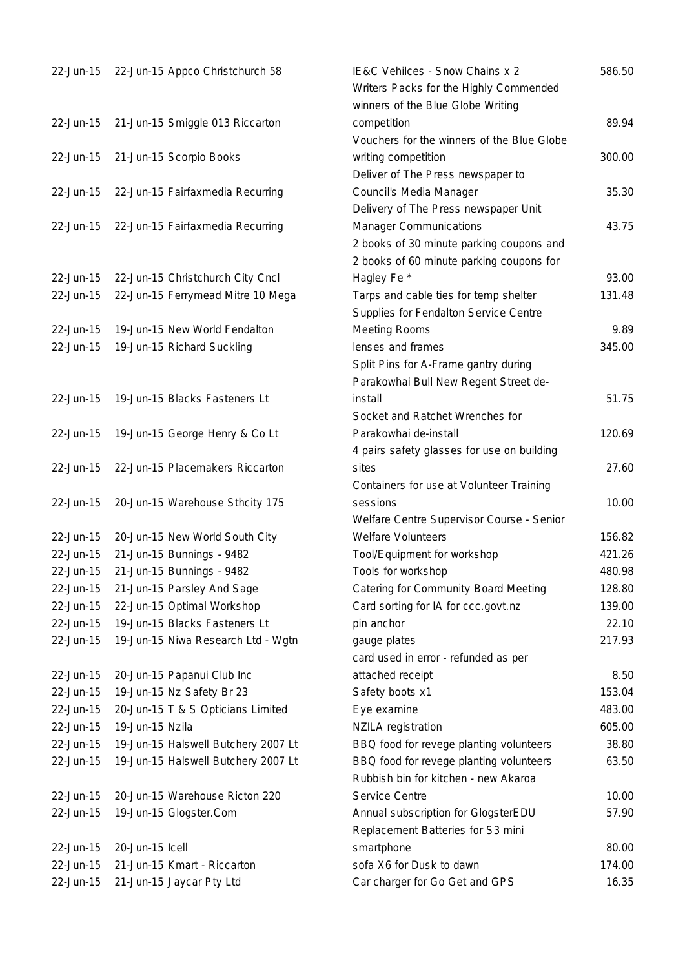| 22-Jun-15 | 22-Jun-15 Appco Christchurch 58     | IE&C Vehilces - Snow Chains x 2<br>Writers Packs for the Highly Commended                                             | 586.50 |
|-----------|-------------------------------------|-----------------------------------------------------------------------------------------------------------------------|--------|
| 22-Jun-15 | 21-Jun-15 Smiggle 013 Riccarton     | winners of the Blue Globe Writing<br>competition<br>Vouchers for the winners of the Blue Globe                        | 89.94  |
| 22-Jun-15 | 21-Jun-15 Scorpio Books             | writing competition<br>Deliver of The Press newspaper to                                                              | 300.00 |
| 22-Jun-15 | 22-Jun-15 Fairfaxmedia Recurring    | Council's Media Manager<br>Delivery of The Press newspaper Unit                                                       | 35.30  |
| 22-Jun-15 | 22-Jun-15 Fairfaxmedia Recurring    | <b>Manager Communications</b><br>2 books of 30 minute parking coupons and<br>2 books of 60 minute parking coupons for | 43.75  |
| 22-Jun-15 | 22-Jun-15 Christchurch City Cncl    | Hagley Fe *                                                                                                           | 93.00  |
| 22-Jun-15 | 22-Jun-15 Ferrymead Mitre 10 Mega   | Tarps and cable ties for temp shelter<br>Supplies for Fendalton Service Centre                                        | 131.48 |
| 22-Jun-15 | 19-Jun-15 New World Fendalton       | <b>Meeting Rooms</b>                                                                                                  | 9.89   |
| 22-Jun-15 | 19-Jun-15 Richard Suckling          | lenses and frames                                                                                                     | 345.00 |
|           |                                     | Split Pins for A-Frame gantry during                                                                                  |        |
|           |                                     | Parakowhai Bull New Regent Street de-                                                                                 |        |
| 22-Jun-15 | 19-Jun-15 Blacks Fasteners Lt       | install                                                                                                               | 51.75  |
|           |                                     | Socket and Ratchet Wrenches for                                                                                       |        |
| 22-Jun-15 | 19-Jun-15 George Henry & Co Lt      | Parakowhai de-install                                                                                                 | 120.69 |
|           |                                     | 4 pairs safety glasses for use on building                                                                            |        |
| 22-Jun-15 | 22-Jun-15 Placemakers Riccarton     | sites                                                                                                                 | 27.60  |
|           |                                     | Containers for use at Volunteer Training                                                                              |        |
| 22-Jun-15 | 20-Jun-15 Warehouse Sthcity 175     | sessions                                                                                                              | 10.00  |
|           |                                     | Welfare Centre Supervisor Course - Senior                                                                             |        |
| 22-Jun-15 | 20-Jun-15 New World South City      | <b>Welfare Volunteers</b>                                                                                             | 156.82 |
| 22-Jun-15 | 21-Jun-15 Bunnings - 9482           | Tool/Equipment for workshop                                                                                           | 421.26 |
| 22-Jun-15 | 21-Jun-15 Bunnings - 9482           | Tools for workshop                                                                                                    | 480.98 |
| 22-Jun-15 |                                     |                                                                                                                       | 128.80 |
|           | 21-Jun-15 Parsley And Sage          | Catering for Community Board Meeting                                                                                  | 139.00 |
| 22-Jun-15 | 22-Jun-15 Optimal Workshop          | Card sorting for IA for ccc.govt.nz                                                                                   |        |
| 22-Jun-15 | 19-Jun-15 Blacks Fasteners Lt       | pin anchor                                                                                                            | 22.10  |
| 22-Jun-15 | 19-Jun-15 Niwa Research Ltd - Wgtn  | gauge plates<br>card used in error - refunded as per                                                                  | 217.93 |
| 22-Jun-15 | 20-Jun-15 Papanui Club Inc          | attached receipt                                                                                                      | 8.50   |
| 22-Jun-15 | 19-Jun-15 Nz Safety Br 23           | Safety boots x1                                                                                                       | 153.04 |
| 22-Jun-15 | 20-Jun-15 T & S Opticians Limited   | Eye examine                                                                                                           | 483.00 |
| 22-Jun-15 | 19-Jun-15 Nzila                     | <b>NZILA</b> registration                                                                                             | 605.00 |
| 22-Jun-15 | 19-Jun-15 Halswell Butchery 2007 Lt | BBQ food for revege planting volunteers                                                                               | 38.80  |
| 22-Jun-15 | 19-Jun-15 Halswell Butchery 2007 Lt | BBQ food for revege planting volunteers<br>Rubbish bin for kitchen - new Akaroa                                       | 63.50  |
| 22-Jun-15 | 20-Jun-15 Warehouse Ricton 220      | Service Centre                                                                                                        | 10.00  |
| 22-Jun-15 | 19-Jun-15 Glogster.Com              | Annual subscription for GlogsterEDU<br>Replacement Batteries for S3 mini                                              | 57.90  |
| 22-Jun-15 | 20-Jun-15 Icell                     | smartphone                                                                                                            | 80.00  |
| 22-Jun-15 | 21-Jun-15 Kmart - Riccarton         | sofa X6 for Dusk to dawn                                                                                              | 174.00 |
| 22-Jun-15 | 21-Jun-15 Jaycar Pty Ltd            | Car charger for Go Get and GPS                                                                                        | 16.35  |
|           |                                     |                                                                                                                       |        |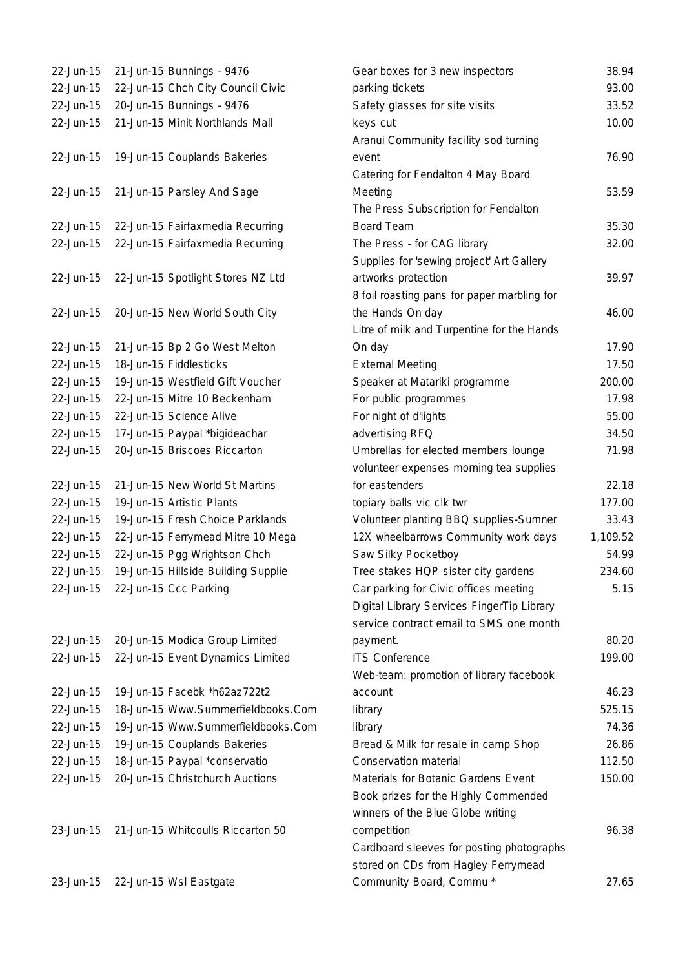| 22-Jun-15              | 21-Jun-15 Bunnings - 9476       |                                             |
|------------------------|---------------------------------|---------------------------------------------|
| 22-Jun-15              |                                 | 22-Jun-15 Chch City Council Civic           |
| 22-Jun-15              | 20-Jun-15 Bunnings - 9476       |                                             |
| 22-Jun-15              |                                 | 21-Jun-15 Minit Northlands Mall             |
|                        |                                 |                                             |
| 22-Jun-15              | 19-Jun-15 Couplands Bakeries    |                                             |
|                        |                                 |                                             |
| 22-Jun-15              | 21-Jun-15 Parsley And Sage      |                                             |
|                        |                                 |                                             |
| 22-Jun-15              |                                 | 22-Jun-15 Fairfaxmedia Recurring            |
| 22-Jun-15              |                                 | 22-Jun-15 Fairfaxmedia Recurring            |
|                        |                                 |                                             |
| 22-Jun-15              |                                 | 22-Jun-15 Spotlight Stores NZ Ltd           |
|                        |                                 |                                             |
| 22-Jun-15              |                                 | 20-Jun-15 New World South City              |
|                        |                                 |                                             |
| 22-Jun-15<br>22-Jun-15 | 18-Jun-15 Fiddlesticks          | 21-Jun-15 Bp 2 Go West Melton               |
| 22-Jun-15              |                                 | 19-Jun-15 Westfield Gift Voucher            |
| 22-Jun-15              | 22-Jun-15 Mitre 10 Beckenham    |                                             |
| 22-Jun-15              | 22-Jun-15 Science Alive         |                                             |
| 22-Jun-15              | 17-Jun-15 Paypal *bigideachar   |                                             |
| 22-Jun-15              | 20-Jun-15 Briscoes Riccarton    |                                             |
|                        |                                 |                                             |
| 22-Jun-15              |                                 | 21-Jun-15 New World St Martins              |
| 22-Jun-15              | 19-Jun-15 Artistic Plants       |                                             |
| 22-Jun-15              |                                 | 19-Jun-15 Fresh Choice Parklands            |
| 22-Jun-15              |                                 | 22-Jun-15 Ferrymead Mitre 10 Mega           |
| 22-Jun-15              | 22-Jun-15 Pgg Wrightson Chch    |                                             |
| 22-Jun-15              |                                 | 19-Jun-15 Hillside Building Supplie         |
|                        | 22-Jun-15 22-Jun-15 Ccc Parking |                                             |
|                        |                                 |                                             |
|                        |                                 |                                             |
| 22-Jun-15              |                                 | 20-Jun-15 Modica Group Limited              |
| 22-Jun-15              |                                 | 22-Jun-15 Event Dynamics Limited            |
|                        |                                 |                                             |
| 22-Jun-15              | 19-Jun-15 Facebk *h62az722t2    |                                             |
| 22-Jun-15              |                                 | 18-Jun-15 Www.Summerfieldbooks.Cor          |
| 22-Jun-15              |                                 | 19-Jun-15 Www.Summerfieldbooks.Cor          |
| 22-Jun-15              | 19-Jun-15 Couplands Bakeries    |                                             |
| 22-Jun-15              | 18-Jun-15 Paypal *conservatio   |                                             |
| 22-Jun-15              |                                 | 20-Jun-15 Christchurch Auctions             |
|                        |                                 |                                             |
|                        |                                 |                                             |
|                        |                                 | 23-Jun-15 21-Jun-15 Whitcoulls Riccarton 50 |
|                        |                                 |                                             |

Example 21-Jun-15 22-Jun-15 22-Jun-15 22-Jun-15 22-Jun-15 23-Jun-15 28.94 parking tickets and 23.00 Safety glasses for site visits 33.52 22-Jun-15 21-Jun-15 Minit Northlands Mall keys cut 10.00 Aranui Community facility sod turning event 76.90 Catering for Fendalton 4 May Board Meeting 53.59 The Press Subscription for Fendalton Board Team 35.30 The Press - for CAG library 32.00 Supplies for 'sewing project' Art Gallery artworks protection 39.97 8 foil roasting pans for paper marbling for the Hands On day 46.00 Litre of milk and Turpentine for the Hands On day 17.90 External Meeting 17.50 Speaker at Matariki programme 200.00 For public programmes 17.98 **22-Jun-12-Jun-12-Jun-15 22-Jun-15 22-Jun-15 22-Jun-15 22-Jun-15 23-00** advertising RFQ 34.50 Umbrellas for elected members lounge 71.98 volunteer expenses morning tea supplies for eastenders 22.18 topiary balls vic clk twr 177.00 Volunteer planting BBQ supplies-Sumner 33.43 12X wheelbarrows Community work days 1,109.52 Saw Silky Pocketboy 54.99 Tree stakes HQP sister city gardens 234.60 2.15 Car parking for Civic offices meeting 6.15 Digital Library Services FingerTip Library service contract email to SMS one month payment. 80.20 ITS Conference 22-Jun-15 22-Jun-15 22-Jun-15 22-Jun-15 22-Jun-15 22-Jun-16 22-Jun-16 22-Jun-16 22-Jun-16 22-Jun-Web-team: promotion of library facebook account 46.23 22-Jun-15 18-Jun-15 Www.Summerfieldbooks.Com library 525.15 22-Jun-15 19-Jun-15 Www.Summerfieldbooks.Com library 74.36 Bread & Milk for resale in camp Shop 26.86 22-Jun-20-Jun-20-Jun-20-Jun-20-Jun-20-Jun-20-Jun-20-Jun-20-Jun-20-Jun-20-Jun-20-Jun-20-Jun-20-Jun-20-Jun-20-Ju Materials for Botanic Gardens Event 150.00 Book prizes for the Highly Commended winners of the Blue Globe writing competition 96.38 Cardboard sleeves for posting photographs stored on CDs from Hagley Ferrymead Community Board, Commu \* 27.65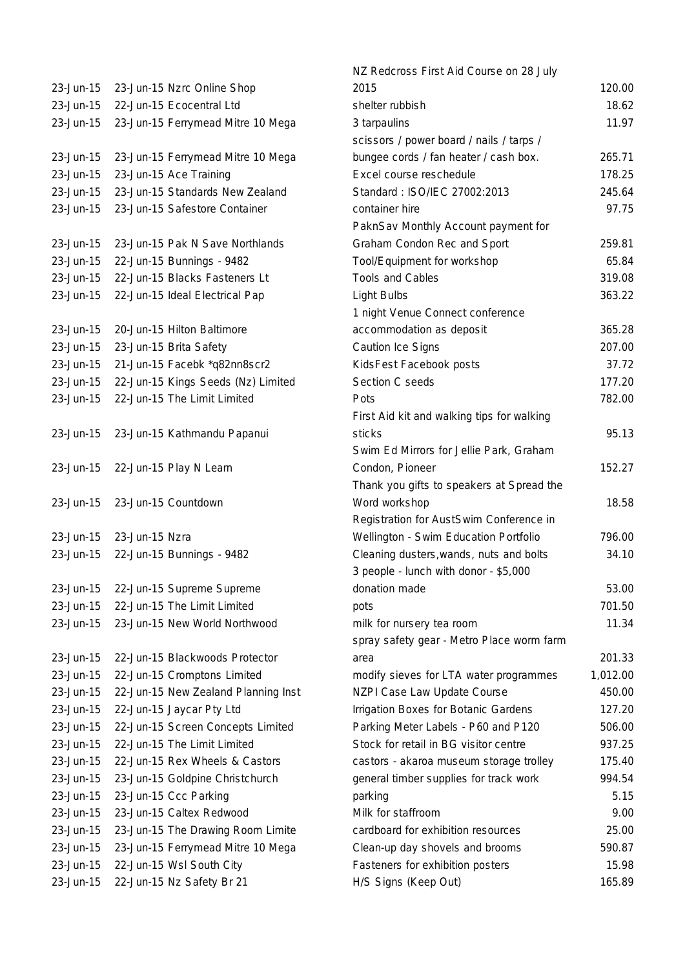| 23-Jun-15 | 23-Jun-15 Nzrc Online Shop          |
|-----------|-------------------------------------|
| 23-Jun-15 | 22-Jun-15 Ecocentral Ltd            |
| 23-Jun-15 | 23-Jun-15 Ferrymead Mitre 10 Mega   |
|           |                                     |
| 23-Jun-15 | 23-Jun-15 Ferrymead Mitre 10 Mega   |
| 23-Jun-15 | 23-Jun-15 Ace Training              |
| 23-Jun-15 | 23-Jun-15 Standards New Zealand     |
| 23-Jun-15 | 23-Jun-15 Safestore Container       |
|           |                                     |
| 23-Jun-15 | 23-Jun-15 Pak N Save Northlands     |
| 23-Jun-15 | 22-Jun-15 Bunnings - 9482           |
| 23-Jun-15 | 22-Jun-15 Blacks Fasteners Lt       |
| 23-Jun-15 | 22-Jun-15 Ideal Electrical Pap      |
|           |                                     |
| 23-Jun-15 | 20-Jun-15 Hilton Baltimore          |
| 23-Jun-15 | 23-Jun-15 Brita Safety              |
| 23-Jun-15 | 21-Jun-15 Facebk *q82nn8scr2        |
| 23-Jun-15 | 22-Jun-15 Kings Seeds (Nz) Limited  |
| 23-Jun-15 | 22-Jun-15 The Limit Limited         |
|           |                                     |
| 23-Jun-15 | 23-Jun-15 Kathmandu Papanui         |
|           |                                     |
| 23-Jun-15 | 22-Jun-15 Play N Learn              |
|           |                                     |
| 23-Jun-15 | 23-Jun-15 Countdown                 |
|           |                                     |
| 23-Jun-15 | 23-Jun-15 Nzra                      |
| 23-Jun-15 | 22-Jun-15 Bunnings - 9482           |
|           |                                     |
| 23-Jun-15 | 22-Jun-15 Supreme Supreme           |
| 23-Jun-15 | 22-Jun-15 The Limit Limited         |
| 23-Jun-15 | 23-Jun-15 New World Northwood       |
|           |                                     |
| 23-Jun-15 | 22-Jun-15 Blackwoods Protector      |
| 23-Jun-15 | 22-Jun-15 Cromptons Limited         |
| 23-Jun-15 | 22-Jun-15 New Zealand Planning Inst |
| 23-Jun-15 | 22-Jun-15 Jaycar Pty Ltd            |
| 23-Jun-15 | 22-Jun-15 Screen Concepts Limited   |
| 23-Jun-15 | 22-Jun-15 The Limit Limited         |
| 23-Jun-15 | 22-Jun-15 Rex Wheels & Castors      |
| 23-Jun-15 | 23-Jun-15 Goldpine Christchurch     |
| 23-Jun-15 | 23-Jun-15 Ccc Parking               |
| 23-Jun-15 | 23-Jun-15 Caltex Redwood            |
| 23-Jun-15 | 23-Jun-15 The Drawing Room Limite   |
| 23-Jun-15 | 23-Jun-15 Ferrymead Mitre 10 Mega   |
| 23-Jun-15 | 22-Jun-15 Wsl South City            |
| 23-Jun-15 | 22-Jun-15 Nz Safety Br 21           |
|           |                                     |

|           |                                     | NZ Redcross First Aid Course on 28 July    |          |
|-----------|-------------------------------------|--------------------------------------------|----------|
| 23-Jun-15 | 23-Jun-15 Nzrc Online Shop          | 2015                                       | 120.00   |
| 23-Jun-15 | 22-Jun-15 Ecocentral Ltd            | shelter rubbish                            | 18.62    |
| 23-Jun-15 | 23-Jun-15 Ferrymead Mitre 10 Mega   | 3 tarpaulins                               | 11.97    |
|           |                                     | scissors / power board / nails / tarps /   |          |
| 23-Jun-15 | 23-Jun-15 Ferrymead Mitre 10 Mega   | bungee cords / fan heater / cash box.      | 265.71   |
| 23-Jun-15 | 23-Jun-15 Ace Training              | Excel course reschedule                    | 178.25   |
| 23-Jun-15 | 23-Jun-15 Standards New Zealand     | Standard: ISO/IEC 27002:2013               | 245.64   |
| 23-Jun-15 | 23-Jun-15 Safestore Container       | container hire                             | 97.75    |
|           |                                     | PaknSav Monthly Account payment for        |          |
| 23-Jun-15 | 23-Jun-15 Pak N Save Northlands     | Graham Condon Rec and Sport                | 259.81   |
| 23-Jun-15 | 22-Jun-15 Bunnings - 9482           | Tool/Equipment for workshop                | 65.84    |
| 23-Jun-15 | 22-Jun-15 Blacks Fasteners Lt       | <b>Tools and Cables</b>                    | 319.08   |
| 23-Jun-15 | 22-Jun-15 Ideal Electrical Pap      | Light Bulbs                                | 363.22   |
|           |                                     | 1 night Venue Connect conference           |          |
| 23-Jun-15 | 20-Jun-15 Hilton Baltimore          | accommodation as deposit                   | 365.28   |
| 23-Jun-15 | 23-Jun-15 Brita Safety              | Caution Ice Signs                          | 207.00   |
| 23-Jun-15 | 21-Jun-15 Facebk *q82nn8scr2        | KidsFest Facebook posts                    | 37.72    |
| 23-Jun-15 | 22-Jun-15 Kings Seeds (Nz) Limited  | Section C seeds                            | 177.20   |
| 23-Jun-15 | 22-Jun-15 The Limit Limited         | Pots                                       | 782.00   |
|           |                                     | First Aid kit and walking tips for walking |          |
| 23-Jun-15 | 23-Jun-15 Kathmandu Papanui         | sticks                                     | 95.13    |
|           |                                     | Swim Ed Mirrors for Jellie Park, Graham    |          |
| 23-Jun-15 | 22-Jun-15 Play N Learn              | Condon, Pioneer                            | 152.27   |
|           |                                     | Thank you gifts to speakers at Spread the  |          |
| 23-Jun-15 | 23-Jun-15 Countdown                 | Word workshop                              | 18.58    |
|           |                                     | Registration for AustSwim Conference in    |          |
| 23-Jun-15 | 23-Jun-15 Nzra                      | Wellington - Swim Education Portfolio      | 796.00   |
| 23-Jun-15 | 22-Jun-15 Bunnings - 9482           | Cleaning dusters, wands, nuts and bolts    | 34.10    |
|           |                                     | 3 people - lunch with donor - \$5,000      |          |
| 23-Jun-15 | 22-Jun-15 Supreme Supreme           | donation made                              | 53.00    |
| 23-Jun-15 | 22-Jun-15 The Limit Limited         | pots                                       | 701.50   |
| 23-Jun-15 | 23-Jun-15 New World Northwood       | milk for nursery tea room                  | 11.34    |
|           |                                     | spray safety gear - Metro Place worm farm  |          |
| 23-Jun-15 | 22-Jun-15 Blackwoods Protector      | area                                       | 201.33   |
| 23-Jun-15 | 22-Jun-15 Cromptons Limited         | modify sieves for LTA water programmes     | 1,012.00 |
| 23-Jun-15 | 22-Jun-15 New Zealand Planning Inst | NZPI Case Law Update Course                | 450.00   |
| 23-Jun-15 | 22-Jun-15 Jaycar Pty Ltd            | Irrigation Boxes for Botanic Gardens       | 127.20   |
| 23-Jun-15 | 22-Jun-15 Screen Concepts Limited   | Parking Meter Labels - P60 and P120        | 506.00   |
| 23-Jun-15 | 22-Jun-15 The Limit Limited         | Stock for retail in BG visitor centre      | 937.25   |
| 23-Jun-15 | 22-Jun-15 Rex Wheels & Castors      | castors - akaroa museum storage trolley    | 175.40   |
| 23-Jun-15 | 23-Jun-15 Goldpine Christchurch     | general timber supplies for track work     | 994.54   |
| 23-Jun-15 | 23-Jun-15 Ccc Parking               | parking                                    | 5.15     |
| 23-Jun-15 | 23-Jun-15 Caltex Redwood            | Milk for staffroom                         | 9.00     |
| 23-Jun-15 | 23-Jun-15 The Drawing Room Limite   | cardboard for exhibition resources         | 25.00    |
| 23-Jun-15 | 23-Jun-15 Ferrymead Mitre 10 Mega   | Clean-up day shovels and brooms            | 590.87   |
| 23-Jun-15 | 22-Jun-15 Wsl South City            | Fasteners for exhibition posters           | 15.98    |
| 23-Jun-15 | 22-Jun-15 Nz Safety Br 21           | H/S Signs (Keep Out)                       | 165.89   |
|           |                                     |                                            |          |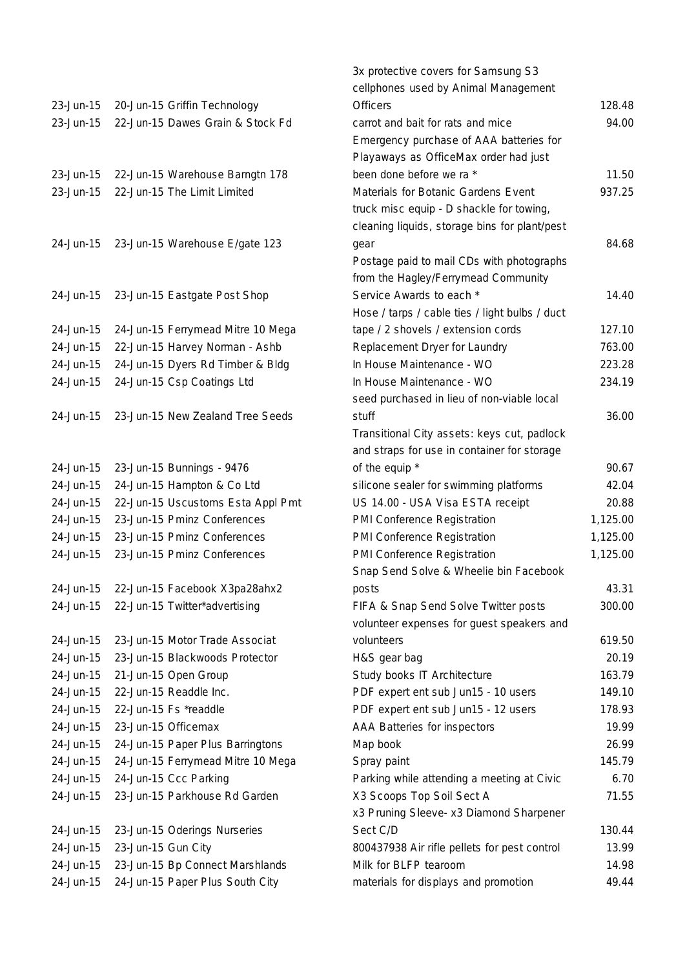| 23-Jun-15<br>23-Jun-15 | 20-Jun-15 Griffin Technology<br>22-Jun-15 Dawes Grain & Stock Fd |
|------------------------|------------------------------------------------------------------|
| 23-Jun-15<br>23-Jun-15 | 22-Jun-15 Warehouse Barngtn 178<br>22-Jun-15 The Limit Limited   |
| 24-Jun-15              | 23-Jun-15 Warehouse E/gate 123                                   |
| 24-Jun-15              | 23-Jun-15 Eastgate Post Shop                                     |
| 24-Jun-15              | 24-Jun-15 Ferrymead Mitre 10 Mega                                |
| 24-Jun-15              | 22-Jun-15 Harvey Norman - Ashb                                   |
| 24-Jun-15              | 24-Jun-15 Dyers Rd Timber & Bldg                                 |
| 24-Jun-15              | 24-Jun-15 Csp Coatings Ltd                                       |
|                        |                                                                  |
| 24-Jun-15              | 23-Jun-15 New Zealand Tree Seeds                                 |
| 24-Jun-15              | 23-Jun-15 Bunnings - 9476                                        |
| 24-Jun-15              | 24-Jun-15 Hampton & Co Ltd                                       |
| 24-Jun-15              | 22-Jun-15 Uscustoms Esta Appl Pmt                                |
| 24-Jun-15              | 23-Jun-15 Pminz Conferences                                      |
| 24-Jun-15              | 23-Jun-15 Pminz Conferences                                      |
| 24-Jun-15              | 23-Jun-15 Pminz Conferences                                      |
|                        |                                                                  |
| 24-Jun-15              | 22-Jun-15 Facebook X3pa28ahx2                                    |
| 24-Jun-15              | 22-Jun-15 Twitter*advertising                                    |
|                        |                                                                  |
| 24-Jun-15              | 23-Jun-15 Motor Trade Associat                                   |
| 24-Jun-15              | 23-Jun-15 Blackwoods Protector                                   |
| 24-Jun-15              | 21-Jun-15 Open Group                                             |
| 24-Jun-15              | 22-Jun-15 Readdle Inc.                                           |
| 24-Jun-15              | 22-Jun-15 Fs *readdle                                            |
| 24-Jun-15              | 23-Jun-15 Officemax                                              |
| 24-Jun-15              | 24-Jun-15 Paper Plus Barringtons                                 |
| 24-Jun-15              | 24-Jun-15 Ferrymead Mitre 10 Mega                                |
| 24-Jun-15              | 24-Jun-15 Ccc Parking                                            |
| 24-Jun-15              | 23-Jun-15 Parkhouse Rd Garden                                    |
|                        |                                                                  |
| 24-Jun-15              | 23-Jun-15 Oderings Nurseries                                     |
| 24-Jun-15              | 23-Jun-15 Gun City                                               |
| 24-Jun-15              | 23-Jun-15 Bp Connect Marshlands                                  |
| 24-Jun-15              | 24-Jun-15 Paper Plus South City                                  |

|           |                                   | 3x protective covers for Samsung S3<br>cellphones used by Animal Management |          |
|-----------|-----------------------------------|-----------------------------------------------------------------------------|----------|
| 23-Jun-15 | 20-Jun-15 Griffin Technology      | <b>Officers</b>                                                             | 128.48   |
| 23-Jun-15 | 22-Jun-15 Dawes Grain & Stock Fd  | carrot and bait for rats and mice                                           | 94.00    |
|           |                                   | Emergency purchase of AAA batteries for                                     |          |
|           |                                   | Playaways as OfficeMax order had just                                       |          |
| 23-Jun-15 | 22-Jun-15 Warehouse Barngtn 178   | been done before we ra *                                                    | 11.50    |
| 23-Jun-15 | 22-Jun-15 The Limit Limited       | Materials for Botanic Gardens Event                                         | 937.25   |
|           |                                   | truck misc equip - D shackle for towing,                                    |          |
|           |                                   | cleaning liquids, storage bins for plant/pest                               |          |
| 24-Jun-15 | 23-Jun-15 Warehouse E/gate 123    | gear                                                                        | 84.68    |
|           |                                   | Postage paid to mail CDs with photographs                                   |          |
|           |                                   | from the Hagley/Ferrymead Community                                         |          |
| 24-Jun-15 | 23-Jun-15 Eastgate Post Shop      | Service Awards to each *                                                    | 14.40    |
|           |                                   | Hose / tarps / cable ties / light bulbs / duct                              |          |
| 24-Jun-15 | 24-Jun-15 Ferrymead Mitre 10 Mega | tape / 2 shovels / extension cords                                          | 127.10   |
| 24-Jun-15 | 22-Jun-15 Harvey Norman - Ashb    | Replacement Dryer for Laundry                                               | 763.00   |
| 24-Jun-15 | 24-Jun-15 Dyers Rd Timber & Bldg  | In House Maintenance - WO                                                   | 223.28   |
| 24-Jun-15 | 24-Jun-15 Csp Coatings Ltd        | In House Maintenance - WO                                                   | 234.19   |
|           |                                   | seed purchased in lieu of non-viable local                                  |          |
| 24-Jun-15 | 23-Jun-15 New Zealand Tree Seeds  | stuff                                                                       | 36.00    |
|           |                                   | Transitional City assets: keys cut, padlock                                 |          |
|           |                                   | and straps for use in container for storage                                 |          |
| 24-Jun-15 | 23-Jun-15 Bunnings - 9476         | of the equip *                                                              | 90.67    |
| 24-Jun-15 | 24-Jun-15 Hampton & Co Ltd        | silicone sealer for swimming platforms                                      | 42.04    |
| 24-Jun-15 | 22-Jun-15 Uscustoms Esta Appl Pmt | US 14.00 - USA Visa ESTA receipt                                            | 20.88    |
| 24-Jun-15 | 23-Jun-15 Pminz Conferences       | PMI Conference Registration                                                 | 1,125.00 |
| 24-Jun-15 | 23-Jun-15 Pminz Conferences       | PMI Conference Registration                                                 | 1,125.00 |
| 24-Jun-15 | 23-Jun-15 Pminz Conferences       | PMI Conference Registration                                                 | 1,125.00 |
|           |                                   | Snap Send Solve & Wheelie bin Facebook                                      |          |
| 24-Jun-15 | 22-Jun-15 Facebook X3pa28ahx2     | posts                                                                       | 43.31    |
| 24-Jun-15 | 22-Jun-15 Twitter*advertising     | FIFA & Snap Send Solve Twitter posts                                        | 300.00   |
|           |                                   | volunteer expenses for guest speakers and                                   |          |
| 24-Jun-15 | 23-Jun-15 Motor Trade Associat    | volunteers                                                                  | 619.50   |
| 24-Jun-15 | 23-Jun-15 Blackwoods Protector    | H&S gear bag                                                                | 20.19    |
| 24-Jun-15 | 21-Jun-15 Open Group              | Study books IT Architecture                                                 | 163.79   |
| 24-Jun-15 | 22-Jun-15 Readdle Inc.            | PDF expert ent sub Jun15 - 10 users                                         | 149.10   |
| 24-Jun-15 | 22-Jun-15 Fs *readdle             | PDF expert ent sub Jun15 - 12 users                                         | 178.93   |
| 24-Jun-15 | 23-Jun-15 Officemax               | AAA Batteries for inspectors                                                | 19.99    |
| 24-Jun-15 | 24-Jun-15 Paper Plus Barringtons  | Map book                                                                    | 26.99    |
| 24-Jun-15 | 24-Jun-15 Ferrymead Mitre 10 Mega | Spray paint                                                                 | 145.79   |
| 24-Jun-15 | 24-Jun-15 Ccc Parking             | Parking while attending a meeting at Civic                                  | 6.70     |
| 24-Jun-15 | 23-Jun-15 Parkhouse Rd Garden     | X3 Scoops Top Soil Sect A                                                   | 71.55    |
|           |                                   | x3 Pruning Sleeve- x3 Diamond Sharpener                                     |          |
| 24-Jun-15 | 23-Jun-15 Oderings Nurseries      | Sect C/D                                                                    | 130.44   |
| 24-Jun-15 | 23-Jun-15 Gun City                | 800437938 Air rifle pellets for pest control                                | 13.99    |
| 24-Jun-15 | 23-Jun-15 Bp Connect Marshlands   | Milk for BLFP tearoom                                                       | 14.98    |
| 24-Jun-15 | 24-Jun-15 Paper Plus South City   | materials for displays and promotion                                        | 49.44    |